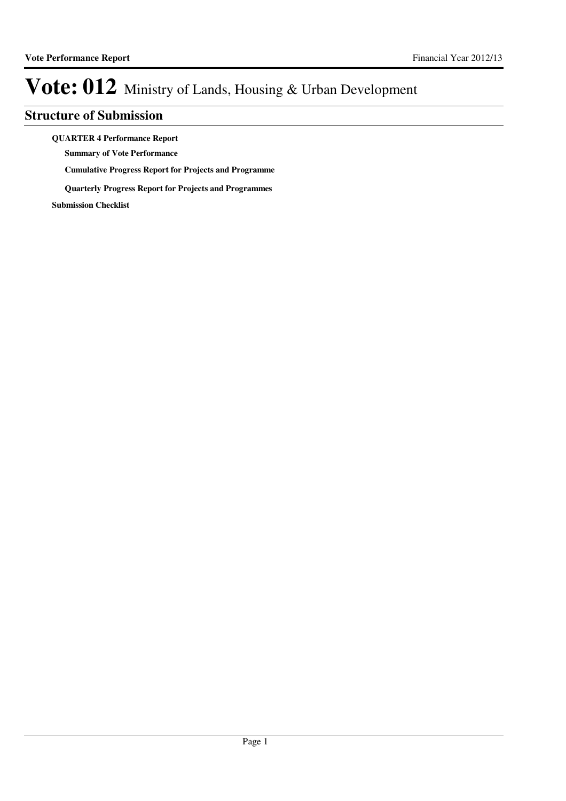### **Structure of Submission**

**QUARTER 4 Performance Report**

**Summary of Vote Performance**

**Cumulative Progress Report for Projects and Programme**

**Quarterly Progress Report for Projects and Programmes**

**Submission Checklist**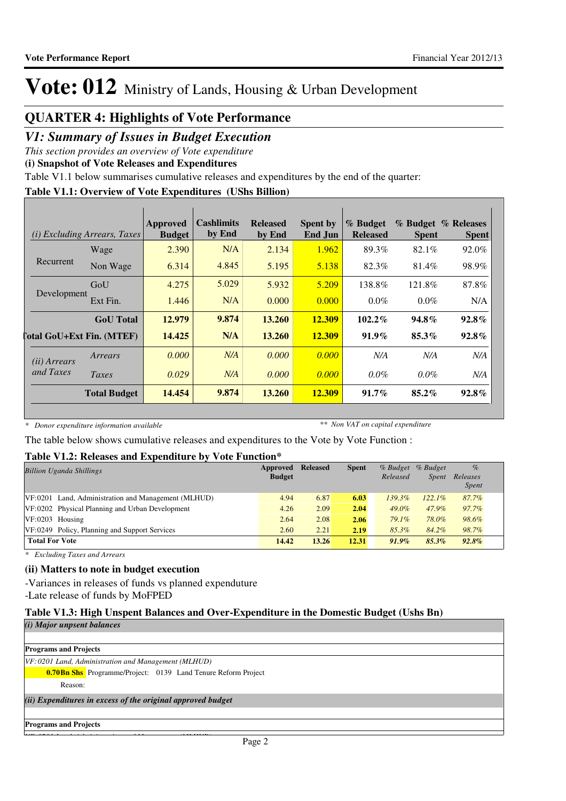### **QUARTER 4: Highlights of Vote Performance**

### *V1: Summary of Issues in Budget Execution*

*This section provides an overview of Vote expenditure*

**(i) Snapshot of Vote Releases and Expenditures**

Table V1.1 below summarises cumulative releases and expenditures by the end of the quarter:

## **Table V1.1: Overview of Vote Expenditures (UShs Billion)**

| (i)                   | <b>Excluding Arrears, Taxes</b> | Approved<br><b>Budget</b> | <b>Cashlimits</b><br>by End | <b>Released</b><br>by End | <b>Spent by</b><br>End Jun | % Budget<br><b>Released</b> | <b>Spent</b> | % Budget % Releases<br><b>Spent</b> |
|-----------------------|---------------------------------|---------------------------|-----------------------------|---------------------------|----------------------------|-----------------------------|--------------|-------------------------------------|
|                       | Wage                            | 2.390                     | N/A                         | 2.134                     | 1.962                      | 89.3%                       | 82.1%        | 92.0%                               |
| Recurrent             | Non Wage                        | 6.314                     | 4.845                       | 5.195                     | 5.138                      | 82.3%                       | 81.4%        | 98.9%                               |
|                       | GoU                             | 4.275                     | 5.029                       | 5.932                     | 5.209                      | 138.8%                      | 121.8%       | 87.8%                               |
| Development           | Ext Fin.                        | 1.446                     | N/A                         | 0.000                     | 0.000                      | $0.0\%$                     | $0.0\%$      | N/A                                 |
|                       | <b>GoU</b> Total                | 12.979                    | 9.874                       | 13.260                    | 12.309                     | $102.2\%$                   | $94.8\%$     | 92.8%                               |
|                       | [otal GoU+Ext Fin. (MTEF)       | 14.425                    | N/A                         | 13.260                    | 12.309                     | $91.9\%$                    | $85.3\%$     | $92.8\%$                            |
| ( <i>ii</i> ) Arrears | Arrears                         | 0.000                     | N/A                         | 0.000                     | 0.000                      | N/A                         | N/A          | N/A                                 |
| and Taxes             | Taxes                           | 0.029                     | N/A                         | 0.000                     | 0.000                      | $0.0\%$                     | $0.0\%$      | N/A                                 |
|                       | <b>Total Budget</b>             | 14.454                    | 9.874                       | 13.260                    | <b>12.309</b>              | $91.7\%$                    | $85.2\%$     | $92.8\%$                            |

*\* Donor expenditure information available*

*\*\* Non VAT on capital expenditure*

The table below shows cumulative releases and expenditures to the Vote by Vote Function :

### **Table V1.2: Releases and Expenditure by Vote Function\***

| <b>Billion Uganda Shillings</b>                     | Approved<br><b>Budget</b> | <b>Released</b> | <b>Spent</b> | % Budget<br>Released | $%$ Budget<br><i>Spent</i> | $\%$<br>Releases<br><i>Spent</i> |  |
|-----------------------------------------------------|---------------------------|-----------------|--------------|----------------------|----------------------------|----------------------------------|--|
| VF:0201 Land, Administration and Management (MLHUD) | 4.94                      | 6.87            | 6.03         | $139.3\%$            | $122.1\%$                  | 87.7%                            |  |
| VF:0202 Physical Planning and Urban Development     | 4.26                      | 2.09            | 2.04         | $49.0\%$             | 47.9%                      | $97.7\%$                         |  |
| $VF:0203$ Housing                                   | 2.64                      | 2.08            | 2.06         | 79.1%                | 78.0%                      | 98.6%                            |  |
| VF:0249 Policy, Planning and Support Services       | 2.60                      | 2.21            | 2.19         | 85.3%                | 84.2%                      | 98.7%                            |  |
| <b>Total For Vote</b>                               | 14.42                     | 13.26           | 12.31        | $91.9\%$             | $85.3\%$                   | $92.8\%$                         |  |

*\* Excluding Taxes and Arrears*

### **(ii) Matters to note in budget execution**

*VF: 0201 Land, Administration and Management (MLHUD)*

-Variances in releases of funds vs planned expenduture

-Late release of funds by MoFPED

#### **Table V1.3: High Unspent Balances and Over-Expenditure in the Domestic Budget (Ushs Bn)** *(i) Major unpsent balances*

| <b>Programs and Projects</b>                                         |
|----------------------------------------------------------------------|
| $VF: 0201$ Land, Administration and Management (MLHUD)               |
| <b>0.70Bn Shs</b> Programme/Project: 0139 Land Tenure Reform Project |
| Reason:                                                              |
| (ii) Expenditures in excess of the original approved budget          |
|                                                                      |
| <b>Programs and Projects</b>                                         |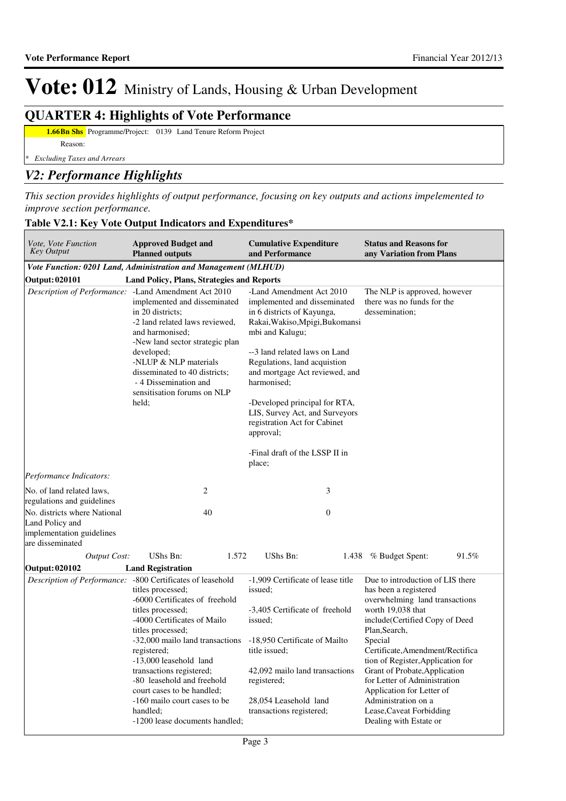### **QUARTER 4: Highlights of Vote Performance**

**1.66Bn Shs** Programme/Project: 0139 Land Tenure Reform Project

Reason:

*\* Excluding Taxes and Arrears*

### *V2: Performance Highlights*

*This section provides highlights of output performance, focusing on key outputs and actions impelemented to improve section performance.*

### **Table V2.1: Key Vote Output Indicators and Expenditures\***

| Vote, Vote Function<br><b>Key Output</b>                                                         | <b>Approved Budget and</b><br><b>Planned outputs</b>                                                                                                                                                                                                                                                                                                                                                                                          | <b>Cumulative Expenditure</b><br>and Performance                                                                                                                                                                                                                                                                                                                                                                           | <b>Status and Reasons for</b><br>any Variation from Plans                                                                                                                                                                                                                                                                                                                                                                          |
|--------------------------------------------------------------------------------------------------|-----------------------------------------------------------------------------------------------------------------------------------------------------------------------------------------------------------------------------------------------------------------------------------------------------------------------------------------------------------------------------------------------------------------------------------------------|----------------------------------------------------------------------------------------------------------------------------------------------------------------------------------------------------------------------------------------------------------------------------------------------------------------------------------------------------------------------------------------------------------------------------|------------------------------------------------------------------------------------------------------------------------------------------------------------------------------------------------------------------------------------------------------------------------------------------------------------------------------------------------------------------------------------------------------------------------------------|
|                                                                                                  | Vote Function: 0201 Land, Administration and Management (MLHUD)                                                                                                                                                                                                                                                                                                                                                                               |                                                                                                                                                                                                                                                                                                                                                                                                                            |                                                                                                                                                                                                                                                                                                                                                                                                                                    |
| <b>Output: 020101</b>                                                                            | Land Policy, Plans, Strategies and Reports                                                                                                                                                                                                                                                                                                                                                                                                    |                                                                                                                                                                                                                                                                                                                                                                                                                            |                                                                                                                                                                                                                                                                                                                                                                                                                                    |
|                                                                                                  | Description of Performance: -Land Amendment Act 2010<br>implemented and disseminated<br>in 20 districts:<br>-2 land related laws reviewed,<br>and harmonised;<br>-New land sector strategic plan<br>developed;<br>-NLUP & NLP materials<br>disseminated to 40 districts;<br>- 4 Dissemination and<br>sensitisation forums on NLP<br>held;                                                                                                     | -Land Amendment Act 2010<br>implemented and disseminated<br>in 6 districts of Kayunga,<br>Rakai, Wakiso, Mpigi, Bukomansi<br>mbi and Kalugu;<br>--3 land related laws on Land<br>Regulations, land acquistion<br>and mortgage Act reviewed, and<br>harmonised;<br>-Developed principal for RTA,<br>LIS, Survey Act, and Surveyors<br>registration Act for Cabinet<br>approval;<br>-Final draft of the LSSP II in<br>place; | The NLP is approved, however<br>there was no funds for the<br>dessemination:                                                                                                                                                                                                                                                                                                                                                       |
| Performance Indicators:                                                                          |                                                                                                                                                                                                                                                                                                                                                                                                                                               |                                                                                                                                                                                                                                                                                                                                                                                                                            |                                                                                                                                                                                                                                                                                                                                                                                                                                    |
| No. of land related laws,<br>regulations and guidelines                                          | 2                                                                                                                                                                                                                                                                                                                                                                                                                                             | 3                                                                                                                                                                                                                                                                                                                                                                                                                          |                                                                                                                                                                                                                                                                                                                                                                                                                                    |
| No. districts where National<br>Land Policy and<br>implementation guidelines<br>are disseminated | 40                                                                                                                                                                                                                                                                                                                                                                                                                                            | $\mathbf{0}$                                                                                                                                                                                                                                                                                                                                                                                                               |                                                                                                                                                                                                                                                                                                                                                                                                                                    |
| <b>Output Cost:</b>                                                                              | UShs Bn:<br>1.572                                                                                                                                                                                                                                                                                                                                                                                                                             | UShs Bn:                                                                                                                                                                                                                                                                                                                                                                                                                   | 91.5%<br>1.438 % Budget Spent:                                                                                                                                                                                                                                                                                                                                                                                                     |
| <b>Output: 020102</b>                                                                            | <b>Land Registration</b>                                                                                                                                                                                                                                                                                                                                                                                                                      |                                                                                                                                                                                                                                                                                                                                                                                                                            |                                                                                                                                                                                                                                                                                                                                                                                                                                    |
|                                                                                                  | Description of Performance: - 800 Certificates of leasehold<br>titles processed;<br>-6000 Certificates of freehold<br>titles processed:<br>-4000 Certificates of Mailo<br>titles processed;<br>-32,000 mailo land transactions<br>registered;<br>-13,000 leasehold land<br>transactions registered;<br>-80 leasehold and freehold<br>court cases to be handled;<br>-160 mailo court cases to be<br>handled;<br>-1200 lease documents handled; | -1,909 Certificate of lease title<br>issued;<br>-3,405 Certificate of freehold<br>issued;<br>-18,950 Certificate of Mailto<br>title issued;<br>42,092 mailo land transactions<br>registered;<br>28,054 Leasehold land<br>transactions registered;                                                                                                                                                                          | Due to introduction of LIS there<br>has been a registered<br>overwhelming land transactions<br>worth 19,038 that<br>include(Certified Copy of Deed<br>Plan, Search,<br>Special<br>Certificate, Amendment/Rectifica<br>tion of Register, Application for<br>Grant of Probate, Application<br>for Letter of Administration<br>Application for Letter of<br>Administration on a<br>Lease, Caveat Forbidding<br>Dealing with Estate or |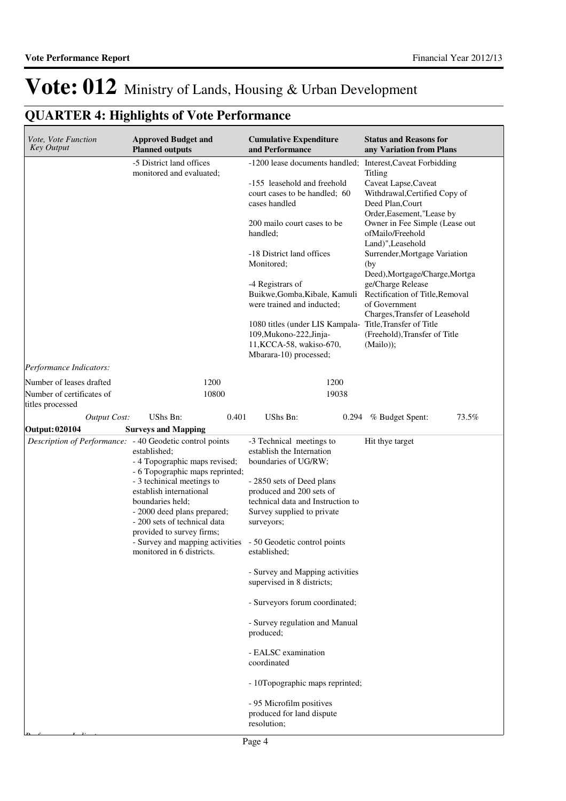## **QUARTER 4: Highlights of Vote Performance**

| Vote, Vote Function<br><b>Key Output</b>                 | <b>Approved Budget and</b><br><b>Planned outputs</b>                                                                                                                                                                                                                                                                      | <b>Cumulative Expenditure</b><br>and Performance                                                                                                                                                                                                                                                                                                                                                                                                                | <b>Status and Reasons for</b><br>any Variation from Plans                                                                                                                                                                                                                                                                                                                                                            |  |  |
|----------------------------------------------------------|---------------------------------------------------------------------------------------------------------------------------------------------------------------------------------------------------------------------------------------------------------------------------------------------------------------------------|-----------------------------------------------------------------------------------------------------------------------------------------------------------------------------------------------------------------------------------------------------------------------------------------------------------------------------------------------------------------------------------------------------------------------------------------------------------------|----------------------------------------------------------------------------------------------------------------------------------------------------------------------------------------------------------------------------------------------------------------------------------------------------------------------------------------------------------------------------------------------------------------------|--|--|
|                                                          | -5 District land offices<br>monitored and evaluated;                                                                                                                                                                                                                                                                      | -1200 lease documents handled; Interest, Caveat Forbidding<br>-155 leasehold and freehold<br>court cases to be handled; 60<br>cases handled<br>200 mailo court cases to be<br>handled;<br>-18 District land offices<br>Monitored;<br>-4 Registrars of<br>Buikwe, Gomba, Kibale, Kamuli<br>were trained and inducted;<br>1080 titles (under LIS Kampala- Title, Transfer of Title<br>109, Mukono-222, Jinja-                                                     | Titling<br>Caveat Lapse, Caveat<br>Withdrawal, Certified Copy of<br>Deed Plan, Court<br>Order, Easement, "Lease by<br>Owner in Fee Simple (Lease out<br>ofMailo/Freehold<br>Land)", Leasehold<br>Surrender, Mortgage Variation<br>(by)<br>Deed), Mortgage/Charge, Mortga<br>ge/Charge Release<br>Rectification of Title, Removal<br>of Government<br>Charges, Transfer of Leasehold<br>(Freehold), Transfer of Title |  |  |
|                                                          |                                                                                                                                                                                                                                                                                                                           | 11, KCCA-58, wakiso-670,<br>Mbarara-10) processed;                                                                                                                                                                                                                                                                                                                                                                                                              | $(Mailo)$ ;                                                                                                                                                                                                                                                                                                                                                                                                          |  |  |
| Performance Indicators:                                  |                                                                                                                                                                                                                                                                                                                           |                                                                                                                                                                                                                                                                                                                                                                                                                                                                 |                                                                                                                                                                                                                                                                                                                                                                                                                      |  |  |
| Number of leases drafted                                 | 1200                                                                                                                                                                                                                                                                                                                      | 1200                                                                                                                                                                                                                                                                                                                                                                                                                                                            |                                                                                                                                                                                                                                                                                                                                                                                                                      |  |  |
| Number of certificates of<br>titles processed            | 10800                                                                                                                                                                                                                                                                                                                     | 19038                                                                                                                                                                                                                                                                                                                                                                                                                                                           |                                                                                                                                                                                                                                                                                                                                                                                                                      |  |  |
| <b>Output Cost:</b>                                      | UShs Bn:<br>0.401                                                                                                                                                                                                                                                                                                         | UShs Bn:<br>0.294                                                                                                                                                                                                                                                                                                                                                                                                                                               | % Budget Spent:<br>73.5%                                                                                                                                                                                                                                                                                                                                                                                             |  |  |
| Output: 020104                                           | <b>Surveys and Mapping</b>                                                                                                                                                                                                                                                                                                |                                                                                                                                                                                                                                                                                                                                                                                                                                                                 |                                                                                                                                                                                                                                                                                                                                                                                                                      |  |  |
| Description of Performance: - 40 Geodetic control points | established;<br>- 4 Topographic maps revised;<br>- 6 Topographic maps reprinted;<br>- 3 techinical meetings to<br>establish international<br>boundaries held;<br>- 2000 deed plans prepared;<br>- 200 sets of technical data<br>provided to survey firms;<br>- Survey and mapping activities<br>monitored in 6 districts. | -3 Technical meetings to<br>establish the Internation<br>boundaries of UG/RW;<br>- 2850 sets of Deed plans<br>produced and 200 sets of<br>technical data and Instruction to<br>Survey supplied to private<br>surveyors;<br>- 50 Geodetic control points<br>established;<br>- Survey and Mapping activities<br>supervised in 8 districts;<br>- Surveyors forum coordinated;<br>- Survey regulation and Manual<br>produced;<br>- EALSC examination<br>coordinated | Hit thye target                                                                                                                                                                                                                                                                                                                                                                                                      |  |  |
|                                                          |                                                                                                                                                                                                                                                                                                                           | - 10Topographic maps reprinted;                                                                                                                                                                                                                                                                                                                                                                                                                                 |                                                                                                                                                                                                                                                                                                                                                                                                                      |  |  |
|                                                          |                                                                                                                                                                                                                                                                                                                           | - 95 Microfilm positives<br>produced for land dispute<br>resolution;                                                                                                                                                                                                                                                                                                                                                                                            |                                                                                                                                                                                                                                                                                                                                                                                                                      |  |  |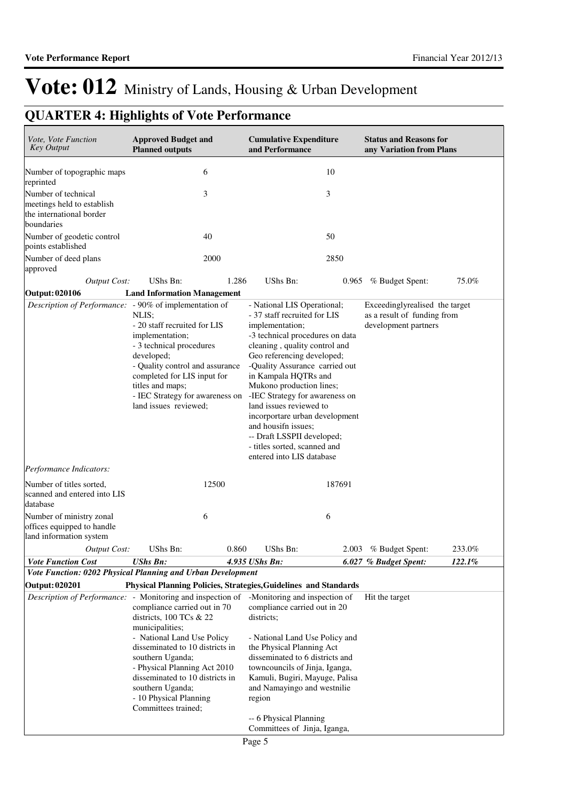## **QUARTER 4: Highlights of Vote Performance**

| Vote, Vote Function<br><b>Key Output</b>                                                    | <b>Approved Budget and</b><br><b>Planned outputs</b>                                                                                                                                                                                                                                                                                                                                                         | <b>Cumulative Expenditure</b><br>and Performance                                                                                                                                                                                                                                                                                                                                                                                                                                        | <b>Status and Reasons for</b><br>any Variation from Plans                             |
|---------------------------------------------------------------------------------------------|--------------------------------------------------------------------------------------------------------------------------------------------------------------------------------------------------------------------------------------------------------------------------------------------------------------------------------------------------------------------------------------------------------------|-----------------------------------------------------------------------------------------------------------------------------------------------------------------------------------------------------------------------------------------------------------------------------------------------------------------------------------------------------------------------------------------------------------------------------------------------------------------------------------------|---------------------------------------------------------------------------------------|
| Number of topographic maps<br>reprinted                                                     | 6                                                                                                                                                                                                                                                                                                                                                                                                            | 10                                                                                                                                                                                                                                                                                                                                                                                                                                                                                      |                                                                                       |
| Number of technical<br>meetings held to establish<br>the international border<br>boundaries | 3                                                                                                                                                                                                                                                                                                                                                                                                            | 3                                                                                                                                                                                                                                                                                                                                                                                                                                                                                       |                                                                                       |
| Number of geodetic control<br>points established                                            | 40                                                                                                                                                                                                                                                                                                                                                                                                           | 50                                                                                                                                                                                                                                                                                                                                                                                                                                                                                      |                                                                                       |
| Number of deed plans<br>approved                                                            | 2000                                                                                                                                                                                                                                                                                                                                                                                                         | 2850                                                                                                                                                                                                                                                                                                                                                                                                                                                                                    |                                                                                       |
| <b>Output Cost:</b>                                                                         | UShs Bn:<br>1.286                                                                                                                                                                                                                                                                                                                                                                                            | <b>UShs Bn:</b>                                                                                                                                                                                                                                                                                                                                                                                                                                                                         | 75.0%<br>0.965 % Budget Spent:                                                        |
| Output: 020106                                                                              | <b>Land Information Management</b>                                                                                                                                                                                                                                                                                                                                                                           |                                                                                                                                                                                                                                                                                                                                                                                                                                                                                         |                                                                                       |
| Description of Performance: - 90% of implementation of                                      | NLIS:<br>- 20 staff recruited for LIS<br>implementation;<br>- 3 technical procedures<br>developed;<br>- Quality control and assurance<br>completed for LIS input for<br>titles and maps;<br>- IEC Strategy for awareness on<br>land issues reviewed;                                                                                                                                                         | - National LIS Operational;<br>- 37 staff recruited for LIS<br>implementation;<br>-3 technical procedures on data<br>cleaning, quality control and<br>Geo referencing developed;<br>-Quality Assurance carried out<br>in Kampala HQTRs and<br>Mukono production lines;<br>-IEC Strategy for awareness on<br>land issues reviewed to<br>incorportare urban development<br>and housifn issues;<br>-- Draft LSSPII developed;<br>- titles sorted, scanned and<br>entered into LIS database | Exceedinglyrealised the target<br>as a result of funding from<br>development partners |
| Performance Indicators:                                                                     |                                                                                                                                                                                                                                                                                                                                                                                                              |                                                                                                                                                                                                                                                                                                                                                                                                                                                                                         |                                                                                       |
| Number of titles sorted,<br>scanned and entered into LIS<br>database                        | 12500                                                                                                                                                                                                                                                                                                                                                                                                        | 187691                                                                                                                                                                                                                                                                                                                                                                                                                                                                                  |                                                                                       |
| Number of ministry zonal<br>offices equipped to handle<br>land information system           | 6                                                                                                                                                                                                                                                                                                                                                                                                            | 6                                                                                                                                                                                                                                                                                                                                                                                                                                                                                       |                                                                                       |
| <b>Output Cost:</b>                                                                         | 0.860<br>UShs Bn:                                                                                                                                                                                                                                                                                                                                                                                            | UShs Bn:                                                                                                                                                                                                                                                                                                                                                                                                                                                                                | 2.003 % Budget Spent:<br>233.0%                                                       |
| <b>Vote Function Cost</b>                                                                   | <b>UShs Bn:</b>                                                                                                                                                                                                                                                                                                                                                                                              | 4.935 UShs Bn:                                                                                                                                                                                                                                                                                                                                                                                                                                                                          | 6.027 % Budget Spent:<br>122.1%                                                       |
|                                                                                             | Vote Function: 0202 Physical Planning and Urban Development                                                                                                                                                                                                                                                                                                                                                  |                                                                                                                                                                                                                                                                                                                                                                                                                                                                                         |                                                                                       |
| Output: 020201                                                                              | Physical Planning Policies, Strategies, Guidelines and Standards                                                                                                                                                                                                                                                                                                                                             |                                                                                                                                                                                                                                                                                                                                                                                                                                                                                         |                                                                                       |
|                                                                                             | <i>Description of Performance:</i> - Monitoring and inspection of -Monitoring and inspection of<br>compliance carried out in 70<br>districts, $100$ TCs & 22<br>municipalities;<br>- National Land Use Policy<br>disseminated to 10 districts in<br>southern Uganda;<br>- Physical Planning Act 2010<br>disseminated to 10 districts in<br>southern Uganda;<br>- 10 Physical Planning<br>Committees trained; | compliance carried out in 20<br>districts;<br>- National Land Use Policy and<br>the Physical Planning Act<br>disseminated to 6 districts and<br>towncouncils of Jinja, Iganga,<br>Kamuli, Bugiri, Mayuge, Palisa<br>and Namayingo and westnilie<br>region<br>-- 6 Physical Planning<br>Committees of Jinja, Iganga,                                                                                                                                                                     | Hit the target                                                                        |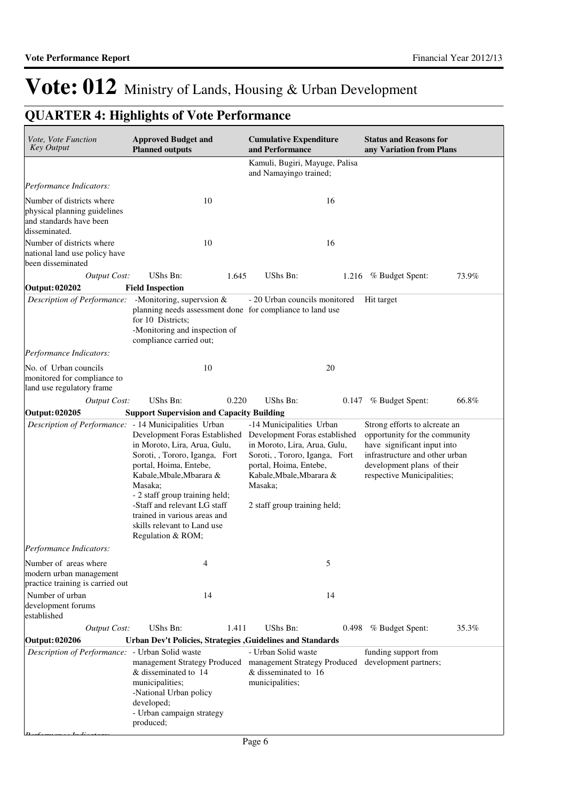## **QUARTER 4: Highlights of Vote Performance**

| Vote, Vote Function<br><b>Key Output</b>                                                              | <b>Approved Budget and</b><br><b>Planned outputs</b>                                                                                                                                                                                                                                                                   | <b>Cumulative Expenditure</b><br>and Performance                                                                                                                                                                             | <b>Status and Reasons for</b><br>any Variation from Plans                                                                                                                                   |
|-------------------------------------------------------------------------------------------------------|------------------------------------------------------------------------------------------------------------------------------------------------------------------------------------------------------------------------------------------------------------------------------------------------------------------------|------------------------------------------------------------------------------------------------------------------------------------------------------------------------------------------------------------------------------|---------------------------------------------------------------------------------------------------------------------------------------------------------------------------------------------|
|                                                                                                       |                                                                                                                                                                                                                                                                                                                        | Kamuli, Bugiri, Mayuge, Palisa<br>and Namayingo trained;                                                                                                                                                                     |                                                                                                                                                                                             |
| Performance Indicators:                                                                               |                                                                                                                                                                                                                                                                                                                        |                                                                                                                                                                                                                              |                                                                                                                                                                                             |
| Number of districts where<br>physical planning guidelines<br>and standards have been<br>disseminated. | 10                                                                                                                                                                                                                                                                                                                     | 16                                                                                                                                                                                                                           |                                                                                                                                                                                             |
| Number of districts where<br>national land use policy have<br>been disseminated                       | 10                                                                                                                                                                                                                                                                                                                     | 16                                                                                                                                                                                                                           |                                                                                                                                                                                             |
| <b>Output Cost:</b>                                                                                   | UShs Bn:<br>1.645                                                                                                                                                                                                                                                                                                      | UShs Bn:                                                                                                                                                                                                                     | 73.9%<br>1.216 % Budget Spent:                                                                                                                                                              |
| <b>Output: 020202</b>                                                                                 | <b>Field Inspection</b>                                                                                                                                                                                                                                                                                                |                                                                                                                                                                                                                              |                                                                                                                                                                                             |
| Description of Performance: - Monitoring, supervsion &                                                | planning needs assessment done for compliance to land use<br>for 10 Districts;<br>-Monitoring and inspection of<br>compliance carried out;                                                                                                                                                                             | - 20 Urban councils monitored                                                                                                                                                                                                | Hit target                                                                                                                                                                                  |
| Performance Indicators:                                                                               |                                                                                                                                                                                                                                                                                                                        |                                                                                                                                                                                                                              |                                                                                                                                                                                             |
| No. of Urban councils<br>monitored for compliance to<br>land use regulatory frame                     | 10                                                                                                                                                                                                                                                                                                                     | 20                                                                                                                                                                                                                           |                                                                                                                                                                                             |
| Output Cost:                                                                                          | UShs Bn:<br>0.220                                                                                                                                                                                                                                                                                                      | UShs Bn:<br>0.147                                                                                                                                                                                                            | 66.8%<br>% Budget Spent:                                                                                                                                                                    |
| <b>Output: 020205</b>                                                                                 | <b>Support Supervision and Capacity Building</b>                                                                                                                                                                                                                                                                       |                                                                                                                                                                                                                              |                                                                                                                                                                                             |
| Description of Performance: - 14 Municipalities Urban                                                 | Development Foras Established<br>in Moroto, Lira, Arua, Gulu,<br>Soroti, , Tororo, Iganga, Fort<br>portal, Hoima, Entebe,<br>Kabale, Mbale, Mbarara &<br>Masaka:<br>- 2 staff group training held;<br>-Staff and relevant LG staff<br>trained in various areas and<br>skills relevant to Land use<br>Regulation & ROM; | -14 Municipalities Urban<br>Development Foras established<br>in Moroto, Lira, Arua, Gulu,<br>Soroti, , Tororo, Iganga, Fort<br>portal, Hoima, Entebe,<br>Kabale, Mbale, Mbarara &<br>Masaka;<br>2 staff group training held; | Strong efforts to alcreate an<br>opportunity for the community<br>have significant input into<br>infrastructure and other urban<br>development plans of their<br>respective Municipalities; |
| Performance Indicators:                                                                               |                                                                                                                                                                                                                                                                                                                        |                                                                                                                                                                                                                              |                                                                                                                                                                                             |
| Number of areas where<br>modern urban management<br>practice training is carried out                  | 4                                                                                                                                                                                                                                                                                                                      | 5                                                                                                                                                                                                                            |                                                                                                                                                                                             |
| Number of urban<br>development forums<br>established                                                  | 14                                                                                                                                                                                                                                                                                                                     | 14                                                                                                                                                                                                                           |                                                                                                                                                                                             |
| <b>Output Cost:</b>                                                                                   | UShs Bn:<br>1.411                                                                                                                                                                                                                                                                                                      | UShs Bn:<br>0.498                                                                                                                                                                                                            | 35.3%<br>% Budget Spent:                                                                                                                                                                    |
| <b>Output: 020206</b>                                                                                 | Urban Dev't Policies, Strategies , Guidelines and Standards                                                                                                                                                                                                                                                            |                                                                                                                                                                                                                              |                                                                                                                                                                                             |
| Description of Performance: - Urban Solid waste                                                       | management Strategy Produced management Strategy Produced<br>& disseminated to 14<br>municipalities;<br>-National Urban policy<br>developed;<br>- Urban campaign strategy<br>produced;                                                                                                                                 | - Urban Solid waste<br>& disseminated to 16<br>municipalities;                                                                                                                                                               | funding support from<br>development partners;                                                                                                                                               |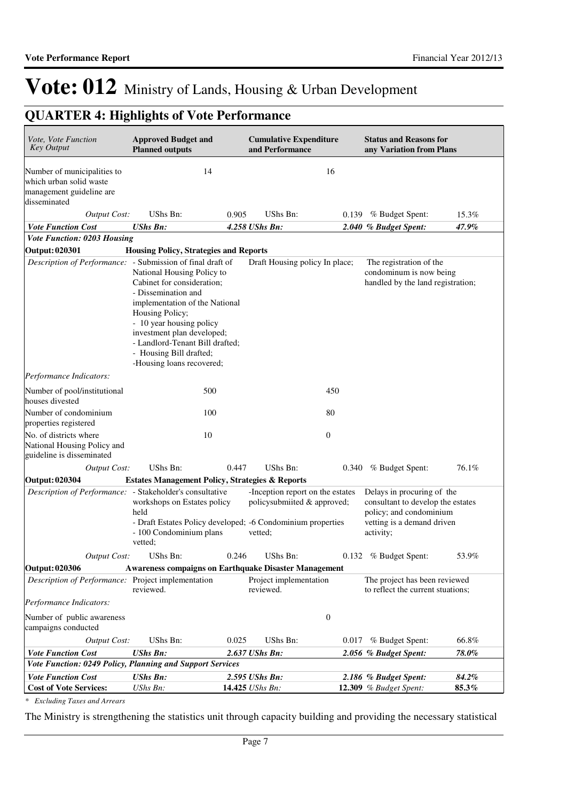## **QUARTER 4: Highlights of Vote Performance**

| Vote, Vote Function<br><b>Key Output</b>                                                           | <b>Approved Budget and</b><br><b>Planned outputs</b>                                                                                                                                                                                                                                      |       | <b>Cumulative Expenditure</b><br>and Performance                                                                                          |       | <b>Status and Reasons for</b><br>any Variation from Plans                                                                             |                |  |
|----------------------------------------------------------------------------------------------------|-------------------------------------------------------------------------------------------------------------------------------------------------------------------------------------------------------------------------------------------------------------------------------------------|-------|-------------------------------------------------------------------------------------------------------------------------------------------|-------|---------------------------------------------------------------------------------------------------------------------------------------|----------------|--|
| Number of municipalities to<br>which urban solid waste<br>management guideline are<br>disseminated | 14                                                                                                                                                                                                                                                                                        |       | 16                                                                                                                                        |       |                                                                                                                                       |                |  |
| <b>Output Cost:</b>                                                                                | UShs Bn:                                                                                                                                                                                                                                                                                  | 0.905 | UShs Bn:                                                                                                                                  |       | 0.139 % Budget Spent:                                                                                                                 | 15.3%          |  |
| <b>Vote Function Cost</b>                                                                          | <b>UShs Bn:</b>                                                                                                                                                                                                                                                                           |       | 4.258 UShs Bn:                                                                                                                            |       | 2.040 % Budget Spent:                                                                                                                 | 47.9%          |  |
| <b>Vote Function: 0203 Housing</b>                                                                 |                                                                                                                                                                                                                                                                                           |       |                                                                                                                                           |       |                                                                                                                                       |                |  |
| Output: 020301                                                                                     | <b>Housing Policy, Strategies and Reports</b>                                                                                                                                                                                                                                             |       |                                                                                                                                           |       |                                                                                                                                       |                |  |
| Description of Performance: - Submission of final draft of                                         | National Housing Policy to<br>Cabinet for consideration;<br>- Dissemination and<br>implementation of the National<br>Housing Policy;<br>- 10 year housing policy<br>investment plan developed;<br>- Landlord-Tenant Bill drafted;<br>- Housing Bill drafted;<br>-Housing loans recovered; |       | Draft Housing policy In place;                                                                                                            |       | The registration of the<br>condominum is now being<br>handled by the land registration;                                               |                |  |
| Performance Indicators:                                                                            |                                                                                                                                                                                                                                                                                           |       |                                                                                                                                           |       |                                                                                                                                       |                |  |
| Number of pool/institutional<br>houses divested                                                    | 500                                                                                                                                                                                                                                                                                       |       | 450                                                                                                                                       |       |                                                                                                                                       |                |  |
| Number of condominium<br>properties registered                                                     | 100                                                                                                                                                                                                                                                                                       |       | 80                                                                                                                                        |       |                                                                                                                                       |                |  |
| No. of districts where<br>National Housing Policy and<br>guideline is disseminated                 | 10                                                                                                                                                                                                                                                                                        |       | $\boldsymbol{0}$                                                                                                                          |       |                                                                                                                                       |                |  |
| <b>Output Cost:</b>                                                                                | UShs Bn:                                                                                                                                                                                                                                                                                  | 0.447 | <b>UShs Bn:</b>                                                                                                                           |       | 0.340 % Budget Spent:                                                                                                                 | 76.1%          |  |
| <b>Output: 020304</b>                                                                              | <b>Estates Management Policy, Strategies &amp; Reports</b>                                                                                                                                                                                                                                |       |                                                                                                                                           |       |                                                                                                                                       |                |  |
| Description of Performance: - Stakeholder's consultative                                           | workshops on Estates policy<br>held<br>- 100 Condominium plans<br>vetted;                                                                                                                                                                                                                 |       | -Inception report on the estates<br>policysubmiited & approved;<br>- Draft Estates Policy developed; -6 Condominium properties<br>vetted; |       | Delays in procuring of the<br>consultant to develop the estates<br>policy; and condominium<br>vetting is a demand driven<br>activity; |                |  |
| Output Cost:                                                                                       | UShs Bn:                                                                                                                                                                                                                                                                                  | 0.246 | UShs Bn:                                                                                                                                  |       | 0.132 % Budget Spent:                                                                                                                 | 53.9%          |  |
| <b>Output: 020306</b>                                                                              | <b>Awareness compaigns on Earthquake Disaster Management</b>                                                                                                                                                                                                                              |       |                                                                                                                                           |       |                                                                                                                                       |                |  |
| Description of Performance: Project implementation                                                 | reviewed.                                                                                                                                                                                                                                                                                 |       | Project implementation<br>reviewed.                                                                                                       |       | The project has been reviewed<br>to reflect the current stuations;                                                                    |                |  |
| Performance Indicators:                                                                            |                                                                                                                                                                                                                                                                                           |       |                                                                                                                                           |       |                                                                                                                                       |                |  |
| Number of public awareness<br>campaigns conducted                                                  |                                                                                                                                                                                                                                                                                           |       | $\boldsymbol{0}$                                                                                                                          |       |                                                                                                                                       |                |  |
| Output Cost:                                                                                       | UShs Bn:                                                                                                                                                                                                                                                                                  | 0.025 | UShs Bn:                                                                                                                                  | 0.017 | % Budget Spent:                                                                                                                       | 66.8%          |  |
| <b>Vote Function Cost</b>                                                                          | <b>UShs Bn:</b>                                                                                                                                                                                                                                                                           |       | 2.637 UShs Bn:                                                                                                                            |       | 2.056 % Budget Spent:                                                                                                                 | 78.0%          |  |
| Vote Function: 0249 Policy, Planning and Support Services                                          |                                                                                                                                                                                                                                                                                           |       |                                                                                                                                           |       |                                                                                                                                       |                |  |
| <b>Vote Function Cost</b><br><b>Cost of Vote Services:</b>                                         | <b>UShs Bn:</b><br>UShs Bn:                                                                                                                                                                                                                                                               |       | 2.595 UShs Bn:<br>14.425 UShs Bn:                                                                                                         |       | 2.186 % Budget Spent:<br><b>12.309</b> % Budget Spent:                                                                                | 84.2%<br>85.3% |  |

*\* Excluding Taxes and Arrears*

The Ministry is strengthening the statistics unit through capacity building and providing the necessary statistical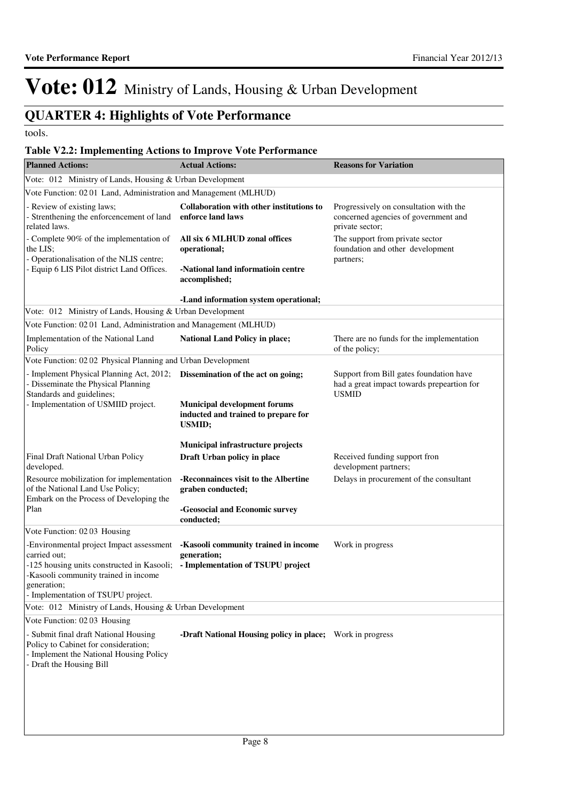## **QUARTER 4: Highlights of Vote Performance**

tools.

### **Table V2.2: Implementing Actions to Improve Vote Performance**

| <b>Planned Actions:</b>                                                                                                                              | <b>Actual Actions:</b>                                                                      | <b>Reasons for Variation</b>                                                                          |
|------------------------------------------------------------------------------------------------------------------------------------------------------|---------------------------------------------------------------------------------------------|-------------------------------------------------------------------------------------------------------|
| Vote: 012 Ministry of Lands, Housing & Urban Development                                                                                             |                                                                                             |                                                                                                       |
| Vote Function: 0201 Land, Administration and Management (MLHUD)                                                                                      |                                                                                             |                                                                                                       |
| - Review of existing laws;<br>- Strenthening the enforcencement of land<br>related laws.                                                             | Collaboration with other institutions to<br>enforce land laws                               | Progressively on consultation with the<br>concerned agencies of government and<br>private sector;     |
| - Complete 90% of the implementation of<br>the LIS;<br>- Operationalisation of the NLIS centre;                                                      | All six 6 MLHUD zonal offices<br>operational;                                               | The support from private sector<br>foundation and other development<br>partners;                      |
| - Equip 6 LIS Pilot district Land Offices.                                                                                                           | -National land informatioin centre<br>accomplished;                                         |                                                                                                       |
|                                                                                                                                                      | -Land information system operational;                                                       |                                                                                                       |
| Vote: 012 Ministry of Lands, Housing & Urban Development                                                                                             |                                                                                             |                                                                                                       |
| Vote Function: 0201 Land, Administration and Management (MLHUD)                                                                                      |                                                                                             |                                                                                                       |
| Implementation of the National Land<br>Policy                                                                                                        | <b>National Land Policy in place;</b>                                                       | There are no funds for the implementation<br>of the policy;                                           |
| Vote Function: 02 02 Physical Planning and Urban Development                                                                                         |                                                                                             |                                                                                                       |
| - Implement Physical Planning Act, 2012; Dissemination of the act on going;<br>- Disseminate the Physical Planning<br>Standards and guidelines;      |                                                                                             | Support from Bill gates foundation have<br>had a great impact towards prepeartion for<br><b>USMID</b> |
| - Implementation of USMIID project.                                                                                                                  | <b>Municipal development forums</b><br>inducted and trained to prepare for<br><b>USMID;</b> |                                                                                                       |
|                                                                                                                                                      | Municipal infrastructure projects                                                           |                                                                                                       |
| Final Draft National Urban Policy<br>developed.                                                                                                      | Draft Urban policy in place                                                                 | Received funding support fron<br>development partners;                                                |
| Resource mobilization for implementation<br>of the National Land Use Policy;<br>Embark on the Process of Developing the                              | -Reconnainces visit to the Albertine<br>graben conducted;                                   | Delays in procurement of the consultant                                                               |
| Plan                                                                                                                                                 | -Geosocial and Economic survey<br>conducted;                                                |                                                                                                       |
| Vote Function: 0203 Housing                                                                                                                          |                                                                                             |                                                                                                       |
| -Environmental project Impact assessment                                                                                                             | -Kasooli community trained in income                                                        | Work in progress                                                                                      |
| carried out;<br>-125 housing units constructed in Kasooli;<br>-Kasooli community trained in income                                                   | generation;<br>- Implementation of TSUPU project                                            |                                                                                                       |
| generation;<br>- Implementation of TSUPU project.                                                                                                    |                                                                                             |                                                                                                       |
| Vote: 012 Ministry of Lands, Housing & Urban Development                                                                                             |                                                                                             |                                                                                                       |
| Vote Function: 0203 Housing                                                                                                                          |                                                                                             |                                                                                                       |
| - Submit final draft National Housing<br>Policy to Cabinet for consideration;<br>- Implement the National Housing Policy<br>- Draft the Housing Bill | -Draft National Housing policy in place; Work in progress                                   |                                                                                                       |
|                                                                                                                                                      |                                                                                             |                                                                                                       |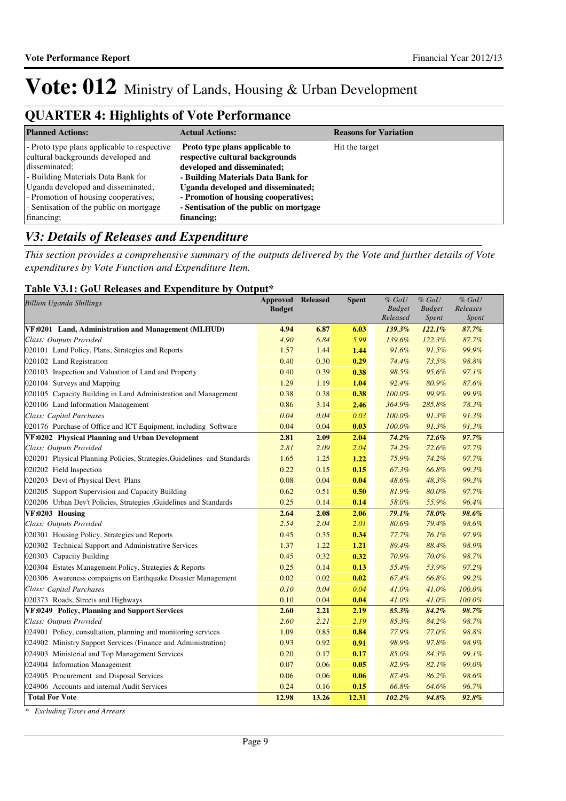### **QUARTER 4: Highlights of Vote Performance**

| <b>Planned Actions:</b>                                                                                                                                                                                                                                                         | <b>Actual Actions:</b>                                                                                                                                                                                                                                                               | <b>Reasons for Variation</b> |
|---------------------------------------------------------------------------------------------------------------------------------------------------------------------------------------------------------------------------------------------------------------------------------|--------------------------------------------------------------------------------------------------------------------------------------------------------------------------------------------------------------------------------------------------------------------------------------|------------------------------|
| - Proto type plans applicable to respective<br>cultural backgrounds developed and<br>disseminated:<br>- Building Materials Data Bank for<br>Uganda developed and disseminated;<br>- Promotion of housing cooperatives;<br>- Sentisation of the public on mortgage<br>financing: | Proto type plans applicable to<br>respective cultural backgrounds<br>developed and disseminated;<br>- Building Materials Data Bank for<br><b>Uganda developed and disseminated:</b><br>- Promotion of housing cooperatives;<br>- Sentisation of the public on mortgage<br>financing; | Hit the target               |

### *V3: Details of Releases and Expenditure*

*This section provides a comprehensive summary of the outputs delivered by the Vote and further details of Vote expenditures by Vote Function and Expenditure Item.*

### **Table V3.1: GoU Releases and Expenditure by Output\***

| <b>Billion Uganda Shillings</b>                                         | <b>Approved Released</b> |       | <b>Spent</b> | $%$ $GoU$     | $%$ $GoU$     | $%$ $GoU$ |
|-------------------------------------------------------------------------|--------------------------|-------|--------------|---------------|---------------|-----------|
|                                                                         | <b>Budget</b>            |       |              | <b>Budget</b> | <b>Budget</b> | Releases  |
|                                                                         |                          |       |              | Released      | Spent         | Spent     |
| VF:0201 Land, Administration and Management (MLHUD)                     | 4.94                     | 6.87  | 6.03         | 139.3%        | 122.1%        | 87.7%     |
| Class: Outputs Provided                                                 | 4.90                     | 6.84  | 5.99         | 139.6%        | 122.3%        | 87.7%     |
| 020101 Land Policy, Plans, Strategies and Reports                       | 1.57                     | 1.44  | 1.44         | 91.6%         | 91.5%         | 99.9%     |
| 020102 Land Registration                                                | 0.40                     | 0.30  | 0.29         | 74.4%         | 73.5%         | 98.8%     |
| 020103 Inspection and Valuation of Land and Property                    | 0.40                     | 0.39  | 0.38         | 98.5%         | 95.6%         | 97.1%     |
| 020104 Surveys and Mapping                                              | 1.29                     | 1.19  | 1.04         | 92.4%         | 80.9%         | 87.6%     |
| 020105 Capacity Building in Land Administration and Management          | 0.38                     | 0.38  | 0.38         | 100.0%        | 99.9%         | 99.9%     |
| 020106 Land Information Management                                      | 0.86                     | 3.14  | 2.46         | 364.9%        | 285.8%        | 78.3%     |
| Class: Capital Purchases                                                | 0.04                     | 0.04  | 0.03         | 100.0%        | 91.3%         | 91.3%     |
| 020176 Purchase of Office and ICT Equipment, including Software         | 0.04                     | 0.04  | 0.03         | 100.0%        | 91.3%         | 91.3%     |
| VF:0202 Physical Planning and Urban Development                         | 2.81                     | 2.09  | 2.04         | 74.2%         | 72.6%         | 97.7%     |
| Class: Outputs Provided                                                 | 2.81                     | 2.09  | 2.04         | 74.2%         | 72.6%         | 97.7%     |
| 020201 Physical Planning Policies, Strategies, Guidelines and Standards | 1.65                     | 1.25  | 1.22         | 75.9%         | 74.2%         | 97.7%     |
| 020202 Field Inspection                                                 | 0.22                     | 0.15  | 0.15         | 67.3%         | 66.8%         | 99.3%     |
| 020203 Devt of Physical Devt Plans                                      | 0.08                     | 0.04  | 0.04         | 48.6%         | 48.3%         | 99.3%     |
| 020205 Support Supervision and Capacity Building                        | 0.62                     | 0.51  | 0.50         | 81.9%         | 80.0%         | 97.7%     |
| 020206 Urban Dev't Policies, Strategies , Guidelines and Standards      | 0.25                     | 0.14  | 0.14         | 58.0%         | 55.9%         | 96.4%     |
| VF:0203 Housing                                                         | 2.64                     | 2.08  | 2.06         | 79.1%         | 78.0%         | 98.6%     |
| Class: Outputs Provided                                                 | 2.54                     | 2.04  | 2.01         | 80.6%         | 79.4%         | 98.6%     |
| 020301 Housing Policy, Strategies and Reports                           | 0.45                     | 0.35  | 0.34         | 77.7%         | 76.1%         | 97.9%     |
| 020302 Technical Support and Administrative Services                    | 1.37                     | 1.22  | 1.21         | 89.4%         | 88.4%         | 98.9%     |
| 020303 Capacity Building                                                | 0.45                     | 0.32  | 0.32         | 70.9%         | 70.0%         | 98.7%     |
| 020304 Estates Management Policy, Strategies & Reports                  | 0.25                     | 0.14  | 0.13         | 55.4%         | 53.9%         | 97.2%     |
| 020306 Awareness compaigns on Earthquake Disaster Management            | 0.02                     | 0.02  | 0.02         | 67.4%         | 66.8%         | 99.2%     |
| Class: Capital Purchases                                                | 0.10                     | 0.04  | 0.04         | 41.0%         | 41.0%         | 100.0%    |
| 020373 Roads, Streets and Highways                                      | 0.10                     | 0.04  | 0.04         | 41.0%         | 41.0%         | 100.0%    |
| VF:0249 Policy, Planning and Support Services                           | 2.60                     | 2.21  | 2.19         | 85.3%         | 84.2%         | 98.7%     |
| Class: Outputs Provided                                                 | 2.60                     | 2.21  | 2.19         | 85.3%         | 84.2%         | 98.7%     |
| 024901 Policy, consultation, planning and monitoring services           | 1.09                     | 0.85  | 0.84         | 77.9%         | 77.0%         | 98.8%     |
| 024902 Ministry Support Services (Finance and Administration)           | 0.93                     | 0.92  | 0.91         | 98.9%         | 97.8%         | 98.9%     |
| 024903 Ministerial and Top Management Services                          | 0.20                     | 0.17  | 0.17         | 85.0%         | 84.3%         | 99.1%     |
| 024904 Information Management                                           | 0.07                     | 0.06  | 0.05         | 82.9%         | 82.1%         | 99.0%     |
| 024905 Procurement and Disposal Services                                | 0.06                     | 0.06  | 0.06         | 87.4%         | 86.2%         | 98.6%     |
| 024906 Accounts and internal Audit Services                             | 0.24                     | 0.16  | 0.15         | 66.8%         | 64.6%         | 96.7%     |
| <b>Total For Vote</b>                                                   | 12.98                    | 13.26 | 12.31        | 102.2%        | 94.8%         | 92.8%     |

*\* Excluding Taxes and Arrears*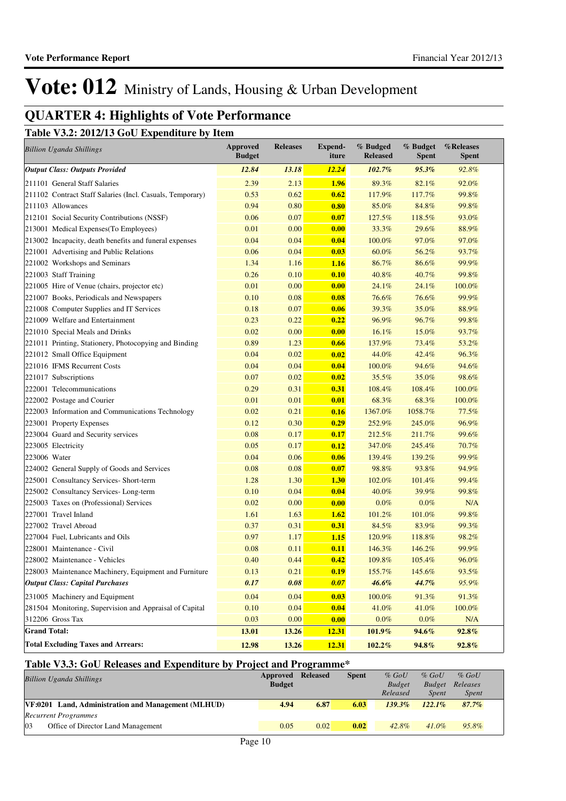## **QUARTER 4: Highlights of Vote Performance**

### **Table V3.2: 2012/13 GoU Expenditure by Item**

| <b>Billion Uganda Shillings</b>                           | <b>Approved</b><br><b>Budget</b> | <b>Releases</b> | <b>Expend-</b><br>iture | % Budged<br><b>Released</b> | % Budget<br><b>Spent</b> | %Releases<br><b>Spent</b> |
|-----------------------------------------------------------|----------------------------------|-----------------|-------------------------|-----------------------------|--------------------------|---------------------------|
| <b>Output Class: Outputs Provided</b>                     | 12.84                            | 13.18           | 12.24                   | 102.7%                      | 95.3%                    | 92.8%                     |
| 211101 General Staff Salaries                             | 2.39                             | 2.13            | 1.96                    | 89.3%                       | 82.1%                    | 92.0%                     |
| 211102 Contract Staff Salaries (Incl. Casuals, Temporary) | 0.53                             | 0.62            | 0.62                    | 117.9%                      | 117.7%                   | 99.8%                     |
| 211103 Allowances                                         | 0.94                             | 0.80            | 0.80                    | 85.0%                       | 84.8%                    | 99.8%                     |
| 212101 Social Security Contributions (NSSF)               | 0.06                             | 0.07            | 0.07                    | 127.5%                      | 118.5%                   | 93.0%                     |
| 213001 Medical Expenses(To Employees)                     | 0.01                             | 0.00            | 0.00                    | 33.3%                       | 29.6%                    | 88.9%                     |
| 213002 Incapacity, death benefits and funeral expenses    | 0.04                             | 0.04            | 0.04                    | 100.0%                      | 97.0%                    | 97.0%                     |
| 221001 Advertising and Public Relations                   | 0.06                             | 0.04            | 0.03                    | 60.0%                       | 56.2%                    | 93.7%                     |
| 221002 Workshops and Seminars                             | 1.34                             | 1.16            | <b>1.16</b>             | 86.7%                       | 86.6%                    | 99.9%                     |
| 221003 Staff Training                                     | 0.26                             | 0.10            | 0.10                    | 40.8%                       | 40.7%                    | 99.8%                     |
| 221005 Hire of Venue (chairs, projector etc)              | 0.01                             | 0.00            | 0.00                    | 24.1%                       | 24.1%                    | 100.0%                    |
| 221007 Books, Periodicals and Newspapers                  | 0.10                             | 0.08            | 0.08                    | 76.6%                       | 76.6%                    | 99.9%                     |
| 221008 Computer Supplies and IT Services                  | 0.18                             | 0.07            | 0.06                    | 39.3%                       | 35.0%                    | 88.9%                     |
| 221009 Welfare and Entertainment                          | 0.23                             | 0.22            | 0.22                    | 96.9%                       | 96.7%                    | 99.8%                     |
| 221010 Special Meals and Drinks                           | 0.02                             | 0.00            | 0.00                    | 16.1%                       | 15.0%                    | 93.7%                     |
| 221011 Printing, Stationery, Photocopying and Binding     | 0.89                             | 1.23            | 0.66                    | 137.9%                      | 73.4%                    | 53.2%                     |
| 221012 Small Office Equipment                             | 0.04                             | 0.02            | 0.02                    | 44.0%                       | 42.4%                    | 96.3%                     |
| 221016 IFMS Recurrent Costs                               | 0.04                             | 0.04            | 0.04                    | 100.0%                      | 94.6%                    | 94.6%                     |
| 221017 Subscriptions                                      | 0.07                             | 0.02            | 0.02                    | 35.5%                       | 35.0%                    | 98.6%                     |
| 222001 Telecommunications                                 | 0.29                             | 0.31            | 0.31                    | 108.4%                      | 108.4%                   | 100.0%                    |
| 222002 Postage and Courier                                | 0.01                             | 0.01            | 0.01                    | 68.3%                       | 68.3%                    | 100.0%                    |
| 222003 Information and Communications Technology          | 0.02                             | 0.21            | 0.16                    | 1367.0%                     | 1058.7%                  | 77.5%                     |
| 223001 Property Expenses                                  | 0.12                             | 0.30            | 0.29                    | 252.9%                      | 245.0%                   | 96.9%                     |
| 223004 Guard and Security services                        | 0.08                             | 0.17            | 0.17                    | 212.5%                      | 211.7%                   | 99.6%                     |
| 223005 Electricity                                        | 0.05                             | 0.17            | 0.12                    | 347.0%                      | 245.4%                   | 70.7%                     |
| 223006 Water                                              | 0.04                             | 0.06            | 0.06                    | 139.4%                      | 139.2%                   | 99.9%                     |
| 224002 General Supply of Goods and Services               | 0.08                             | 0.08            | 0.07                    | 98.8%                       | 93.8%                    | 94.9%                     |
| 225001 Consultancy Services- Short-term                   | 1.28                             | 1.30            | 1.30                    | 102.0%                      | 101.4%                   | 99.4%                     |
| 225002 Consultancy Services-Long-term                     | 0.10                             | 0.04            | 0.04                    | 40.0%                       | 39.9%                    | 99.8%                     |
| 225003 Taxes on (Professional) Services                   | 0.02                             | 0.00            | 0.00                    | $0.0\%$                     | 0.0%                     | N/A                       |
| 227001 Travel Inland                                      | 1.61                             | 1.63            | 1.62                    | 101.2%                      | 101.0%                   | 99.8%                     |
| 227002 Travel Abroad                                      | 0.37                             | 0.31            | 0.31                    | 84.5%                       | 83.9%                    | 99.3%                     |
| 227004 Fuel, Lubricants and Oils                          | 0.97                             | 1.17            | <b>1.15</b>             | 120.9%                      | 118.8%                   | 98.2%                     |
| 228001 Maintenance - Civil                                | 0.08                             | 0.11            | 0.11                    | 146.3%                      | 146.2%                   | 99.9%                     |
| 228002 Maintenance - Vehicles                             | 0.40                             | 0.44            | 0.42                    | 109.8%                      | 105.4%                   | 96.0%                     |
| 228003 Maintenance Machinery, Equipment and Furniture     | 0.13                             | 0.21            | 0.19                    | 155.7%                      | 145.6%                   | 93.5%                     |
| <b>Output Class: Capital Purchases</b>                    | 0.17                             | 0.08            | 0.07                    | 46.6%                       | 44.7%                    | 95.9%                     |
| 231005 Machinery and Equipment                            | 0.04                             | 0.04            | 0.03                    | $100.0\%$                   | 91.3%                    | 91.3%                     |
| 281504 Monitoring, Supervision and Appraisal of Capital   | 0.10                             | 0.04            | 0.04                    | 41.0%                       | 41.0%                    | 100.0%                    |
| 312206 Gross Tax                                          | 0.03                             | 0.00            | 0.00                    | $0.0\%$                     | $0.0\%$                  | N/A                       |
| <b>Grand Total:</b>                                       | 13.01                            | 13.26           | 12.31                   | 101.9%                      | 94.6%                    | 92.8%                     |
| <b>Total Excluding Taxes and Arrears:</b>                 | 12.98                            | 13.26           | 12.31                   | 102.2%                      | 94.8%                    | 92.8%                     |

### **Table V3.3: GoU Releases and Expenditure by Project and Programme\***

| <b>Billion Uganda Shillings</b>                            | Approved<br><b>Budget</b> | <b>Released</b> | <b>Spent</b> | $%$ GoU<br><b>Budget</b> | $%$ GoU<br><b>Budget</b> | $%$ GoU<br>Releases |  |
|------------------------------------------------------------|---------------------------|-----------------|--------------|--------------------------|--------------------------|---------------------|--|
|                                                            |                           |                 |              | Released                 | <i>Spent</i>             | <i>Spent</i>        |  |
| <b>VF:0201</b> Land, Administration and Management (MLHUD) | 4.94                      | 6.87            | 6.03         | 139.3%                   | 122.1%                   | 87.7%               |  |
| <b>Recurrent Programmes</b>                                |                           |                 |              |                          |                          |                     |  |
| 03<br>Office of Director Land Management                   | 0.05                      | 0.02            | 0.02         | $42.8\%$                 | $41.0\%$                 | 95.8%               |  |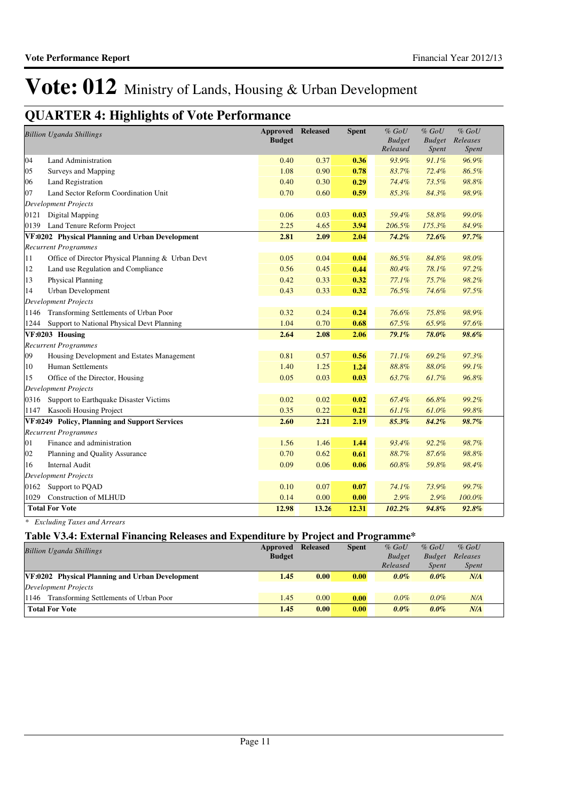## **QUARTER 4: Highlights of Vote Performance**

|      | <b>Billion Uganda Shillings</b>                   | <b>Approved Released</b><br><b>Budget</b> |       | <b>Spent</b> | $%$ GoU<br><b>Budget</b><br>Released | $%$ GoU<br><b>Budget</b><br>Spent | $%$ $GoU$<br>Releases<br>Spent |  |
|------|---------------------------------------------------|-------------------------------------------|-------|--------------|--------------------------------------|-----------------------------------|--------------------------------|--|
| 04   | Land Administration                               | 0.40                                      | 0.37  | 0.36         | 93.9%                                | 91.1%                             | 96.9%                          |  |
| 05   | Surveys and Mapping                               | 1.08                                      | 0.90  | 0.78         | 83.7%                                | 72.4%                             | 86.5%                          |  |
| 06   | Land Registration                                 | 0.40                                      | 0.30  | 0.29         | 74.4%                                | 73.5%                             | 98.8%                          |  |
| 07   | Land Sector Reform Coordination Unit              | 0.70                                      | 0.60  | 0.59         | 85.3%                                | 84.3%                             | 98.9%                          |  |
|      | <b>Development Projects</b>                       |                                           |       |              |                                      |                                   |                                |  |
| 0121 | <b>Digital Mapping</b>                            | 0.06                                      | 0.03  | 0.03         | 59.4%                                | 58.8%                             | 99.0%                          |  |
|      | 0139 Land Tenure Reform Project                   | 2.25                                      | 4.65  | 3.94         | 206.5%                               | 175.3%                            | 84.9%                          |  |
|      | VF:0202 Physical Planning and Urban Development   | 2.81                                      | 2.09  | 2.04         | 74.2%                                | 72.6%                             | 97.7%                          |  |
|      | <b>Recurrent Programmes</b>                       |                                           |       |              |                                      |                                   |                                |  |
| 11   | Office of Director Physical Planning & Urban Devt | 0.05                                      | 0.04  | 0.04         | 86.5%                                | 84.8%                             | 98.0%                          |  |
| 12   | Land use Regulation and Compliance                | 0.56                                      | 0.45  | 0.44         | 80.4%                                | 78.1%                             | 97.2%                          |  |
| 13   | Physical Planning                                 | 0.42                                      | 0.33  | 0.32         | 77.1%                                | 75.7%                             | 98.2%                          |  |
| 14   | <b>Urban Development</b>                          | 0.43                                      | 0.33  | 0.32         | 76.5%                                | 74.6%                             | 97.5%                          |  |
|      | <b>Development Projects</b>                       |                                           |       |              |                                      |                                   |                                |  |
| 1146 | Transforming Settlements of Urban Poor            | 0.32                                      | 0.24  | 0.24         | 76.6%                                | 75.8%                             | 98.9%                          |  |
| 1244 | Support to National Physical Devt Planning        | 1.04                                      | 0.70  | 0.68         | 67.5%                                | 65.9%                             | 97.6%                          |  |
|      | VF:0203 Housing                                   | 2.64                                      | 2.08  | 2.06         | 79.1%                                | 78.0%                             | 98.6%                          |  |
|      | <b>Recurrent Programmes</b>                       |                                           |       |              |                                      |                                   |                                |  |
| 09   | Housing Development and Estates Management        | 0.81                                      | 0.57  | 0.56         | 71.1%                                | 69.2%                             | 97.3%                          |  |
| 10   | Human Settlements                                 | 1.40                                      | 1.25  | 1.24         | 88.8%                                | 88.0%                             | 99.1%                          |  |
| 15   | Office of the Director, Housing                   | 0.05                                      | 0.03  | 0.03         | 63.7%                                | 61.7%                             | 96.8%                          |  |
|      | <b>Development Projects</b>                       |                                           |       |              |                                      |                                   |                                |  |
| 0316 | Support to Earthquake Disaster Victims            | 0.02                                      | 0.02  | 0.02         | 67.4%                                | 66.8%                             | 99.2%                          |  |
| 1147 | Kasooli Housing Project                           | 0.35                                      | 0.22  | 0.21         | 61.1%                                | 61.0%                             | 99.8%                          |  |
|      | VF:0249 Policy, Planning and Support Services     | 2.60                                      | 2.21  | 2.19         | 85.3%                                | 84.2%                             | 98.7%                          |  |
|      | <b>Recurrent Programmes</b>                       |                                           |       |              |                                      |                                   |                                |  |
| 01   | Finance and administration                        | 1.56                                      | 1.46  | 1.44         | 93.4%                                | 92.2%                             | 98.7%                          |  |
| 02   | Planning and Quality Assurance                    | 0.70                                      | 0.62  | 0.61         | 88.7%                                | 87.6%                             | 98.8%                          |  |
| 16   | Internal Audit                                    | 0.09                                      | 0.06  | 0.06         | 60.8%                                | 59.8%                             | 98.4%                          |  |
|      | <b>Development Projects</b>                       |                                           |       |              |                                      |                                   |                                |  |
| 0162 | Support to PQAD                                   | 0.10                                      | 0.07  | 0.07         | 74.1%                                | 73.9%                             | 99.7%                          |  |
| 1029 | <b>Construction of MLHUD</b>                      | 0.14                                      | 0.00  | 0.00         | 2.9%                                 | 2.9%                              | 100.0%                         |  |
|      | <b>Total For Vote</b>                             | 12.98                                     | 13.26 | 12.31        | 102.2%                               | 94.8%                             | 92.8%                          |  |

*\* Excluding Taxes and Arrears*

### **Table V3.4: External Financing Releases and Expenditure by Project and Programme\***

| . .                                                    |               | .               |              | . .           |               |              |
|--------------------------------------------------------|---------------|-----------------|--------------|---------------|---------------|--------------|
| <b>Billion Uganda Shillings</b>                        | Approved      | <b>Released</b> | <b>Spent</b> | $%$ GoU       | $%$ GoU       | $%$ GoU      |
|                                                        | <b>Budget</b> |                 |              | <b>Budget</b> | <b>Budget</b> | Releases     |
|                                                        |               |                 |              | Released      | <b>Spent</b>  | <i>Spent</i> |
| <b>VF:0202</b> Physical Planning and Urban Development | 1.45          | 0.00            | 0.00         | $0.0\%$       | $0.0\%$       | N/A          |
| Development Projects                                   |               |                 |              |               |               |              |
| Transforming Settlements of Urban Poor<br>1146         | 1.45          | 0.00            | 0.00         | $0.0\%$       | $0.0\%$       | N/A          |
| <b>Total For Vote</b>                                  | 1.45          | 0.00            | 0.00         | $0.0\%$       | $0.0\%$       | N/A          |
|                                                        |               |                 |              |               |               |              |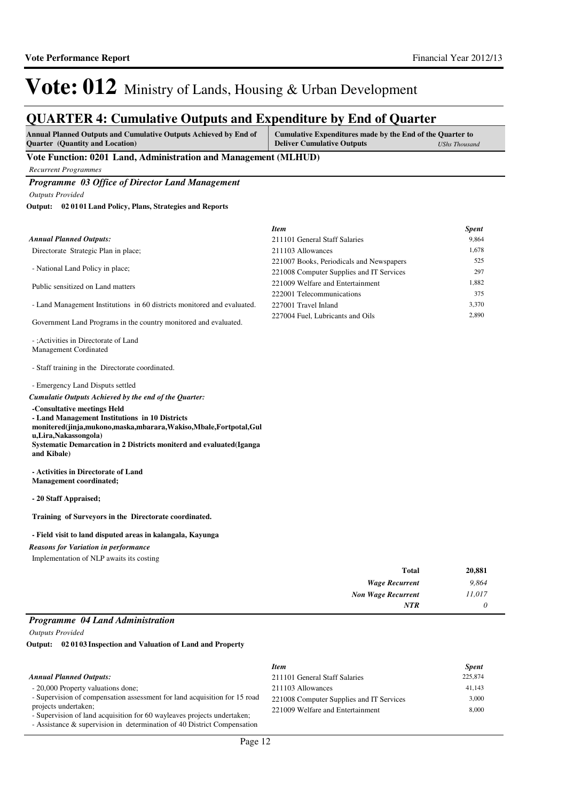### **QUARTER 4: Cumulative Outputs and Expenditure by End of Quarter**

| <b>Annual Planned Outputs and Cumulative Outputs Achieved by End of</b> | Cumulative Expenditures made by the End of the Quarter to |                      |
|-------------------------------------------------------------------------|-----------------------------------------------------------|----------------------|
| <b>Ouarter</b> (Quantity and Location)                                  | <b>Deliver Cumulative Outputs</b>                         | <b>UShs Thousand</b> |

#### **Vote Function: 0201 Land, Administration and Management (MLHUD)**

*Recurrent Programmes*

#### *Programme 03 Office of Director Land Management*

*Outputs Provided*

**02 0101 Land Policy, Plans, Strategies and Reports Output:**

|                                                                         | <b>Item</b>                              | <i>Spent</i> |
|-------------------------------------------------------------------------|------------------------------------------|--------------|
| <b>Annual Planned Outputs:</b>                                          | 211101 General Staff Salaries            | 9,864        |
| Directorate Strategic Plan in place;                                    | 211103 Allowances                        | 1,678        |
|                                                                         | 221007 Books, Periodicals and Newspapers | 525          |
| - National Land Policy in place;                                        | 221008 Computer Supplies and IT Services | 297          |
| Public sensitized on Land matters                                       | 221009 Welfare and Entertainment         | 1,882        |
|                                                                         | 222001 Telecommunications                | 375          |
| - Land Management Institutions in 60 districts monitored and evaluated. | 227001 Travel Inland                     | 3,370        |
| Government Land Programs in the country monitored and evaluated.        | 227004 Fuel, Lubricants and Oils         | 2,890        |
| -: Activities in Directorate of Land<br>Management Cordinated           |                                          |              |
| - Staff training in the Directorate coordinated.                        |                                          |              |
| - Emergency Land Disputs settled                                        |                                          |              |
| Cumulatie Outputs Achieved by the end of the Ouarter:                   |                                          |              |

**-Consultative meetings Held - Land Management Institutions in 10 Districts monitered(jinja,mukono,maska,mbarara,Wakiso,Mbale,Fortpotal,Gul u,Lira,Nakassongola) Systematic Demarcation in 2 Districts moniterd and evaluated(Iganga and Kibale)**

**- Activities in Directorate of Land Management coordinated;**

**- 20 Staff Appraised;**

**Training of Surveyors in the Directorate coordinated.**

#### **- Field visit to land disputed areas in kalangala, Kayunga**

*Reasons for Variation in performance*

Implementation of NLP awaits its costing

| <b>Total</b>              | 20,881 |
|---------------------------|--------|
| <b>Wage Recurrent</b>     | 9,864  |
| <b>Non Wage Recurrent</b> | 11,017 |
| <b>NTR</b>                | 0      |

### *Programme 04 Land Administration*

*Outputs Provided*

**02 0103 Inspection and Valuation of Land and Property Output:**

#### *Annual Planned Outputs:*

- 20,000 Property valuations done;

- Supervision of compensation assessment for land acquisition for 15 road projects undertaken;

- Supervision of land acquisition for 60 wayleaves projects undertaken;

- Assistance & supervision in determination of 40 District Compensation

*Item Spent* 211101 General Staff Salaries 225,874 211103 Allowances 41,143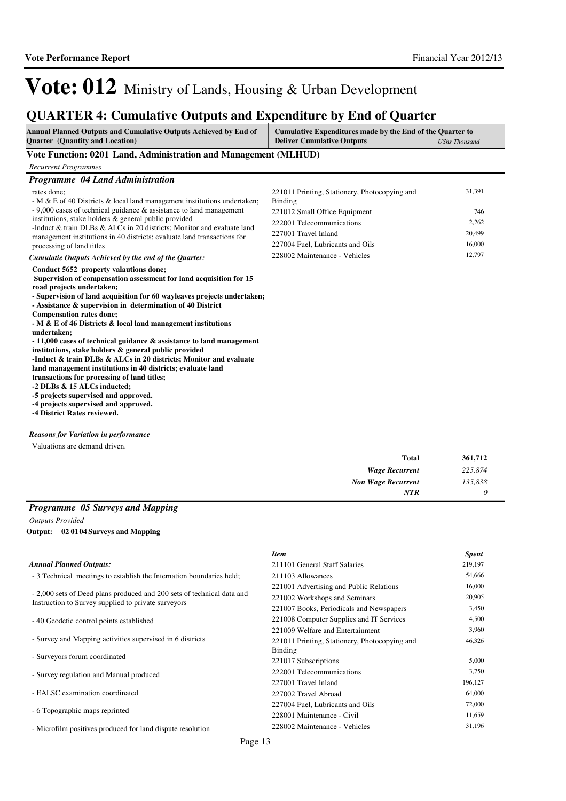### **QUARTER 4: Cumulative Outputs and Expenditure by End of Quarter**

| Vote Function: 0201 Land, Administration and Management (MLHUD)<br>221011 Printing, Stationery, Photocopying and |         |
|------------------------------------------------------------------------------------------------------------------|---------|
|                                                                                                                  |         |
|                                                                                                                  |         |
|                                                                                                                  |         |
|                                                                                                                  | 31,391  |
| 221012 Small Office Equipment                                                                                    | 746     |
| 222001 Telecommunications                                                                                        | 2,262   |
| 227001 Travel Inland                                                                                             | 20,499  |
| 227004 Fuel, Lubricants and Oils                                                                                 | 16,000  |
| 228002 Maintenance - Vehicles                                                                                    | 12,797  |
|                                                                                                                  |         |
|                                                                                                                  |         |
|                                                                                                                  | Binding |

| <b>Total</b>              | 361,712 |
|---------------------------|---------|
| <b>Wage Recurrent</b>     | 225,874 |
| <b>Non Wage Recurrent</b> | 135,838 |
| <b>NTR</b>                |         |

#### *Programme 05 Surveys and Mapping*

*Outputs Provided*

 $\overline{a}$ 

**02 0104 Surveys and Mapping Output:**

|                                                                                                                               | <b>Item</b>                                   | <b>Spent</b> |
|-------------------------------------------------------------------------------------------------------------------------------|-----------------------------------------------|--------------|
| <b>Annual Planned Outputs:</b>                                                                                                | 211101 General Staff Salaries                 | 219,197      |
| - 3 Technical meetings to establish the Internation boundaries held;                                                          | 211103 Allowances                             | 54,666       |
|                                                                                                                               | 221001 Advertising and Public Relations       | 16,000       |
| - 2,000 sets of Deed plans produced and 200 sets of technical data and<br>Instruction to Survey supplied to private surveyors | 221002 Workshops and Seminars                 | 20,905       |
|                                                                                                                               | 221007 Books, Periodicals and Newspapers      | 3,450        |
| - 40 Geodetic control points established                                                                                      | 221008 Computer Supplies and IT Services      | 4,500        |
|                                                                                                                               | 221009 Welfare and Entertainment              | 3,960        |
| - Survey and Mapping activities supervised in 6 districts                                                                     | 221011 Printing, Stationery, Photocopying and | 46,326       |
|                                                                                                                               | <b>Binding</b>                                |              |
| - Surveyors forum coordinated                                                                                                 | 221017 Subscriptions                          | 5,000        |
| - Survey regulation and Manual produced                                                                                       | 222001 Telecommunications                     | 3,750        |
|                                                                                                                               | 227001 Travel Inland                          | 196,127      |
| - EALSC examination coordinated                                                                                               | 227002 Travel Abroad                          | 64,000       |
|                                                                                                                               | 227004 Fuel, Lubricants and Oils              | 72,000       |
| - 6 Topographic maps reprinted                                                                                                | 228001 Maintenance - Civil                    | 11,659       |
| - Microfilm positives produced for land dispute resolution                                                                    | 228002 Maintenance - Vehicles                 | 31,196       |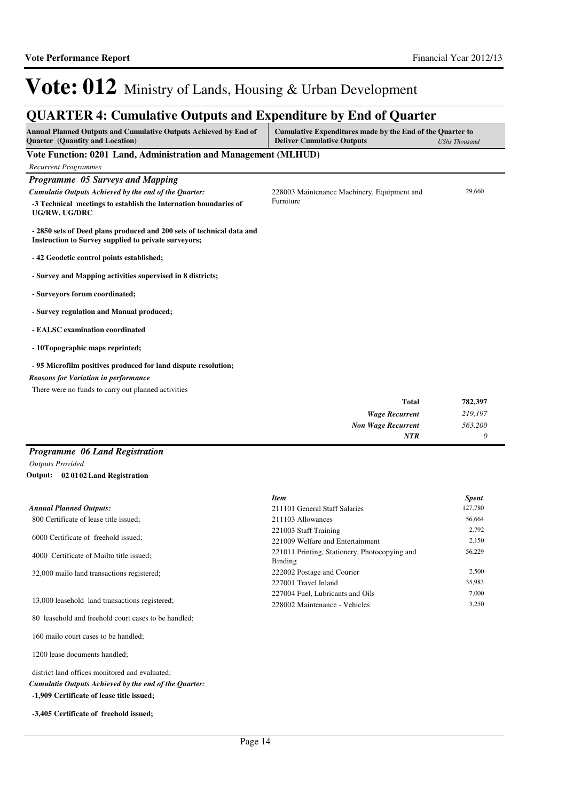### **QUARTER 4: Cumulative Outputs and Expenditure by End of Quarter**

| <b>Annual Planned Outputs and Cumulative Outputs Achieved by End of</b><br><b>Quarter</b> (Quantity and Location)                    | Cumulative Expenditures made by the End of the Quarter to<br><b>Deliver Cumulative Outputs</b> | <b>UShs Thousand</b> |
|--------------------------------------------------------------------------------------------------------------------------------------|------------------------------------------------------------------------------------------------|----------------------|
| Vote Function: 0201 Land, Administration and Management (MLHUD)                                                                      |                                                                                                |                      |
| <b>Recurrent Programmes</b>                                                                                                          |                                                                                                |                      |
| Programme 05 Surveys and Mapping                                                                                                     |                                                                                                |                      |
| Cumulatie Outputs Achieved by the end of the Ouarter:                                                                                | 228003 Maintenance Machinery, Equipment and<br>Furniture                                       | 29,660               |
| -3 Technical meetings to establish the Internation boundaries of<br><b>UG/RW, UG/DRC</b>                                             |                                                                                                |                      |
| - 2850 sets of Deed plans produced and 200 sets of technical data and<br><b>Instruction to Survey supplied to private surveyors;</b> |                                                                                                |                      |
| - 42 Geodetic control points established;                                                                                            |                                                                                                |                      |
| - Survey and Mapping activities supervised in 8 districts;                                                                           |                                                                                                |                      |
| - Surveyors forum coordinated;                                                                                                       |                                                                                                |                      |
| - Survey regulation and Manual produced;                                                                                             |                                                                                                |                      |
| - EALSC examination coordinated                                                                                                      |                                                                                                |                      |
| - 10Topographic maps reprinted;                                                                                                      |                                                                                                |                      |
| - 95 Microfilm positives produced for land dispute resolution;                                                                       |                                                                                                |                      |
| <b>Reasons for Variation in performance</b>                                                                                          |                                                                                                |                      |
| There were no funds to carry out planned activities                                                                                  |                                                                                                |                      |
|                                                                                                                                      | Total                                                                                          | 782,397              |

| <b>Total</b>              | 782,397 |
|---------------------------|---------|
| <b>Wage Recurrent</b>     | 219,197 |
| <b>Non Wage Recurrent</b> | 563,200 |
| <b>NTR</b>                |         |

#### *Programme 06 Land Registration*

*Outputs Provided* **02 0102 Land Registration Output:**

|                                                      | <b>Item</b>                                              | <b>Spent</b> |
|------------------------------------------------------|----------------------------------------------------------|--------------|
| <b>Annual Planned Outputs:</b>                       | 211101 General Staff Salaries                            | 127,780      |
| 800 Certificate of lease title issued:               | 211103 Allowances                                        | 56.664       |
|                                                      | 221003 Staff Training                                    | 2.792        |
| 6000 Certificate of freehold issued:                 | 221009 Welfare and Entertainment                         | 2,150        |
| 4000 Certificate of Mailto title issued:             | 221011 Printing, Stationery, Photocopying and<br>Binding | 56.229       |
| 32,000 mailo land transactions registered;           | 222002 Postage and Courier                               | 2,500        |
|                                                      | 227001 Travel Inland                                     | 35,983       |
|                                                      | 227004 Fuel. Lubricants and Oils                         | 7.000        |
| 13,000 leasehold land transactions registered;       | 228002 Maintenance - Vehicles                            | 3.250        |
| 80 leasehold and freehold court cases to be handled; |                                                          |              |

160 mailo court cases to be handled;

1200 lease documents handled;

district land offices monitored and evaluated;

### *Cumulatie Outputs Achieved by the end of the Quarter:*

**-1,909 Certificate of lease title issued;** 

**-3,405 Certificate of freehold issued;**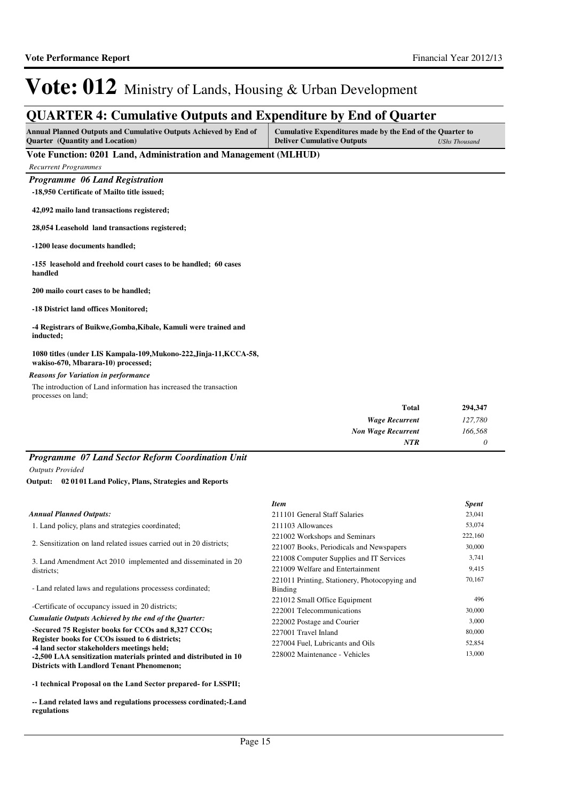### **QUARTER 4: Cumulative Outputs and Expenditure by End of Quarter**

| <b>QUARTER 4: Cumulative Outputs and Expenditure by End of Quarter</b>                                     |                                                                                                |                      |
|------------------------------------------------------------------------------------------------------------|------------------------------------------------------------------------------------------------|----------------------|
| Annual Planned Outputs and Cumulative Outputs Achieved by End of<br><b>Quarter</b> (Quantity and Location) | Cumulative Expenditures made by the End of the Quarter to<br><b>Deliver Cumulative Outputs</b> | <b>UShs Thousand</b> |
| Vote Function: 0201 Land, Administration and Management (MLHUD)                                            |                                                                                                |                      |
| <b>Recurrent Programmes</b>                                                                                |                                                                                                |                      |
| <b>Programme</b> 06 Land Registration                                                                      |                                                                                                |                      |
| -18,950 Certificate of Mailto title issued;                                                                |                                                                                                |                      |
| 42,092 mailo land transactions registered;                                                                 |                                                                                                |                      |
| 28,054 Leasehold land transactions registered;                                                             |                                                                                                |                      |
| -1200 lease documents handled;                                                                             |                                                                                                |                      |
| -155 leasehold and freehold court cases to be handled; 60 cases<br>handled                                 |                                                                                                |                      |
| 200 mailo court cases to be handled;                                                                       |                                                                                                |                      |
| -18 District land offices Monitored;                                                                       |                                                                                                |                      |
| -4 Registrars of Buikwe, Gomba, Kibale, Kamuli were trained and<br>inducted;                               |                                                                                                |                      |
| 1080 titles (under LIS Kampala-109, Mukono-222, Jinja-11, KCCA-58,<br>wakiso-670, Mbarara-10) processed;   |                                                                                                |                      |
| <b>Reasons for Variation in performance</b>                                                                |                                                                                                |                      |
| The introduction of Land information has increased the transaction<br>processes on land;                   |                                                                                                |                      |
|                                                                                                            | <b>Total</b>                                                                                   | 294,347              |

| <b>Total</b>              | 294,347 |
|---------------------------|---------|
| <b>Wage Recurrent</b>     | 127,780 |
| <b>Non Wage Recurrent</b> | 166,568 |
| <b>NTR</b>                |         |
|                           |         |

#### *Programme 07 Land Sector Reform Coordination Unit Outputs Provided*

**02 0101 Land Policy, Plans, Strategies and Reports Output:**

|                                                                                                                                                                     | <b>Item</b>                                              | <b>Spent</b> |
|---------------------------------------------------------------------------------------------------------------------------------------------------------------------|----------------------------------------------------------|--------------|
| <b>Annual Planned Outputs:</b>                                                                                                                                      | 211101 General Staff Salaries                            | 23,041       |
| 1. Land policy, plans and strategies coordinated;                                                                                                                   | 211103 Allowances                                        | 53,074       |
|                                                                                                                                                                     | 221002 Workshops and Seminars                            | 222,160      |
| 2. Sensitization on land related issues carried out in 20 districts;                                                                                                | 221007 Books, Periodicals and Newspapers                 | 30,000       |
| 3. Land Amendment Act 2010 implemented and disseminated in 20                                                                                                       | 221008 Computer Supplies and IT Services                 | 3,741        |
| districts:                                                                                                                                                          | 221009 Welfare and Entertainment                         | 9,415        |
| - Land related laws and regulations processess cordinated;                                                                                                          | 221011 Printing, Stationery, Photocopying and<br>Binding | 70,167       |
| -Certificate of occupancy issued in 20 districts;                                                                                                                   | 221012 Small Office Equipment                            | 496          |
|                                                                                                                                                                     | 222001 Telecommunications                                | 30,000       |
| Cumulatie Outputs Achieved by the end of the Ouarter:                                                                                                               | 222002 Postage and Courier                               | 3,000        |
| -Secured 75 Register books for CCOs and 8,327 CCOs;                                                                                                                 | 227001 Travel Inland                                     | 80,000       |
| <b>Register books for CCOs issued to 6 districts;</b>                                                                                                               | 227004 Fuel, Lubricants and Oils                         | 52,854       |
| -4 land sector stakeholders meetings held;<br>-2,500 LAA sensitization materials printed and distributed in 10<br><b>Districts with Landlord Tenant Phenomenon;</b> | 228002 Maintenance - Vehicles                            | 13,000       |

**-** 1 technical Proposal on the Land Sector prepared- for LSSPII;

**-- Land related laws and regulations processess cordinated;-Land regulations**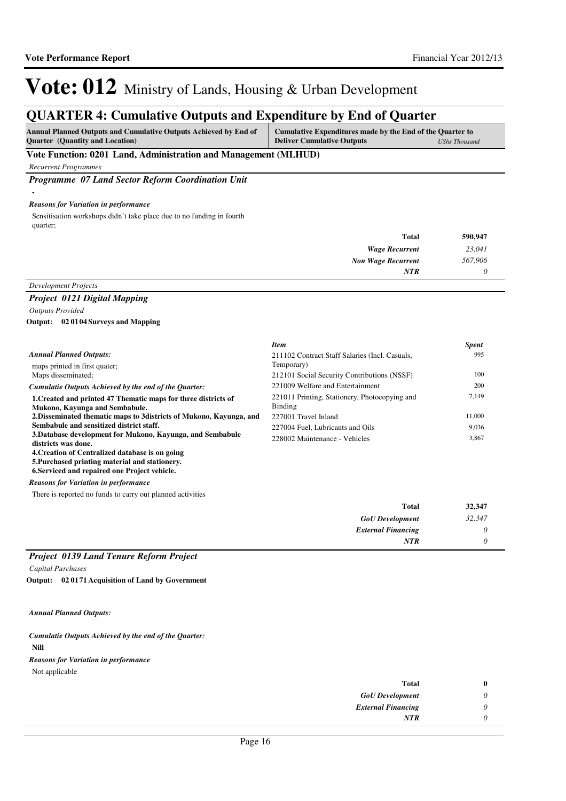## **QUARTER 4: Cumulative Outputs and Expenditure by End of Quarter**

| <b>Annual Planned Outputs and Cumulative Outputs Achieved by End of</b><br><b>Ouarter</b> (Quantity and Location) | Cumulative Expenditures made by the End of the Quarter to<br><b>Deliver Cumulative Outputs</b> | UShs Thousand |
|-------------------------------------------------------------------------------------------------------------------|------------------------------------------------------------------------------------------------|---------------|
| Vote Function: 0201 Land, Administration and Management (MLHUD)                                                   |                                                                                                |               |

*Recurrent Programmes*

**-**

*Programme 07 Land Sector Reform Coordination Unit*

*Reasons for Variation in performance*

Sensitisation workshops didn't take place due to no funding in fourth quarter;

| <b>Total</b>              | 590,947 |
|---------------------------|---------|
| <b>Wage Recurrent</b>     | 23,041  |
| <b>Non Wage Recurrent</b> | 567,906 |
| <b>NTR</b>                | 0       |
| Development Projects      |         |

### *Project 0121 Digital Mapping*

*Outputs Provided*

**02 0104 Surveys and Mapping Output:**

|                                                                                                 | <b>Item</b>                                    | <b>Spent</b> |
|-------------------------------------------------------------------------------------------------|------------------------------------------------|--------------|
| <b>Annual Planned Outputs:</b>                                                                  | 211102 Contract Staff Salaries (Incl. Casuals, | 995          |
| maps printed in first quater;                                                                   | Temporary)                                     |              |
| Maps disseminated;                                                                              | 212101 Social Security Contributions (NSSF)    | 100          |
| Cumulatie Outputs Achieved by the end of the Quarter:                                           | 221009 Welfare and Entertainment               | 200          |
| 1. Created and printed 47 Thematic maps for three districts of                                  | 221011 Printing, Stationery, Photocopying and  | 7,149        |
| Mukono, Kayunga and Sembabule.                                                                  | Binding                                        |              |
| 2. Disseminated thematic maps to 3 districts of Mukono, Kayunga, and                            | 227001 Travel Inland                           | 11,000       |
| Sembabule and sensitized district staff.                                                        | 227004 Fuel, Lubricants and Oils               | 9,036        |
| 3. Database development for Mukono, Kayunga, and Sembabule<br>districts was done.               | 228002 Maintenance - Vehicles                  | 3,867        |
| 4. Creation of Centralized database is on going                                                 |                                                |              |
| 5. Purchased printing material and stationery.<br>6. Serviced and repaired one Project vehicle. |                                                |              |
| <b>Reasons for Variation in performance</b>                                                     |                                                |              |

There is reported no funds to carry out planned activities

| Total                     | 32,347 |
|---------------------------|--------|
| <b>GoU</b> Development    | 32,347 |
| <b>External Financing</b> | υ      |
| NTR                       |        |

### *Project 0139 Land Tenure Reform Project*

*Capital Purchases*

**02 0171 Acquisition of Land by Government Output:**

*Annual Planned Outputs:*

**Nill** *Cumulatie Outputs Achieved by the end of the Quarter:* Not applicable *Reasons for Variation in performance*

| Total                     | 0 |
|---------------------------|---|
| <b>GoU</b> Development    | 0 |
| <b>External Financing</b> | 0 |
| NTR                       | O |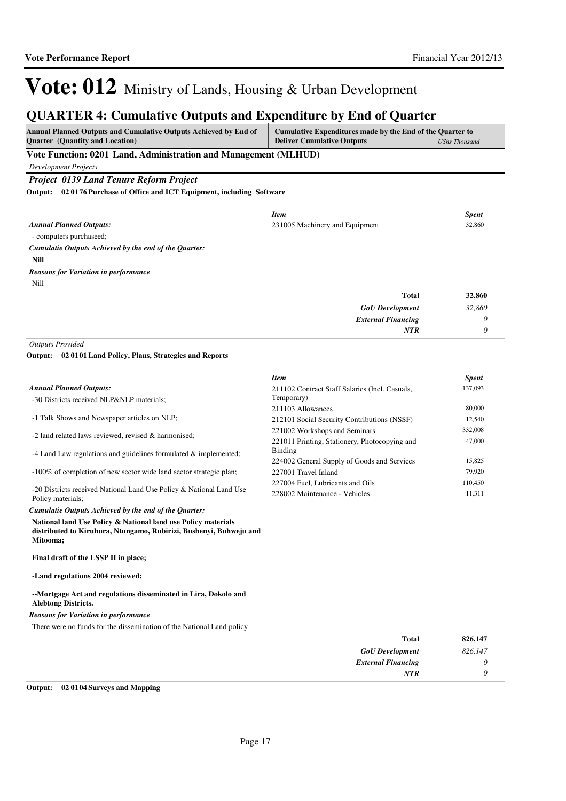### **QUARTER 4: Cumulative Outputs and Expenditure by End of Quarter**

| <b>Annual Planned Outputs and Cumulative Outputs Achieved by End of</b><br><b>Quarter</b> (Quantity and Location) | Cumulative Expenditures made by the End of the Quarter to<br><b>Deliver Cumulative Outputs</b> | <b>UShs Thousand</b> |
|-------------------------------------------------------------------------------------------------------------------|------------------------------------------------------------------------------------------------|----------------------|
| Vote Function: 0201 Land, Administration and Management (MLHUD)                                                   |                                                                                                |                      |
| <b>Development Projects</b>                                                                                       |                                                                                                |                      |
| <b>Project 0139 Land Tenure Reform Project</b>                                                                    |                                                                                                |                      |
| 02 0176 Purchase of Office and ICT Equipment, including Software<br>Output:                                       |                                                                                                |                      |
|                                                                                                                   | <b>Item</b>                                                                                    | <b>Spent</b>         |
| <b>Annual Planned Outputs:</b>                                                                                    | 231005 Machinery and Equipment                                                                 | 32,860               |
| - computers purchaseed;                                                                                           |                                                                                                |                      |
| Cumulatie Outputs Achieved by the end of the Quarter:                                                             |                                                                                                |                      |
| <b>Nill</b>                                                                                                       |                                                                                                |                      |
| <b>Reasons for Variation in performance</b>                                                                       |                                                                                                |                      |
| <b>Nill</b>                                                                                                       |                                                                                                |                      |
|                                                                                                                   | <b>Total</b>                                                                                   | 32,860               |
|                                                                                                                   | <b>GoU</b> Development                                                                         | 32,860               |
|                                                                                                                   | <b>External Financing</b>                                                                      | 0                    |
|                                                                                                                   | <b>NTR</b>                                                                                     | 0                    |

|                                                                                          | <b>Item</b>                                    | <b>Spent</b> |
|------------------------------------------------------------------------------------------|------------------------------------------------|--------------|
| <b>Annual Planned Outputs:</b>                                                           | 211102 Contract Staff Salaries (Incl. Casuals, | 137,093      |
| -30 Districts received NLP&NLP materials;                                                | Temporary)                                     |              |
|                                                                                          | 211103 Allowances                              | 80,000       |
| -1 Talk Shows and Newspaper articles on NLP;                                             | 212101 Social Security Contributions (NSSF)    | 12,540       |
|                                                                                          | 221002 Workshops and Seminars                  | 332,008      |
| -2 land related laws reviewed, revised & harmonised;                                     | 221011 Printing, Stationery, Photocopying and  | 47,000       |
| -4 Land Law regulations and guidelines formulated & implemented;                         | Binding                                        |              |
|                                                                                          | 224002 General Supply of Goods and Services    | 15,825       |
| -100% of completion of new sector wide land sector strategic plan;                       | 227001 Travel Inland                           | 79.920       |
|                                                                                          | 227004 Fuel. Lubricants and Oils               | 110,450      |
| -20 Districts received National Land Use Policy & National Land Use<br>Policy materials; | 228002 Maintenance - Vehicles                  | 11,311       |

*Cumulatie Outputs Achieved by the end of the Quarter:*

**National land Use Policy & National land use Policy materials distributed to Kiruhura, Ntungamo, Rubirizi, Bushenyi, Buhweju and Mitooma;**

#### **Final draft of the LSSP II in place;**

**-Land regulations 2004 reviewed;**

#### **--Mortgage Act and regulations disseminated in Lira, Dokolo and Alebtong Districts.**

*Reasons for Variation in performance*

There were no funds for the dissemination of the National Land policy

| 826,147 | <b>Total</b>              |
|---------|---------------------------|
| 826,147 | <b>GoU</b> Development    |
|         | <b>External Financing</b> |
|         | <b>NTR</b>                |
|         |                           |

#### **Output: 02 0104 Surveys and Mapping**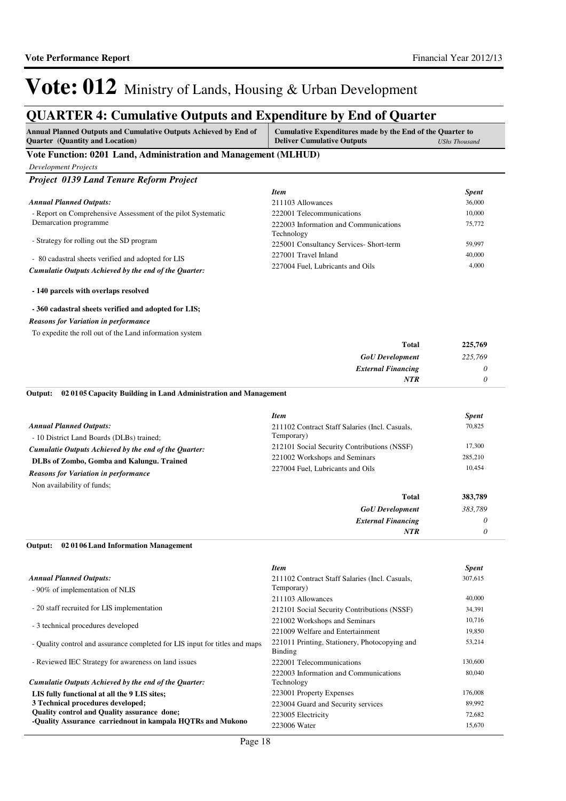# **QUARTER 4: Cumulative Outputs and Expenditure by End of Quarter**

| Annual Planned Outputs and Cumulative Outputs Achieved by End of<br>Cumulative Expenditures made by the End of the Quarter to<br>Quarter (Quantity and Location)<br><b>Deliver Cumulative Outputs</b> |                                                                              | <b>UShs Thousand</b> |
|-------------------------------------------------------------------------------------------------------------------------------------------------------------------------------------------------------|------------------------------------------------------------------------------|----------------------|
| Vote Function: 0201 Land, Administration and Management (MLHUD)                                                                                                                                       |                                                                              |                      |
| <b>Development Projects</b>                                                                                                                                                                           |                                                                              |                      |
| <b>Project 0139 Land Tenure Reform Project</b>                                                                                                                                                        |                                                                              |                      |
|                                                                                                                                                                                                       | <b>Item</b>                                                                  | <b>Spent</b>         |
| <b>Annual Planned Outputs:</b>                                                                                                                                                                        | 211103 Allowances                                                            | 36,000               |
| - Report on Comprehensive Assessment of the pilot Systematic                                                                                                                                          | 222001 Telecommunications                                                    | 10,000               |
| Demarcation programme                                                                                                                                                                                 | 222003 Information and Communications<br>Technology                          | 75,772               |
| - Strategy for rolling out the SD program                                                                                                                                                             | 225001 Consultancy Services- Short-term                                      | 59,997               |
| - 80 cadastral sheets verified and adopted for LIS                                                                                                                                                    | 227001 Travel Inland                                                         | 40,000               |
| Cumulatie Outputs Achieved by the end of the Quarter:                                                                                                                                                 | 227004 Fuel, Lubricants and Oils                                             | 4,000                |
| - 140 parcels with overlaps resolved                                                                                                                                                                  |                                                                              |                      |
| - 360 cadastral sheets verified and adopted for LIS;                                                                                                                                                  |                                                                              |                      |
| <b>Reasons for Variation in performance</b>                                                                                                                                                           |                                                                              |                      |
| To expedite the roll out of the Land information system                                                                                                                                               |                                                                              |                      |
|                                                                                                                                                                                                       | <b>Total</b>                                                                 | 225,769              |
|                                                                                                                                                                                                       | <b>GoU</b> Development                                                       | 225,769              |
|                                                                                                                                                                                                       | <b>External Financing</b>                                                    | 0                    |
|                                                                                                                                                                                                       | <b>NTR</b>                                                                   | 0                    |
| Output:<br>02 01 05 Capacity Building in Land Administration and Management                                                                                                                           |                                                                              |                      |
|                                                                                                                                                                                                       | <b>Item</b>                                                                  | <b>Spent</b>         |
| <b>Annual Planned Outputs:</b>                                                                                                                                                                        | 211102 Contract Staff Salaries (Incl. Casuals,                               | 70,825               |
| - 10 District Land Boards (DLBs) trained;                                                                                                                                                             | Temporary)                                                                   | 17,300               |
| Cumulatie Outputs Achieved by the end of the Quarter:                                                                                                                                                 | 212101 Social Security Contributions (NSSF)<br>221002 Workshops and Seminars | 285,210              |
| DLBs of Zombo, Gomba and Kalungu. Trained                                                                                                                                                             | 227004 Fuel, Lubricants and Oils                                             | 10,454               |
| <b>Reasons for Variation in performance</b>                                                                                                                                                           |                                                                              |                      |
| Non availability of funds;                                                                                                                                                                            |                                                                              |                      |
|                                                                                                                                                                                                       | <b>Total</b>                                                                 | 383,789              |
|                                                                                                                                                                                                       | <b>GoU</b> Development                                                       | 383,789              |
|                                                                                                                                                                                                       | <b>External Financing</b>                                                    | 0                    |
|                                                                                                                                                                                                       | <b>NTR</b>                                                                   | 0                    |
| 02 01 06 Land Information Management<br>Output:                                                                                                                                                       |                                                                              |                      |
|                                                                                                                                                                                                       | Item                                                                         | <b>Spent</b>         |
| <b>Annual Planned Outputs:</b>                                                                                                                                                                        | 211102 Contract Staff Salaries (Incl. Casuals,                               | 307,615              |
| - 90% of implementation of NLIS                                                                                                                                                                       | Temporary)                                                                   | 40,000               |
| - 20 staff recruited for LIS implementation                                                                                                                                                           | 211103 Allowances<br>212101 Social Security Contributions (NSSF)             | 34,391               |
|                                                                                                                                                                                                       | 221002 Workshops and Seminars                                                | 10,716               |
| - 3 technical procedures developed                                                                                                                                                                    | 221009 Welfare and Entertainment                                             | 19,850               |
| - Quality control and assurance completed for LIS input for titles and maps                                                                                                                           | 221011 Printing, Stationery, Photocopying and<br>Binding                     | 53,214               |
| - Reviewed IEC Strategy for awareness on land issues                                                                                                                                                  | 222001 Telecommunications                                                    | 130,600              |
|                                                                                                                                                                                                       | 222003 Information and Communications                                        | 80,040               |
| Cumulatie Outputs Achieved by the end of the Quarter:                                                                                                                                                 | Technology                                                                   |                      |
| LIS fully functional at all the 9 LIS sites;                                                                                                                                                          | 223001 Property Expenses                                                     | 176,008              |
| 3 Technical procedures developed;<br><b>Quality control and Quality assurance done;</b>                                                                                                               | 223004 Guard and Security services                                           | 89,992               |
| -Quality Assurance carriednout in kampala HQTRs and Mukono                                                                                                                                            | 223005 Electricity                                                           | 72,682               |
|                                                                                                                                                                                                       | 223006 Water                                                                 | 15,670               |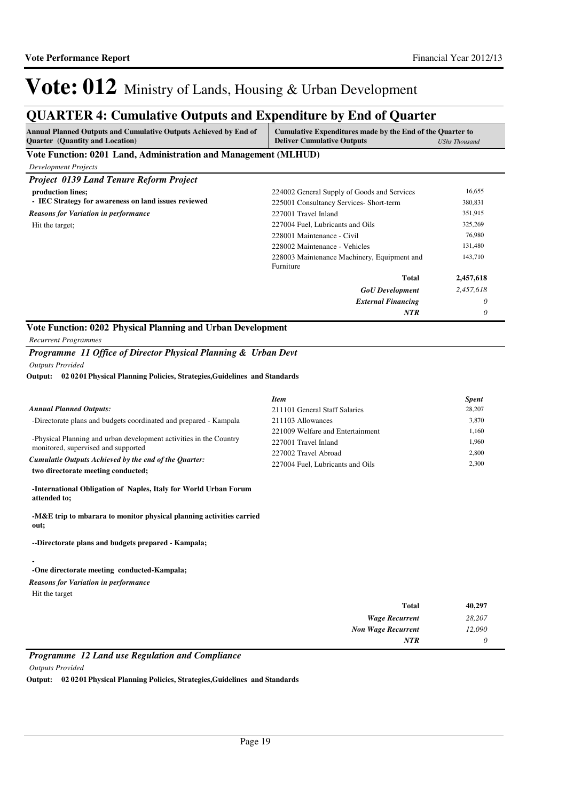### **QUARTER 4: Cumulative Outputs and Expenditure by End of Quarter**

| <b>Annual Planned Outputs and Cumulative Outputs Achieved by End of</b><br><b>Quarter</b> (Quantity and Location)  | Cumulative Expenditures made by the End of the Quarter to<br><b>Deliver Cumulative Outputs</b> | <b>UShs Thousand</b> |
|--------------------------------------------------------------------------------------------------------------------|------------------------------------------------------------------------------------------------|----------------------|
| Vote Function: 0201 Land, Administration and Management (MLHUD)                                                    |                                                                                                |                      |
| <b>Development Projects</b>                                                                                        |                                                                                                |                      |
| <b>Project 0139 Land Tenure Reform Project</b>                                                                     |                                                                                                |                      |
| production lines;                                                                                                  | 224002 General Supply of Goods and Services                                                    | 16,655               |
| - IEC Strategy for awareness on land issues reviewed                                                               | 225001 Consultancy Services- Short-term                                                        | 380,831              |
| <b>Reasons for Variation in performance</b>                                                                        | 227001 Travel Inland                                                                           | 351,915              |
| Hit the target;                                                                                                    | 227004 Fuel, Lubricants and Oils                                                               | 325,269              |
|                                                                                                                    | 228001 Maintenance - Civil                                                                     | 76,980               |
|                                                                                                                    | 228002 Maintenance - Vehicles                                                                  | 131,480              |
|                                                                                                                    | 228003 Maintenance Machinery, Equipment and<br>Furniture                                       | 143,710              |
|                                                                                                                    | Total                                                                                          | 2,457,618            |
|                                                                                                                    | <b>GoU</b> Development                                                                         | 2,457,618            |
|                                                                                                                    | <b>External Financing</b>                                                                      | 0                    |
|                                                                                                                    | <b>NTR</b>                                                                                     | 0                    |
| Vote Function: 0202 Physical Planning and Urban Development<br><b>Recurrent Programmes</b>                         |                                                                                                |                      |
| Programme 11 Office of Director Physical Planning & Urban Devt                                                     |                                                                                                |                      |
| <b>Outputs Provided</b>                                                                                            |                                                                                                |                      |
| Output: 02 02 01 Physical Planning Policies, Strategies, Guidelines and Standards                                  |                                                                                                |                      |
|                                                                                                                    |                                                                                                |                      |
|                                                                                                                    |                                                                                                |                      |
|                                                                                                                    | <b>Item</b>                                                                                    | <b>Spent</b>         |
|                                                                                                                    | 211101 General Staff Salaries                                                                  | 28,207               |
| -Directorate plans and budgets coordinated and prepared - Kampala                                                  | 211103 Allowances                                                                              | 3,870                |
|                                                                                                                    | 221009 Welfare and Entertainment                                                               | 1,160                |
| -Physical Planning and urban development activities in the Country                                                 | 227001 Travel Inland                                                                           | 1,960                |
| monitored, supervised and supported                                                                                | 227002 Travel Abroad                                                                           | 2,800                |
|                                                                                                                    | 227004 Fuel, Lubricants and Oils                                                               | 2,300                |
| Cumulatie Outputs Achieved by the end of the Quarter:<br>two directorate meeting conducted;                        |                                                                                                |                      |
| <b>Annual Planned Outputs:</b><br>-International Obligation of Naples, Italy for World Urban Forum<br>attended to; |                                                                                                |                      |
| -M&E trip to mbarara to monitor physical planning activities carried<br>out;                                       |                                                                                                |                      |
| --Directorate plans and budgets prepared - Kampala;                                                                |                                                                                                |                      |
|                                                                                                                    |                                                                                                |                      |
| -One directorate meeting conducted-Kampala;                                                                        |                                                                                                |                      |
| <b>Reasons for Variation in performance</b>                                                                        |                                                                                                |                      |
| Hit the target                                                                                                     |                                                                                                |                      |
|                                                                                                                    | <b>Total</b>                                                                                   | 40,297               |
|                                                                                                                    | <b>Wage Recurrent</b>                                                                          | 28,207               |
|                                                                                                                    | <b>Non Wage Recurrent</b>                                                                      | 12,090               |

*Outputs Provided*

**Output: 02 0201 Physical Planning Policies, Strategies,Guidelines and Standards**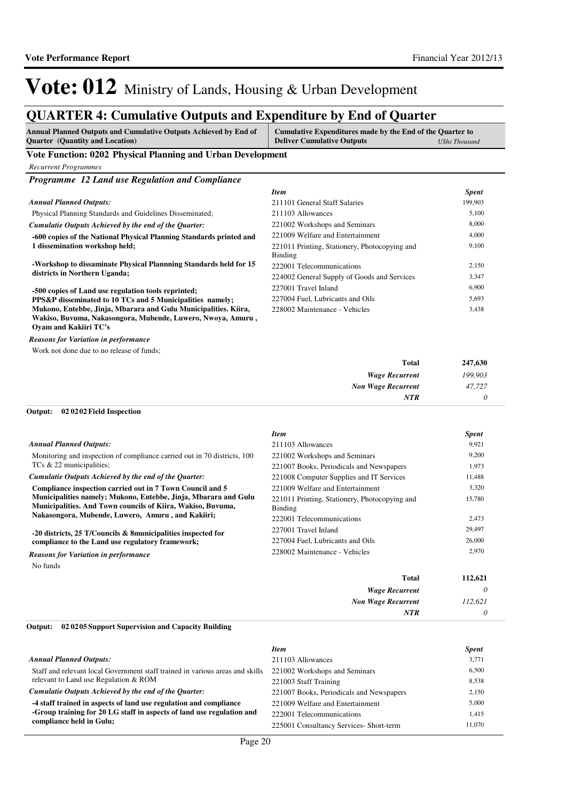### **QUARTER 4: Cumulative Outputs and Expenditure by End of Quarter**

| Annual Planned Outputs and Cumulative Outputs Achieved by End of<br><b>Quarter</b> (Quantity and Location)                                               | Cumulative Expenditures made by the End of the Quarter to<br><b>Deliver Cumulative Outputs</b> | <b>UShs Thousand</b> |
|----------------------------------------------------------------------------------------------------------------------------------------------------------|------------------------------------------------------------------------------------------------|----------------------|
| Vote Function: 0202 Physical Planning and Urban Development                                                                                              |                                                                                                |                      |
| <b>Recurrent Programmes</b>                                                                                                                              |                                                                                                |                      |
| Programme 12 Land use Regulation and Compliance                                                                                                          |                                                                                                |                      |
|                                                                                                                                                          | <b>Item</b>                                                                                    | <b>Spent</b>         |
| <b>Annual Planned Outputs:</b>                                                                                                                           | 211101 General Staff Salaries                                                                  | 199.903              |
| Physical Planning Standards and Guidelines Disseminated;                                                                                                 | 211103 Allowances                                                                              | 5,100                |
| Cumulatie Outputs Achieved by the end of the Quarter:                                                                                                    | 221002 Workshops and Seminars                                                                  | 8,000                |
| -600 copies of the National Physical Planning Standards printed and                                                                                      | 221009 Welfare and Entertainment                                                               | 4,000                |
| 1 dissemination workshop held;                                                                                                                           | 221011 Printing, Stationery, Photocopying and<br>Binding                                       | 9,100                |
| -Workshop to dissaminate Physical Plannning Standards held for 15                                                                                        | 222001 Telecommunications                                                                      | 2,150                |
| districts in Northern Uganda;                                                                                                                            | 224002 General Supply of Goods and Services                                                    | 3,347                |
| -500 copies of Land use regulation tools reprinted;                                                                                                      | 227001 Travel Inland                                                                           | 6,900                |
| PPS&P disseminated to 10 TCs and 5 Municipalities namely;                                                                                                | 227004 Fuel, Lubricants and Oils                                                               | 5,693                |
| Mukono, Entebbe, Jinja, Mbarara and Gulu Municipalities. Kiira,<br>Wakiso, Buvuma, Nakasongora, Mubende, Luwero, Nwoya, Amuru ,<br>Ovam and Kakiiri TC's | 228002 Maintenance - Vehicles                                                                  | 3,438                |
| <b>Reasons for Variation in performance</b>                                                                                                              |                                                                                                |                      |
| Work not done due to no release of funds;                                                                                                                |                                                                                                |                      |

| <b>Total</b>              | 247,630 |
|---------------------------|---------|
| <b>Wage Recurrent</b>     | 199,903 |
| <b>Non Wage Recurrent</b> | 47,727  |
| <b>NTR</b>                |         |

#### **02 0202 Field Inspection Output:**

|                                                                                                                                | <b>Item</b>                                              | <b>Spent</b> |
|--------------------------------------------------------------------------------------------------------------------------------|----------------------------------------------------------|--------------|
| <b>Annual Planned Outputs:</b>                                                                                                 | 211103 Allowances                                        | 9.921        |
| Monitoring and inspection of compliance carried out in 70 districts, 100                                                       | 221002 Workshops and Seminars                            | 9.200        |
| TCs $& 22$ municipalities;                                                                                                     | 221007 Books, Periodicals and Newspapers                 | 1,973        |
| Cumulatie Outputs Achieved by the end of the Ouarter:                                                                          | 221008 Computer Supplies and IT Services                 | 11,488       |
| Compliance inspection carried out in 7 Town Council and 5                                                                      | 221009 Welfare and Entertainment                         | 3,320        |
| Municipalities namely; Mukono, Entebbe, Jinja, Mbarara and Gulu<br>Municipalities. And Town councils of Kiira, Wakiso, Buvuma, | 221011 Printing, Stationery, Photocopying and<br>Binding | 15,780       |
| Nakasongora, Mubende, Luwero, Amuru, and Kakiiri;                                                                              | 222001 Telecommunications                                | 2,473        |
| -20 districts, 25 T/Councils & 8 municipalities inspected for                                                                  | 227001 Travel Inland                                     | 29,497       |
| compliance to the Land use regulatory framework;                                                                               | 227004 Fuel, Lubricants and Oils                         | 26,000       |
| <b>Reasons for Variation in performance</b>                                                                                    | 228002 Maintenance - Vehicles                            | 2.970        |
| No funds                                                                                                                       |                                                          |              |

| 112,621 | Total                     |
|---------|---------------------------|
|         | <b>Wage Recurrent</b>     |
| 112,621 | <b>Non Wage Recurrent</b> |
|         | <b>NTR</b>                |
|         |                           |

#### **02 0205 Support Supervision and Capacity Building Output:**

|                                                                               | Item                                     | <b>Spent</b> |
|-------------------------------------------------------------------------------|------------------------------------------|--------------|
| <b>Annual Planned Outputs:</b>                                                | 211103 Allowances                        | 3,771        |
| Staff and relevant local Government staff trained in various areas and skills | 221002 Workshops and Seminars            | 6.500        |
| relevant to Land use Regulation & ROM                                         | 221003 Staff Training                    | 8.538        |
| Cumulatie Outputs Achieved by the end of the Ouarter:                         | 221007 Books, Periodicals and Newspapers | 2.150        |
| -4 staff trained in aspects of land use regulation and compliance             | 221009 Welfare and Entertainment         | 5,000        |
| -Group training for 20 LG staff in aspects of land use regulation and         | 222001 Telecommunications                | 1.415        |
| compliance held in Gulu;                                                      | 225001 Consultancy Services- Short-term  | 11.070       |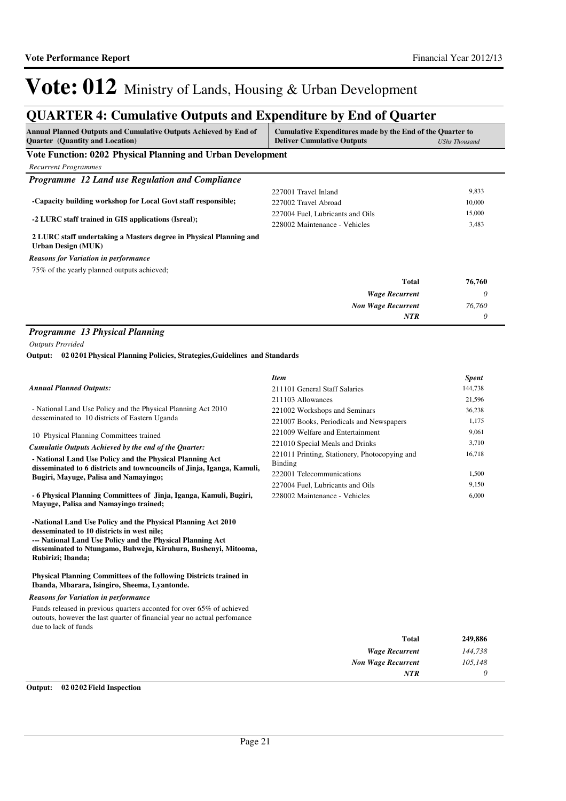## **QUARTER 4: Cumulative Outputs and Expenditure by End of Quarter**

| <b>Annual Planned Outputs and Cumulative Outputs Achieved by End of</b><br><b>Quarter</b> (Quantity and Location) | Cumulative Expenditures made by the End of the Quarter to<br><b>Deliver Cumulative Outputs</b> | <b>UShs Thousand</b> |
|-------------------------------------------------------------------------------------------------------------------|------------------------------------------------------------------------------------------------|----------------------|
| Vote Function: 0202 Physical Planning and Urban Development                                                       |                                                                                                |                      |
| <b>Recurrent Programmes</b>                                                                                       |                                                                                                |                      |
| Programme 12 Land use Regulation and Compliance                                                                   |                                                                                                |                      |
|                                                                                                                   | 227001 Travel Inland                                                                           | 9,833                |
| -Capacity building workshop for Local Govt staff responsible;                                                     | 227002 Travel Abroad                                                                           | 10,000               |
| -2 LURC staff trained in GIS applications (Isreal);                                                               | 227004 Fuel, Lubricants and Oils                                                               | 15,000               |
|                                                                                                                   | 228002 Maintenance - Vehicles                                                                  | 3,483                |
| 2 LURC staff undertaking a Masters degree in Physical Planning and<br><b>Urban Design (MUK)</b>                   |                                                                                                |                      |
| <b>Reasons for Variation in performance</b>                                                                       |                                                                                                |                      |
| 75% of the yearly planned outputs achieved;                                                                       |                                                                                                |                      |
|                                                                                                                   | <b>Total</b>                                                                                   | 76,760               |
|                                                                                                                   | <b>Wage Recurrent</b>                                                                          | 0                    |
|                                                                                                                   | <b>Non Wage Recurrent</b>                                                                      | 76,760               |
|                                                                                                                   | <b>NTR</b>                                                                                     | 0                    |

### *Programme 13 Physical Planning*

*Outputs Provided*

**02 0201 Physical Planning Policies, Strategies,Guidelines and Standards Output:**

|                                                                                                                                                                                                                                                                  | <b>Item</b>                                              | <b>Spent</b> |
|------------------------------------------------------------------------------------------------------------------------------------------------------------------------------------------------------------------------------------------------------------------|----------------------------------------------------------|--------------|
| <b>Annual Planned Outputs:</b>                                                                                                                                                                                                                                   | 211101 General Staff Salaries                            | 144,738      |
|                                                                                                                                                                                                                                                                  | 211103 Allowances                                        | 21,596       |
| - National Land Use Policy and the Physical Planning Act 2010                                                                                                                                                                                                    | 221002 Workshops and Seminars                            | 36,238       |
| desseminated to 10 districts of Eastern Uganda                                                                                                                                                                                                                   | 221007 Books, Periodicals and Newspapers                 | 1,175        |
| 10 Physical Planning Committees trained                                                                                                                                                                                                                          | 221009 Welfare and Entertainment                         | 9,061        |
| Cumulatie Outputs Achieved by the end of the Quarter:                                                                                                                                                                                                            | 221010 Special Meals and Drinks                          | 3,710        |
| - National Land Use Policy and the Physical Planning Act<br>disseminated to 6 districts and towncouncils of Jinja, Iganga, Kamuli,                                                                                                                               | 221011 Printing, Stationery, Photocopying and<br>Binding | 16,718       |
| Bugiri, Mayuge, Palisa and Namayingo;                                                                                                                                                                                                                            | 222001 Telecommunications                                | 1,500        |
|                                                                                                                                                                                                                                                                  | 227004 Fuel. Lubricants and Oils                         | 9,150        |
| - 6 Physical Planning Committees of Jinja, Iganga, Kamuli, Bugiri,<br>Mayuge, Palisa and Namayingo trained;                                                                                                                                                      | 228002 Maintenance - Vehicles                            | 6,000        |
| -National Land Use Policy and the Physical Planning Act 2010<br>desseminated to 10 districts in west nile;<br>--- National Land Use Policy and the Physical Planning Act<br>disseminated to Ntungamo, Buhweju, Kiruhura, Bushenyi, Mitooma,<br>Rubirizi; Ibanda; |                                                          |              |
| <b>Physical Planning Committees of the following Districts trained in</b><br>Ibanda, Mbarara, Isingiro, Sheema, Lyantonde.                                                                                                                                       |                                                          |              |
| <b>Reasons for Variation in performance</b>                                                                                                                                                                                                                      |                                                          |              |
| Funds released in previous quarters acconted for over 65% of achieved<br>outouts, however the last quarter of financial year no actual perfomance<br>due to lack of funds                                                                                        |                                                          |              |

| 249,886<br><b>Total</b>              |  |
|--------------------------------------|--|
| 144,738<br><b>Wage Recurrent</b>     |  |
| 105,148<br><b>Non Wage Recurrent</b> |  |
| <b>NTR</b>                           |  |
|                                      |  |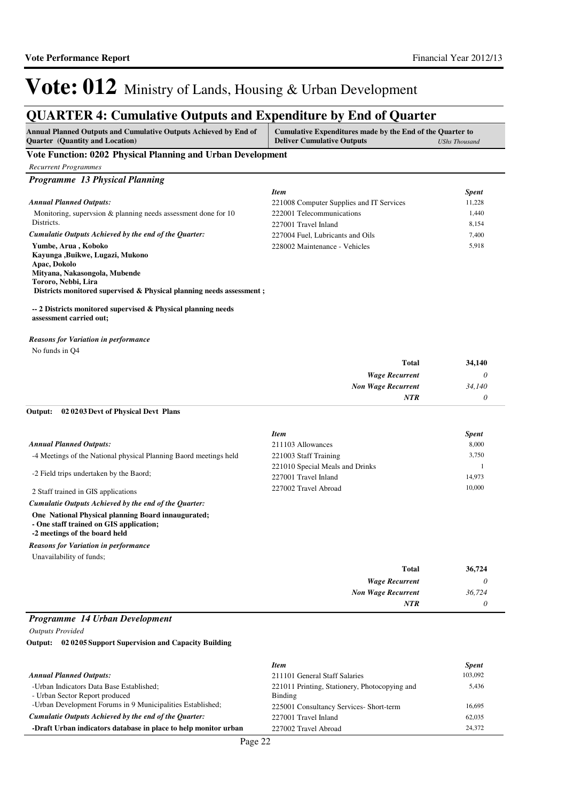### **QUARTER 4: Cumulative Outputs and Expenditure by End of Quarter**

| Annual Planned Outputs and Cumulative Outputs Achieved by End of<br>Quarter (Quantity and Location)                                                                                                    | Cumulative Expenditures made by the End of the Quarter to<br><b>Deliver Cumulative Outputs</b><br><b>UShs Thousand</b> |              |
|--------------------------------------------------------------------------------------------------------------------------------------------------------------------------------------------------------|------------------------------------------------------------------------------------------------------------------------|--------------|
| Vote Function: 0202 Physical Planning and Urban Development                                                                                                                                            |                                                                                                                        |              |
| <b>Recurrent Programmes</b>                                                                                                                                                                            |                                                                                                                        |              |
| Programme 13 Physical Planning                                                                                                                                                                         |                                                                                                                        |              |
|                                                                                                                                                                                                        | <b>Item</b>                                                                                                            | <b>Spent</b> |
| <b>Annual Planned Outputs:</b>                                                                                                                                                                         | 221008 Computer Supplies and IT Services                                                                               | 11,228       |
| Monitoring, supervsion & planning needs assessment done for 10                                                                                                                                         | 222001 Telecommunications                                                                                              | 1,440        |
| Districts.                                                                                                                                                                                             | 227001 Travel Inland                                                                                                   | 8,154        |
| Cumulatie Outputs Achieved by the end of the Quarter:                                                                                                                                                  | 227004 Fuel, Lubricants and Oils                                                                                       | 7,400        |
| Yumbe, Arua, Koboko<br>Kayunga ,Buikwe, Lugazi, Mukono<br>Apac, Dokolo<br>Mityana, Nakasongola, Mubende<br>Tororo, Nebbi, Lira<br>Districts monitored supervised & Physical planning needs assessment; | 228002 Maintenance - Vehicles                                                                                          | 5,918        |
| -- 2 Districts monitored supervised & Physical planning needs<br>assessment carried out;                                                                                                               |                                                                                                                        |              |
| <b>Reasons for Variation in performance</b>                                                                                                                                                            |                                                                                                                        |              |
| No funds in Q4                                                                                                                                                                                         |                                                                                                                        |              |
|                                                                                                                                                                                                        | <b>Total</b>                                                                                                           | 34,140       |
|                                                                                                                                                                                                        | <b>Wage Recurrent</b>                                                                                                  | 0            |
|                                                                                                                                                                                                        | <b>Non Wage Recurrent</b>                                                                                              | 34,140       |
|                                                                                                                                                                                                        | NTR                                                                                                                    | 0            |
| Output: 02 02 03 Devt of Physical Devt Plans                                                                                                                                                           |                                                                                                                        |              |
|                                                                                                                                                                                                        |                                                                                                                        |              |
|                                                                                                                                                                                                        | <b>Item</b>                                                                                                            | <b>Spent</b> |
| <b>Annual Planned Outputs:</b>                                                                                                                                                                         | 211103 Allowances                                                                                                      | 8,000        |
| -4 Meetings of the National physical Planning Baord meetings held                                                                                                                                      | 221003 Staff Training                                                                                                  | 3,750        |
|                                                                                                                                                                                                        | 221010 Special Meals and Drinks                                                                                        | 1            |
| -2 Field trips undertaken by the Baord;                                                                                                                                                                | 227001 Travel Inland                                                                                                   | 14,973       |
| 2 Staff trained in GIS applications                                                                                                                                                                    | 227002 Travel Abroad                                                                                                   | 10,000       |
| Cumulatie Outputs Achieved by the end of the Quarter:                                                                                                                                                  |                                                                                                                        |              |
| One National Physical planning Board innaugurated;<br>- One staff trained on GIS application;<br>-2 meetings of the board held                                                                         |                                                                                                                        |              |
| <b>Reasons for Variation in performance</b>                                                                                                                                                            |                                                                                                                        |              |
| Unavailability of funds;                                                                                                                                                                               |                                                                                                                        |              |
|                                                                                                                                                                                                        | <b>Total</b>                                                                                                           | 36,724       |
|                                                                                                                                                                                                        | <b>Wage Recurrent</b>                                                                                                  | 0            |
|                                                                                                                                                                                                        | <b>Non Wage Recurrent</b>                                                                                              | 36,724       |
|                                                                                                                                                                                                        | NTR                                                                                                                    | 0            |

**02 0205 Support Supervision and Capacity Building Output:**

|                                                                 | <b>Item</b>                                   | <b>Spent</b> |
|-----------------------------------------------------------------|-----------------------------------------------|--------------|
| <b>Annual Planned Outputs:</b>                                  | 211101 General Staff Salaries                 | 103,092      |
| -Urban Indicators Data Base Established;                        | 221011 Printing, Stationery, Photocopying and | 5,436        |
| - Urban Sector Report produced                                  | Binding                                       |              |
| -Urban Development Forums in 9 Municipalities Established;      | 225001 Consultancy Services- Short-term       | 16,695       |
| Cumulatie Outputs Achieved by the end of the Quarter:           | 227001 Travel Inland                          | 62,035       |
| -Draft Urban indicators database in place to help monitor urban | 227002 Travel Abroad                          | 24,372       |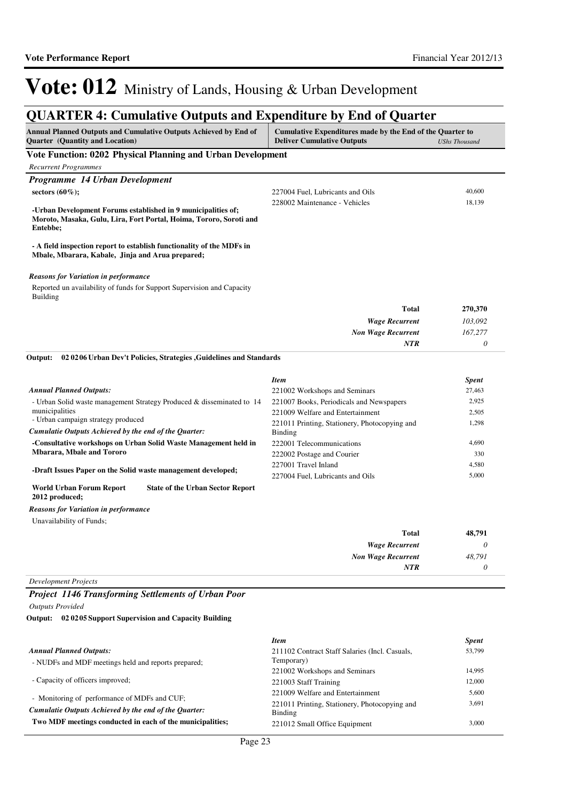### **QUARTER 4: Cumulative Outputs and Expenditure by End of Quarter**

| <b>Annual Planned Outputs and Cumulative Outputs Achieved by End of</b><br><b>Quarter</b> (Quantity and Location)                               | Cumulative Expenditures made by the End of the Quarter to<br><b>Deliver Cumulative Outputs</b> | <b>UShs Thousand</b> |
|-------------------------------------------------------------------------------------------------------------------------------------------------|------------------------------------------------------------------------------------------------|----------------------|
| Vote Function: 0202 Physical Planning and Urban Development                                                                                     |                                                                                                |                      |
| <b>Recurrent Programmes</b>                                                                                                                     |                                                                                                |                      |
| Programme 14 Urban Development                                                                                                                  |                                                                                                |                      |
| sectors $(60\%)$ ;                                                                                                                              | 227004 Fuel, Lubricants and Oils                                                               | 40,600               |
| -Urban Development Forums established in 9 municipalities of;<br>Moroto, Masaka, Gulu, Lira, Fort Portal, Hoima, Tororo, Soroti and<br>Entebbe; | 228002 Maintenance - Vehicles                                                                  | 18,139               |
| - A field inspection report to establish functionality of the MDFs in<br>Mbale, Mbarara, Kabale, Jinja and Arua prepared;                       |                                                                                                |                      |
| <b>Reasons for Variation in performance</b>                                                                                                     |                                                                                                |                      |
| Reported un availability of funds for Support Supervision and Capacity<br>Building                                                              |                                                                                                |                      |
|                                                                                                                                                 | <b>Total</b>                                                                                   | 270,370              |
|                                                                                                                                                 | <b>Wage Recurrent</b>                                                                          | 103,092              |
|                                                                                                                                                 | <b>Non Wage Recurrent</b>                                                                      | 167,277              |
|                                                                                                                                                 | <b>NTR</b>                                                                                     | 0                    |
| 02 02 06 Urban Dev't Policies, Strategies, Guidelines and Standards<br>Output:                                                                  |                                                                                                |                      |
|                                                                                                                                                 | <b>Item</b>                                                                                    | <b>Spent</b>         |
| <b>Annual Planned Outputs:</b>                                                                                                                  | 221002 Workshops and Seminars                                                                  | 27,463               |
| - Urban Solid waste management Strategy Produced & disseminated to 14                                                                           | 221007 Books, Periodicals and Newspapers                                                       | 2,925                |
| municipalities<br>- Urban campaign strategy produced                                                                                            | 221009 Welfare and Entertainment                                                               | 2,505                |
| Cumulatie Outputs Achieved by the end of the Quarter:                                                                                           | 221011 Printing, Stationery, Photocopying and<br><b>Binding</b>                                | 1,298                |
| -Consultative workshops on Urban Solid Waste Management held in                                                                                 | 222001 Telecommunications                                                                      | 4,690                |
| Mbarara, Mbale and Tororo                                                                                                                       | 222002 Postage and Courier                                                                     | 330                  |
|                                                                                                                                                 | 227001 Travel Inland                                                                           | 4,580                |
| -Draft Issues Paper on the Solid waste management developed;                                                                                    | 227004 Fuel, Lubricants and Oils                                                               | 5,000                |
| <b>World Urban Forum Report</b><br><b>State of the Urban Sector Report</b><br>2012 produced;                                                    |                                                                                                |                      |
| <b>Reasons for Variation in performance</b>                                                                                                     |                                                                                                |                      |
| Unavailability of Funds;                                                                                                                        |                                                                                                |                      |
|                                                                                                                                                 | <b>Total</b>                                                                                   | 48,791               |
|                                                                                                                                                 | <b>Wage Recurrent</b>                                                                          | 0                    |

*Development Projects*

*Project 1146 Transforming Settlements of Urban Poor Outputs Provided*

**02 0205 Support Supervision and Capacity Building Output:**

|                                                                                                       | <b>Item</b>                                              | <b>Spent</b> |
|-------------------------------------------------------------------------------------------------------|----------------------------------------------------------|--------------|
| <b>Annual Planned Outputs:</b>                                                                        | 211102 Contract Staff Salaries (Incl. Casuals,           | 53,799       |
| - NUDFs and MDF meetings held and reports prepared;                                                   | Temporary)                                               |              |
|                                                                                                       | 221002 Workshops and Seminars                            | 14.995       |
| - Capacity of officers improved;                                                                      | 221003 Staff Training                                    | 12,000       |
|                                                                                                       | 221009 Welfare and Entertainment                         | 5.600        |
| - Monitoring of performance of MDFs and CUF;<br>Cumulatie Outputs Achieved by the end of the Ouarter: | 221011 Printing, Stationery, Photocopying and<br>Binding | 3.691        |
| Two MDF meetings conducted in each of the municipalities;                                             | 221012 Small Office Equipment                            | 3.000        |

*Non Wage Recurrent*

*NTR*

*48,791 0*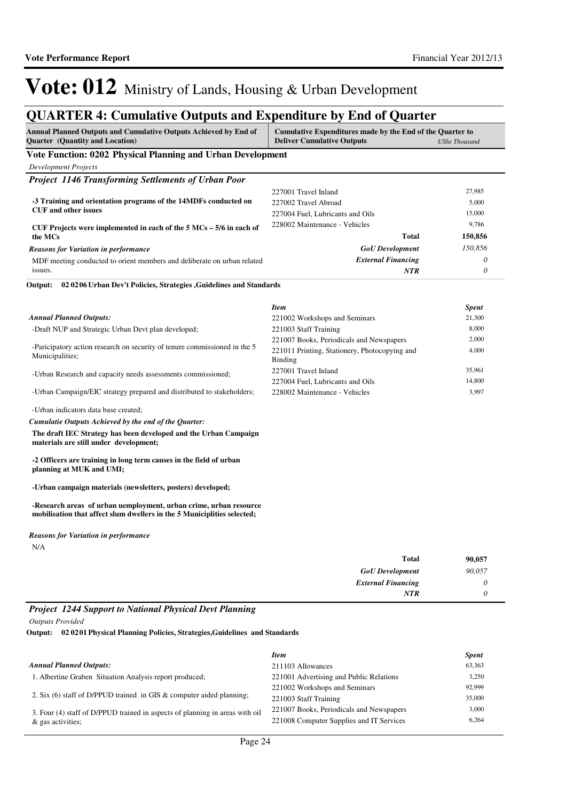### **QUARTER 4: Cumulative Outputs and Expenditure by End of Quarter**

| <b>Annual Planned Outputs and Cumulative Outputs Achieved by End of</b><br>Quarter (Quantity and Location)                                   | Cumulative Expenditures made by the End of the Quarter to<br><b>Deliver Cumulative Outputs</b> | <b>UShs Thousand</b> |
|----------------------------------------------------------------------------------------------------------------------------------------------|------------------------------------------------------------------------------------------------|----------------------|
| Vote Function: 0202 Physical Planning and Urban Development                                                                                  |                                                                                                |                      |
| Development Projects                                                                                                                         |                                                                                                |                      |
| <b>Project 1146 Transforming Settlements of Urban Poor</b>                                                                                   |                                                                                                |                      |
|                                                                                                                                              | 227001 Travel Inland                                                                           | 27,985               |
| -3 Training and orientation programs of the 14MDFs conducted on                                                                              | 227002 Travel Abroad                                                                           | 5,000                |
| <b>CUF</b> and other issues                                                                                                                  | 227004 Fuel, Lubricants and Oils                                                               | 15,000               |
| CUF Projects were implemented in each of the $5$ MCs $-5/6$ in each of<br>the MCs                                                            | 228002 Maintenance - Vehicles<br><b>Total</b>                                                  | 9,786<br>150,856     |
| <b>Reasons for Variation in performance</b>                                                                                                  | <b>GoU</b> Development                                                                         | 150,856              |
| MDF meeting conducted to orient members and deliberate on urban related                                                                      | <b>External Financing</b>                                                                      | 0                    |
| issues.                                                                                                                                      | <b>NTR</b>                                                                                     | 0                    |
| 02 02 06 Urban Dev't Policies, Strategies, Guidelines and Standards<br>Output:                                                               |                                                                                                |                      |
|                                                                                                                                              | <b>Item</b>                                                                                    | <b>Spent</b>         |
| <b>Annual Planned Outputs:</b>                                                                                                               | 221002 Workshops and Seminars                                                                  | 21,300               |
| -Draft NUP and Strategic Urban Devt plan developed;                                                                                          | 221003 Staff Training                                                                          | 8,000                |
| -Paricipatory action research on security of tenure commissioned in the 5                                                                    | 221007 Books, Periodicals and Newspapers                                                       | 2,000                |
| Municipalities;                                                                                                                              | 221011 Printing, Stationery, Photocopying and<br><b>Binding</b>                                | 4,000                |
| -Urban Research and capacity needs assessments commissioned;                                                                                 | 227001 Travel Inland                                                                           | 35,961               |
|                                                                                                                                              | 227004 Fuel, Lubricants and Oils                                                               | 14,800               |
| -Urban Campaign/EIC strategy prepared and distributed to stakeholders;                                                                       | 228002 Maintenance - Vehicles                                                                  | 3,997                |
| -Urban indicators data base created;                                                                                                         |                                                                                                |                      |
| Cumulatie Outputs Achieved by the end of the Quarter:                                                                                        |                                                                                                |                      |
| The draft IEC Strategy has been developed and the Urban Campaign<br>materials are still under development;                                   |                                                                                                |                      |
| -2 Officers are training in long term causes in the field of urban<br>planning at MUK and UMI;                                               |                                                                                                |                      |
| -Urban campaign materials (newsletters, posters) developed;                                                                                  |                                                                                                |                      |
| -Research areas of urban uemployment, urban crime, urban resource<br>mobilisation that affect slum dwellers in the 5 Municiplities selected; |                                                                                                |                      |
| <b>Reasons for Variation in performance</b>                                                                                                  |                                                                                                |                      |
| N/A                                                                                                                                          |                                                                                                |                      |
|                                                                                                                                              | <b>Total</b>                                                                                   | 90,057               |

#### *Project 1244 Support to National Physical Devt Planning*

*Outputs Provided*

**02 0201 Physical Planning Policies, Strategies,Guidelines and Standards Output:**

|                                                                              | <b>Item</b>                              | <b>Spent</b> |
|------------------------------------------------------------------------------|------------------------------------------|--------------|
| <b>Annual Planned Outputs:</b>                                               | 211103 Allowances                        | 63,363       |
| 1. Albertine Graben Situation Analysis report produced;                      | 221001 Advertising and Public Relations  | 3,250        |
|                                                                              | 221002 Workshops and Seminars            | 92,999       |
| 2. Six (6) staff of D/PPUD trained in GIS & computer aided planning;         | 221003 Staff Training                    | 35,000       |
| 3. Four (4) staff of D/PPUD trained in aspects of planning in areas with oil | 221007 Books, Periodicals and Newspapers | 3,000        |
| & gas activities:                                                            | 221008 Computer Supplies and IT Services | 6,264        |

*GoU Development External Financing*

*NTR*

*90,057 0 0*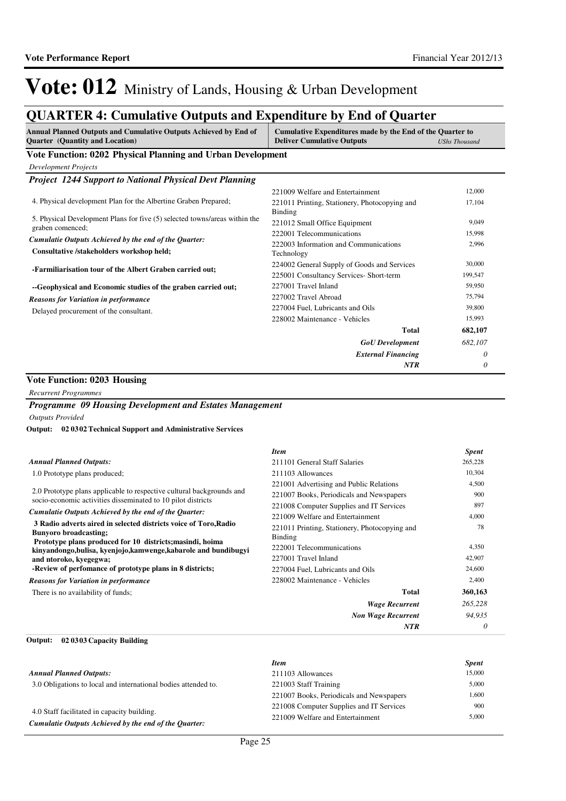## **QUARTER 4: Cumulative Outputs and Expenditure by End of Quarter**

| Quarter (Quantity and Location)                                                                                                                                                                                                                             | Cumulative Expenditures made by the End of the Quarter to<br><b>Deliver Cumulative Outputs</b> | <b>UShs Thousand</b> |
|-------------------------------------------------------------------------------------------------------------------------------------------------------------------------------------------------------------------------------------------------------------|------------------------------------------------------------------------------------------------|----------------------|
| Vote Function: 0202 Physical Planning and Urban Development                                                                                                                                                                                                 |                                                                                                |                      |
| <b>Development Projects</b>                                                                                                                                                                                                                                 |                                                                                                |                      |
| <b>Project 1244 Support to National Physical Devt Planning</b>                                                                                                                                                                                              |                                                                                                |                      |
|                                                                                                                                                                                                                                                             | 221009 Welfare and Entertainment                                                               | 12,000               |
| 4. Physical development Plan for the Albertine Graben Prepared;                                                                                                                                                                                             | 221011 Printing, Stationery, Photocopying and<br>Binding                                       | 17,104               |
| 5. Physical Development Plans for five (5) selected towns/areas within the<br>graben comenced;                                                                                                                                                              | 221012 Small Office Equipment                                                                  | 9,049                |
| Cumulatie Outputs Achieved by the end of the Quarter:                                                                                                                                                                                                       | 222001 Telecommunications                                                                      | 15,998               |
| Consultative /stakeholders workshop held;                                                                                                                                                                                                                   | 222003 Information and Communications<br>Technology                                            | 2,996                |
|                                                                                                                                                                                                                                                             | 224002 General Supply of Goods and Services                                                    | 30,000               |
| -Farmiliarisation tour of the Albert Graben carried out;                                                                                                                                                                                                    | 225001 Consultancy Services- Short-term                                                        | 199,547              |
| --Geophysical and Economic studies of the graben carried out;                                                                                                                                                                                               | 227001 Travel Inland                                                                           | 59,950               |
| <b>Reasons for Variation in performance</b>                                                                                                                                                                                                                 | 227002 Travel Abroad                                                                           | 75,794               |
| Delayed procurement of the consultant.                                                                                                                                                                                                                      | 227004 Fuel, Lubricants and Oils                                                               | 39,800               |
|                                                                                                                                                                                                                                                             | 228002 Maintenance - Vehicles                                                                  | 15,993               |
|                                                                                                                                                                                                                                                             | Total                                                                                          | 682,107              |
|                                                                                                                                                                                                                                                             | <b>GoU</b> Development                                                                         | 682,107              |
|                                                                                                                                                                                                                                                             | <b>External Financing</b>                                                                      | 0                    |
|                                                                                                                                                                                                                                                             | <b>NTR</b>                                                                                     | $\theta$             |
|                                                                                                                                                                                                                                                             |                                                                                                |                      |
|                                                                                                                                                                                                                                                             |                                                                                                |                      |
|                                                                                                                                                                                                                                                             | <b>Item</b>                                                                                    | <b>Spent</b>         |
|                                                                                                                                                                                                                                                             | 211101 General Staff Salaries                                                                  | 265,228              |
| 1.0 Prototype plans produced;                                                                                                                                                                                                                               | 211103 Allowances                                                                              | 10,304               |
|                                                                                                                                                                                                                                                             | 221001 Advertising and Public Relations                                                        | 4,500                |
| 2.0 Prototype plans applicable to respective cultural backgrounds and                                                                                                                                                                                       | 221007 Books, Periodicals and Newspapers                                                       | 900                  |
| socio-economic activities disseminated to 10 pilot districts                                                                                                                                                                                                | 221008 Computer Supplies and IT Services                                                       | 897                  |
|                                                                                                                                                                                                                                                             | 221009 Welfare and Entertainment                                                               | 4,000                |
| 3 Radio adverts aired in selected districts voice of Toro, Radio<br><b>Bunyoro broadcasting;</b>                                                                                                                                                            | 221011 Printing, Stationery, Photocopying and                                                  | 78                   |
| Prototype plans produced for 10 districts; masindi, hoima                                                                                                                                                                                                   | Binding<br>222001 Telecommunications                                                           | 4,350                |
| kinyandongo, bulisa, kyenjojo, kamwenge, kabarole and bundibugyi                                                                                                                                                                                            | 227001 Travel Inland                                                                           | 42,907               |
| and ntoroko, kyegegwa;<br>-Review of perfomance of prototype plans in 8 districts;                                                                                                                                                                          | 227004 Fuel, Lubricants and Oils                                                               | 24,600               |
|                                                                                                                                                                                                                                                             | 228002 Maintenance - Vehicles                                                                  | 2,400                |
| There is no availability of funds;                                                                                                                                                                                                                          | Total                                                                                          | 360,163              |
| <b>Recurrent Programmes</b><br>Programme 09 Housing Development and Estates Management<br><b>Outputs Provided</b><br><b>Annual Planned Outputs:</b><br>Cumulatie Outputs Achieved by the end of the Quarter:<br><b>Reasons for Variation in performance</b> | <b>Wage Recurrent</b>                                                                          | 265,228              |
| Vote Function: 0203 Housing<br>Output: 02 03 02 Technical Support and Administrative Services                                                                                                                                                               | <b>Non Wage Recurrent</b>                                                                      | 94,935               |

|                                                                                                      | <b>Item</b>                              | <b>Spent</b> |
|------------------------------------------------------------------------------------------------------|------------------------------------------|--------------|
| <b>Annual Planned Outputs:</b>                                                                       | 211103 Allowances                        | 15,000       |
| 3.0 Obligations to local and international bodies attended to.                                       | 221003 Staff Training                    | 5,000        |
|                                                                                                      | 221007 Books, Periodicals and Newspapers | 1,600        |
|                                                                                                      | 221008 Computer Supplies and IT Services | 900          |
| 4.0 Staff facilitated in capacity building.<br>Cumulatie Outputs Achieved by the end of the Quarter: | 221009 Welfare and Entertainment         | 5,000        |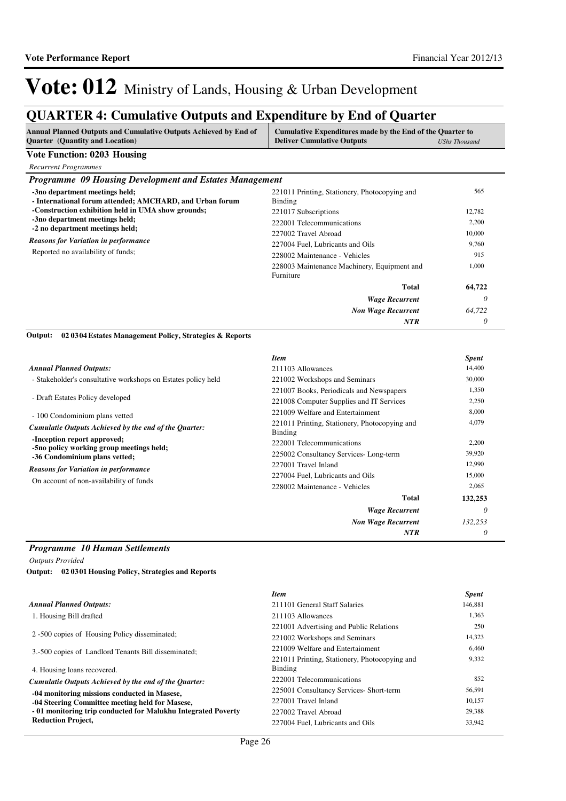## **QUARTER 4: Cumulative Outputs and Expenditure by End of Quarter**

| <b>Annual Planned Outputs and Cumulative Outputs Achieved by End of</b> | Cumulative Expenditures made by the End of the Quarter to |                      |
|-------------------------------------------------------------------------|-----------------------------------------------------------|----------------------|
| <b>Quarter</b> (Quantity and Location)                                  | <b>Deliver Cumulative Outputs</b>                         | <b>UShs Thousand</b> |

### **Vote Function: 0203 Housing**

| <b>Recurrent Programmes</b> |  |
|-----------------------------|--|
|-----------------------------|--|

#### *Programme 09 Housing Development and Estates Management*

| 221011 Printing, Stationery, Photocopying and<br>Binding                                                                                 | 565                             |
|------------------------------------------------------------------------------------------------------------------------------------------|---------------------------------|
| 221017 Subscriptions<br>222001 Telecommunications                                                                                        | 12,782<br>2,200                 |
| 227002 Travel Abroad<br>227004 Fuel, Lubricants and Oils<br>228002 Maintenance - Vehicles<br>228003 Maintenance Machinery, Equipment and | 10,000<br>9,760<br>915<br>1,000 |
| <b>Total</b>                                                                                                                             | 64,722                          |
| <b>Wage Recurrent</b>                                                                                                                    | 0                               |
| <b>Non Wage Recurrent</b>                                                                                                                | 64.722                          |
| <b>NTR</b>                                                                                                                               | 0                               |
|                                                                                                                                          | Furniture                       |

**02 0304 Estates Management Policy, Strategies & Reports Output:**

|                                                                           | Item                                                            | <b>Spent</b> |
|---------------------------------------------------------------------------|-----------------------------------------------------------------|--------------|
| <b>Annual Planned Outputs:</b>                                            | 211103 Allowances                                               | 14,400       |
| - Stakeholder's consultative workshops on Estates policy held             | 221002 Workshops and Seminars                                   | 30,000       |
|                                                                           | 221007 Books, Periodicals and Newspapers                        | 1,350        |
| - Draft Estates Policy developed                                          | 221008 Computer Supplies and IT Services                        | 2,250        |
| - 100 Condominium plans vetted                                            | 221009 Welfare and Entertainment                                | 8,000        |
| Cumulatie Outputs Achieved by the end of the Quarter:                     | 221011 Printing, Stationery, Photocopying and<br><b>Binding</b> | 4,079        |
| -Inception report approved;                                               | 222001 Telecommunications                                       | 2,200        |
| -5no policy working group meetings held;<br>-36 Condominium plans vetted; | 225002 Consultancy Services-Long-term                           | 39,920       |
| <b>Reasons for Variation in performance</b>                               | 227001 Travel Inland                                            | 12,990       |
| On account of non-availability of funds                                   | 227004 Fuel, Lubricants and Oils                                | 15,000       |
|                                                                           | 228002 Maintenance - Vehicles                                   | 2,065        |
|                                                                           | Total                                                           | 132,253      |
|                                                                           | <b>Wage Recurrent</b>                                           | 0            |
|                                                                           | <b>Non Wage Recurrent</b>                                       | 132,253      |
|                                                                           | <b>NTR</b>                                                      | 0            |

#### *Programme 10 Human Settlements*

*Outputs Provided*

**02 0301 Housing Policy, Strategies and Reports Output:**

| <b>Item</b>                                              | <b>Spent</b> |
|----------------------------------------------------------|--------------|
| 211101 General Staff Salaries                            | 146,881      |
| 211103 Allowances                                        | 1,363        |
| 221001 Advertising and Public Relations                  | 250          |
| 221002 Workshops and Seminars                            | 14,323       |
| 221009 Welfare and Entertainment                         | 6,460        |
| 221011 Printing, Stationery, Photocopying and<br>Binding | 9,332        |
| 222001 Telecommunications                                | 852          |
| 225001 Consultancy Services- Short-term                  | 56,591       |
| 227001 Travel Inland                                     | 10,157       |
| 227002 Travel Abroad                                     | 29,388       |
| 227004 Fuel. Lubricants and Oils                         | 33,942       |
|                                                          |              |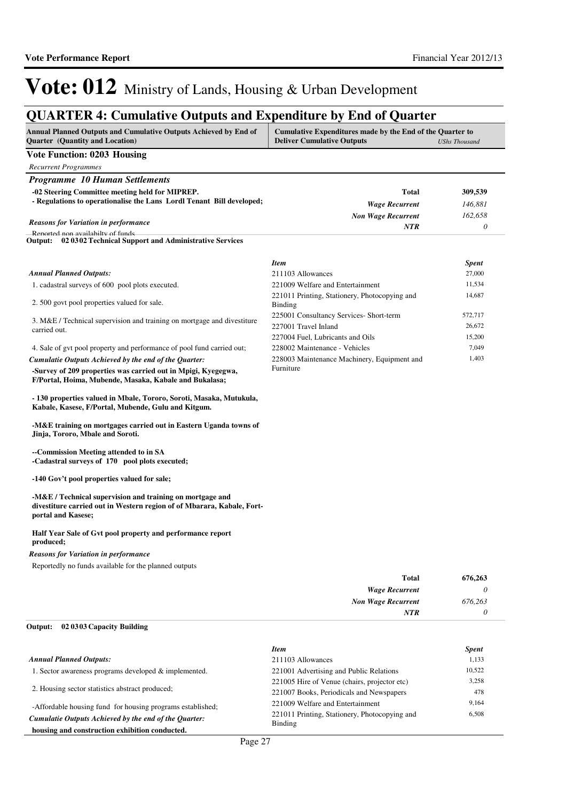### **QUARTER 4: Cumulative Outputs and Expenditure by End of Quarter**

| <b>Annual Planned Outputs and Cumulative Outputs Achieved by End of</b><br><b>Ouarter</b> (Quantity and Location) | Cumulative Expenditures made by the End of the Quarter to<br><b>Deliver Cumulative Outputs</b> | <b>UShs Thousand</b> |
|-------------------------------------------------------------------------------------------------------------------|------------------------------------------------------------------------------------------------|----------------------|
| <b>Vote Function: 0203 Housing</b>                                                                                |                                                                                                |                      |

| Recurrent Programmes                                                  |                           |         |
|-----------------------------------------------------------------------|---------------------------|---------|
| <b>Programme 10 Human Settlements</b>                                 |                           |         |
| -02 Steering Committee meeting held for MIPREP.                       | Total                     | 309,539 |
| - Regulations to operationalise the Lans Lordl Tenant Bill developed; | <b>Wage Recurrent</b>     | 146.881 |
|                                                                       | <b>Non Wage Recurrent</b> | 162,658 |
| <b>Reasons for Variation in performance</b>                           | NTR                       |         |

Reported non availabilty of funds **02 0302 Technical Support and Administrative Services Output:**

|                                                                                         | <b>Item</b>                                                     | <b>Spent</b> |
|-----------------------------------------------------------------------------------------|-----------------------------------------------------------------|--------------|
| <b>Annual Planned Outputs:</b>                                                          | 211103 Allowances                                               | 27,000       |
| 1. cadastral surveys of 600 pool plots executed.                                        | 221009 Welfare and Entertainment                                | 11.534       |
| 2.500 govt pool properties valued for sale.                                             | 221011 Printing, Stationery, Photocopying and<br><b>Binding</b> | 14,687       |
| 3. M&E / Technical supervision and training on mortgage and divestiture<br>carried out. | 225001 Consultancy Services- Short-term                         | 572,717      |
|                                                                                         | 227001 Travel Inland                                            | 26,672       |
|                                                                                         | 227004 Fuel, Lubricants and Oils                                | 15,200       |
| 4. Sale of gyt pool property and performance of pool fund carried out;                  | 228002 Maintenance - Vehicles                                   | 7.049        |
| Cumulatie Outputs Achieved by the end of the Ouarter:                                   | 228003 Maintenance Machinery, Equipment and                     | 1,403        |
| -Survey of 209 properties was carried out in Mpigi, Kyegegwa,                           | Furniture                                                       |              |

**F/Portal, Hoima, Mubende, Masaka, Kabale and Bukalasa;**

**- 130 properties valued in Mbale, Tororo, Soroti, Masaka, Mutukula, Kabale, Kasese, F/Portal, Mubende, Gulu and Kitgum.**

**-M&E training on mortgages carried out in Eastern Uganda towns of Jinja, Tororo, Mbale and Soroti.**

**--Commission Meeting attended to in SA -Cadastral surveys of 170 pool plots executed;**

**-140 Gov't pool properties valued for sale;**

**-M&E / Technical supervision and training on mortgage and divestiture carried out in Western region of of Mbarara, Kabale, Fortportal and Kasese;**

**Half Year Sale of Gvt pool property and performance report produced;**

*Reasons for Variation in performance*

Reportedly no funds available for the planned outputs

| <b>Total</b>              |  |  |    |
|---------------------------|--|--|----|
| <b>Wage Recurrent</b>     |  |  |    |
| <b>Non Wage Recurrent</b> |  |  |    |
| <b>NTR</b>                |  |  |    |
|                           |  |  | -- |

#### **02 0303 Capacity Building Output:**

|                                                            | <b>Item</b>                                              | <b>Spent</b> |
|------------------------------------------------------------|----------------------------------------------------------|--------------|
| <b>Annual Planned Outputs:</b>                             | 211103 Allowances                                        | 1,133        |
| 1. Sector awareness programs developed $\&$ implemented.   | 221001 Advertising and Public Relations                  | 10,522       |
| 2. Housing sector statistics abstract produced;            | 221005 Hire of Venue (chairs, projector etc)             | 3,258        |
|                                                            | 221007 Books, Periodicals and Newspapers                 | 478          |
| -Affordable housing fund for housing programs established; | 221009 Welfare and Entertainment                         | 9,164        |
| Cumulatie Outputs Achieved by the end of the Quarter:      | 221011 Printing, Stationery, Photocopying and<br>Binding | 6,508        |
| housing and construction exhibition conducted.             |                                                          |              |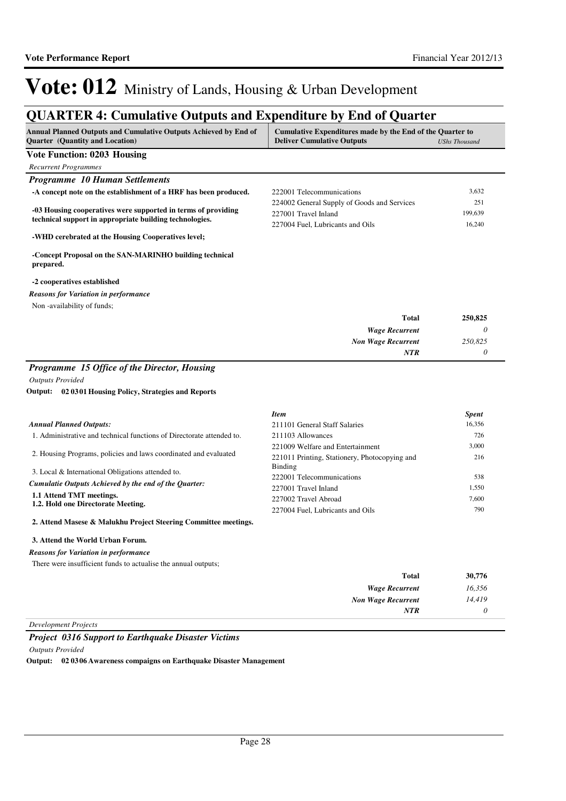**Annual Planned Outputs and Cumulative Outputs Achieved by End of** 

*0*

**Cumulative Expenditures made by the End of the Quarter to** 

# Vote: 012 Ministry of Lands, Housing & Urban Development

### **QUARTER 4: Cumulative Outputs and Expenditure by End of Quarter**

| <b>Quarter</b> (Quantity and Location)                                                                                   | <b>Deliver Cumulative Outputs</b>                               | <b>UShs Thousand</b> |
|--------------------------------------------------------------------------------------------------------------------------|-----------------------------------------------------------------|----------------------|
| <b>Vote Function: 0203 Housing</b>                                                                                       |                                                                 |                      |
| <b>Recurrent Programmes</b>                                                                                              |                                                                 |                      |
| <b>Programme 10 Human Settlements</b>                                                                                    |                                                                 |                      |
| -A concept note on the establishment of a HRF has been produced.                                                         | 222001 Telecommunications                                       | 3,632                |
|                                                                                                                          | 224002 General Supply of Goods and Services                     | 251                  |
| -03 Housing cooperatives were supported in terms of providing<br>technical support in appropriate building technologies. | 227001 Travel Inland                                            | 199,639              |
|                                                                                                                          | 227004 Fuel, Lubricants and Oils                                | 16,240               |
| -WHD cerebrated at the Housing Cooperatives level;                                                                       |                                                                 |                      |
| -Concept Proposal on the SAN-MARINHO building technical<br>prepared.                                                     |                                                                 |                      |
| -2 cooperatives established                                                                                              |                                                                 |                      |
| <b>Reasons for Variation in performance</b>                                                                              |                                                                 |                      |
| Non -availability of funds;                                                                                              |                                                                 |                      |
|                                                                                                                          | <b>Total</b>                                                    | 250,825              |
|                                                                                                                          | <b>Wage Recurrent</b>                                           | 0                    |
|                                                                                                                          | <b>Non Wage Recurrent</b>                                       | 250,825              |
|                                                                                                                          | <b>NTR</b>                                                      | 0                    |
| Output: 02 0301 Housing Policy, Strategies and Reports                                                                   |                                                                 |                      |
|                                                                                                                          | <b>Item</b>                                                     | <b>Spent</b>         |
| <b>Annual Planned Outputs:</b>                                                                                           | 211101 General Staff Salaries                                   | 16,356               |
| 1. Administrative and technical functions of Directorate attended to.                                                    | 211103 Allowances                                               | 726                  |
| 2. Housing Programs, policies and laws coordinated and evaluated                                                         | 221009 Welfare and Entertainment                                | 3,000<br>216         |
|                                                                                                                          | 221011 Printing, Stationery, Photocopying and<br><b>Binding</b> |                      |
| 3. Local & International Obligations attended to.                                                                        | 222001 Telecommunications                                       | 538                  |
| Cumulatie Outputs Achieved by the end of the Quarter:                                                                    | 227001 Travel Inland                                            | 1,550                |
| 1.1 Attend TMT meetings.<br>1.2. Hold one Directorate Meeting.                                                           | 227002 Travel Abroad                                            | 7,600                |
|                                                                                                                          | 227004 Fuel, Lubricants and Oils                                | 790                  |
| 2. Attend Masese & Malukhu Project Steering Committee meetings.                                                          |                                                                 |                      |
| 3. Attend the World Urban Forum.                                                                                         |                                                                 |                      |
| <b>Reasons for Variation in performance</b>                                                                              |                                                                 |                      |
| There were insufficient funds to actualise the annual outputs;                                                           |                                                                 |                      |
|                                                                                                                          | <b>Total</b>                                                    | 30,776               |
|                                                                                                                          | <b>Wage Recurrent</b>                                           | 16,356               |
|                                                                                                                          | <b>Non Wage Recurrent</b>                                       | 14.419               |

*Non Wage Recurrent NTR Development Projects*

*Project 0316 Support to Earthquake Disaster Victims*

*Outputs Provided*

**Output: 02 0306 Awareness compaigns on Earthquake Disaster Management**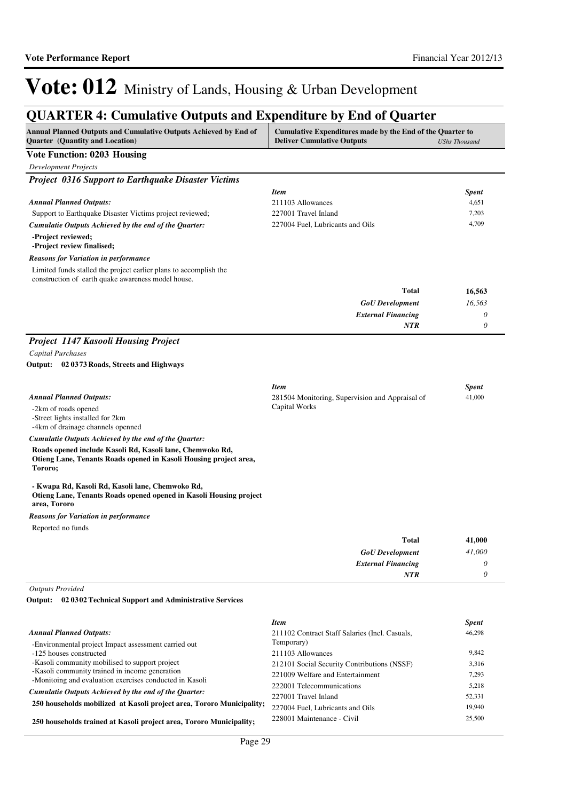## **QUARTER 4: Cumulative Outputs and Expenditure by End of Quarter**

| Annual Planned Outputs and Cumulative Outputs Achieved by End of<br><b>Quarter</b> (Quantity and Location)                                | <b>Cumulative Expenditures made by the End of the Quarter to</b><br><b>Deliver Cumulative Outputs</b> | <b>UShs Thousand</b> |
|-------------------------------------------------------------------------------------------------------------------------------------------|-------------------------------------------------------------------------------------------------------|----------------------|
| <b>Vote Function: 0203 Housing</b>                                                                                                        |                                                                                                       |                      |
| <b>Development Projects</b>                                                                                                               |                                                                                                       |                      |
| <b>Project 0316 Support to Earthquake Disaster Victims</b>                                                                                |                                                                                                       |                      |
|                                                                                                                                           | <b>Item</b>                                                                                           | <b>Spent</b>         |
| <b>Annual Planned Outputs:</b>                                                                                                            | 211103 Allowances                                                                                     | 4,651                |
| Support to Earthquake Disaster Victims project reviewed;                                                                                  | 227001 Travel Inland                                                                                  | 7,203                |
| Cumulatie Outputs Achieved by the end of the Quarter:                                                                                     | 227004 Fuel, Lubricants and Oils                                                                      | 4,709                |
| -Project reviewed;<br>-Project review finalised;                                                                                          |                                                                                                       |                      |
| <b>Reasons for Variation in performance</b>                                                                                               |                                                                                                       |                      |
| Limited funds stalled the project earlier plans to accomplish the<br>construction of earth quake awareness model house.                   |                                                                                                       |                      |
|                                                                                                                                           | Total                                                                                                 | 16,563               |
|                                                                                                                                           | <b>GoU</b> Development                                                                                | 16,563               |
|                                                                                                                                           | <b>External Financing</b>                                                                             | 0                    |
|                                                                                                                                           | NTR                                                                                                   | 0                    |
| Project 1147 Kasooli Housing Project                                                                                                      |                                                                                                       |                      |
| Capital Purchases                                                                                                                         |                                                                                                       |                      |
| Output:<br>02 0373 Roads, Streets and Highways                                                                                            |                                                                                                       |                      |
|                                                                                                                                           | <b>Item</b>                                                                                           | <b>Spent</b>         |
| <b>Annual Planned Outputs:</b>                                                                                                            | 281504 Monitoring, Supervision and Appraisal of                                                       | 41,000               |
| -2km of roads opened<br>-Street lights installed for 2km<br>-4km of drainage channels openned                                             | Capital Works                                                                                         |                      |
| Cumulatie Outputs Achieved by the end of the Quarter:                                                                                     |                                                                                                       |                      |
| Roads opened include Kasoli Rd, Kasoli lane, Chemwoko Rd,<br>Otieng Lane, Tenants Roads opened in Kasoli Housing project area,<br>Tororo; |                                                                                                       |                      |
| - Kwapa Rd, Kasoli Rd, Kasoli lane, Chemwoko Rd,<br>Otieng Lane, Tenants Roads opened opened in Kasoli Housing project<br>area, Tororo    |                                                                                                       |                      |
| <b>Reasons for Variation in performance</b>                                                                                               |                                                                                                       |                      |
| Reported no funds                                                                                                                         |                                                                                                       |                      |
|                                                                                                                                           | Total                                                                                                 | 41,000               |
|                                                                                                                                           | $GoU$ Development                                                                                     | <i>41,000</i>        |
|                                                                                                                                           | <b>External Financing</b>                                                                             | 0                    |
|                                                                                                                                           | <b>NTR</b>                                                                                            | 0                    |
| <b>Outputs Provided</b>                                                                                                                   |                                                                                                       |                      |
| Output:<br>02 03 02 Technical Support and Administrative Services                                                                         |                                                                                                       |                      |
|                                                                                                                                           | <b>Item</b>                                                                                           | <b>Spent</b>         |
| <b>Annual Planned Outputs:</b>                                                                                                            | 211102 Contract Staff Salaries (Incl. Casuals,                                                        | 46,298               |
| -Environmental project Impact assessment carried out                                                                                      | Temporary)                                                                                            |                      |
| -125 houses constructed                                                                                                                   | 211103 Allowances                                                                                     | 9,842                |
| -Kasoli community mobilised to support project<br>-Kasoli community trained in income generation                                          | 212101 Social Security Contributions (NSSF)                                                           | 3,316                |
| -Monitoing and evaluation exercises conducted in Kasoli                                                                                   | 221009 Welfare and Entertainment                                                                      | 7,293                |
| Cumulatie Outputs Achieved by the end of the Quarter:                                                                                     | 222001 Telecommunications                                                                             | 5,218                |
|                                                                                                                                           | 227001 Travel Inland                                                                                  | 52,331               |

**250 households mobilized at Kasoli project area, Tororo Municipality;**

**250 households trained at Kasoli project area, Tororo Municipality;**

227004 Fuel, Lubricants and Oils 19,940 228001 Maintenance - Civil 25,500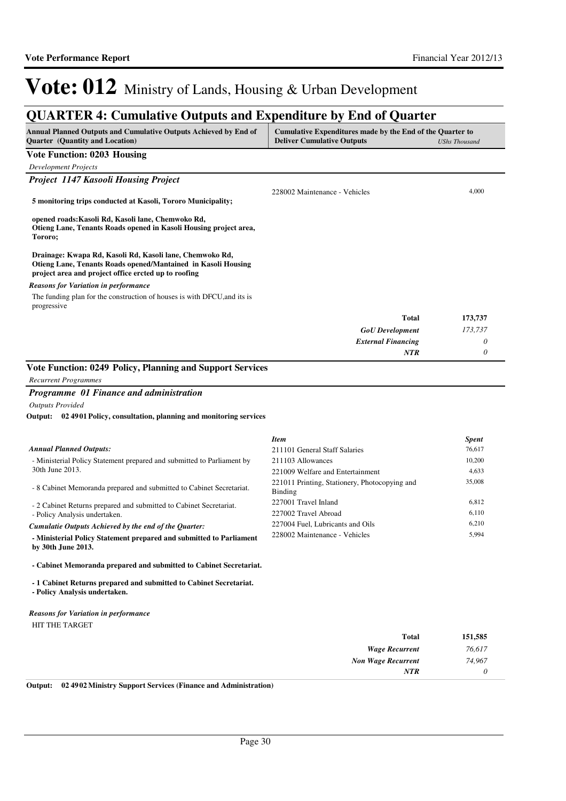### **QUARTER 4: Cumulative Outputs and Expenditure by End of Quarter**

| Annual Planned Outputs and Cumulative Outputs Achieved by End of<br>Quarter (Quantity and Location)                                                                                      | Cumulative Expenditures made by the End of the Quarter to<br><b>Deliver Cumulative Outputs</b> | <b>UShs Thousand</b> |
|------------------------------------------------------------------------------------------------------------------------------------------------------------------------------------------|------------------------------------------------------------------------------------------------|----------------------|
| <b>Vote Function: 0203 Housing</b>                                                                                                                                                       |                                                                                                |                      |
| <b>Development Projects</b>                                                                                                                                                              |                                                                                                |                      |
| Project 1147 Kasooli Housing Project                                                                                                                                                     |                                                                                                |                      |
| 5 monitoring trips conducted at Kasoli, Tororo Municipality;                                                                                                                             | 228002 Maintenance - Vehicles                                                                  | 4,000                |
| opened roads: Kasoli Rd, Kasoli lane, Chemwoko Rd,<br>Otieng Lane, Tenants Roads opened in Kasoli Housing project area,<br>Tororo;                                                       |                                                                                                |                      |
| Drainage: Kwapa Rd, Kasoli Rd, Kasoli lane, Chemwoko Rd,<br><b>Otieng Lane, Tenants Roads opened/Mantained in Kasoli Housing</b><br>project area and project office ercted up to roofing |                                                                                                |                      |
| <b>Reasons for Variation in performance</b>                                                                                                                                              |                                                                                                |                      |
| The funding plan for the construction of houses is with DFCU, and its is<br>progressive                                                                                                  |                                                                                                |                      |
|                                                                                                                                                                                          | Total                                                                                          | 173,737              |
|                                                                                                                                                                                          | <b>GoU</b> Development                                                                         | 173,737              |
|                                                                                                                                                                                          | <b>External Financing</b>                                                                      | 0                    |
|                                                                                                                                                                                          | <b>NTR</b>                                                                                     | 0                    |
| Vote Function: 0249 Policy, Planning and Support Services                                                                                                                                |                                                                                                |                      |
| <b>Recurrent Programmes</b>                                                                                                                                                              |                                                                                                |                      |
| Programme 01 Finance and administration                                                                                                                                                  |                                                                                                |                      |
| <b>Outputs Provided</b>                                                                                                                                                                  |                                                                                                |                      |
| Output: 02 4901 Policy, consultation, planning and monitoring services                                                                                                                   |                                                                                                |                      |
|                                                                                                                                                                                          |                                                                                                |                      |
|                                                                                                                                                                                          | <b>Item</b>                                                                                    | <b>Spent</b>         |
| <b>Annual Planned Outputs:</b>                                                                                                                                                           | 211101 General Staff Salaries                                                                  | 76,617               |
| - Ministerial Policy Statement prepared and submitted to Parliament by                                                                                                                   | 211103 Allowances                                                                              | 10,200               |
| 30th June 2013.                                                                                                                                                                          | 221009 Welfare and Entertainment                                                               | 4,633                |
| - 8 Cabinet Memoranda prepared and submitted to Cabinet Secretariat.                                                                                                                     | 221011 Printing, Stationery, Photocopying and<br><b>Binding</b>                                | 35,008               |
|                                                                                                                                                                                          | 227001 Travel Inland                                                                           | 6,812                |
| - 2 Cabinet Returns prepared and submitted to Cabinet Secretariat.<br>- Policy Analysis undertaken.                                                                                      | 227002 Travel Abroad                                                                           | 6,110                |
| Cumulatie Outputs Achieved by the end of the Quarter:                                                                                                                                    | 227004 Fuel, Lubricants and Oils                                                               | 6,210                |
| - Ministerial Policy Statement prepared and submitted to Parliament<br>by 30th June 2013.                                                                                                | 228002 Maintenance - Vehicles                                                                  | 5,994                |
| - Cabinet Memoranda prepared and submitted to Cabinet Secretariat.                                                                                                                       |                                                                                                |                      |
| - 1 Cabinet Returns prepared and submitted to Cabinet Secretariat.<br>- Policy Analysis undertaken.                                                                                      |                                                                                                |                      |
| <b>Reasons for Variation in performance</b>                                                                                                                                              |                                                                                                |                      |
| HIT THE TARGET                                                                                                                                                                           |                                                                                                |                      |
|                                                                                                                                                                                          | Total                                                                                          | 151,585              |
|                                                                                                                                                                                          | <b>Wage Recurrent</b>                                                                          | 76,617               |
|                                                                                                                                                                                          | <b>Non Wage Recurrent</b>                                                                      | 74,967               |
|                                                                                                                                                                                          | NTR                                                                                            | 0                    |

**Output: 02 4902 Ministry Support Services (Finance and Administration)**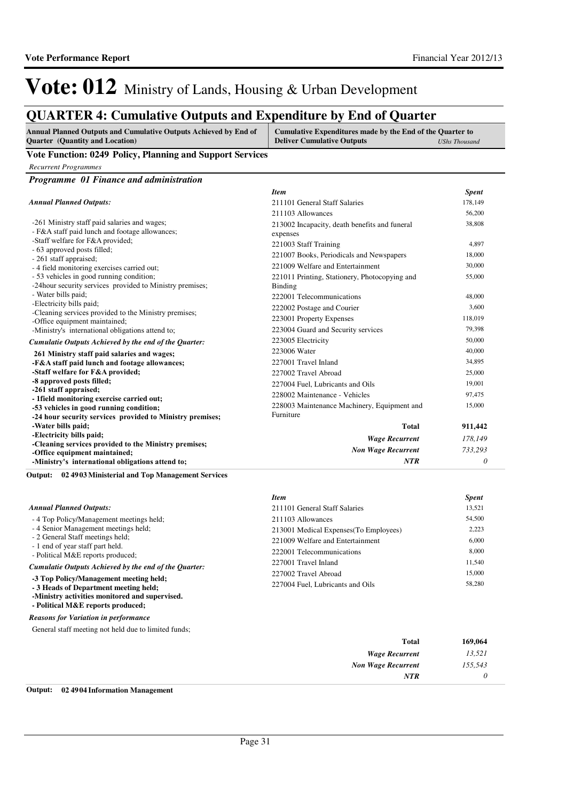### **QUARTER 4: Cumulative Outputs and Expenditure by End of Quarter**

| Annual Planned Outputs and Cumulative Outputs Achieved by End of<br>Cumulative Expenditures made by the End of the Quarter to<br>Quarter (Quantity and Location)<br><b>Deliver Cumulative Outputs</b> |                                               | <b>UShs Thousand</b> |
|-------------------------------------------------------------------------------------------------------------------------------------------------------------------------------------------------------|-----------------------------------------------|----------------------|
| Vote Function: 0249 Policy, Planning and Support Services                                                                                                                                             |                                               |                      |
| <b>Recurrent Programmes</b>                                                                                                                                                                           |                                               |                      |
| Programme 01 Finance and administration                                                                                                                                                               |                                               |                      |
|                                                                                                                                                                                                       | <b>Item</b>                                   | <b>Spent</b>         |
| <b>Annual Planned Outputs:</b>                                                                                                                                                                        | 211101 General Staff Salaries                 | 178,149              |
|                                                                                                                                                                                                       | 211103 Allowances                             | 56,200               |
| -261 Ministry staff paid salaries and wages;                                                                                                                                                          | 213002 Incapacity, death benefits and funeral | 38,808               |
| - F&A staff paid lunch and footage allowances;                                                                                                                                                        | expenses                                      |                      |
| -Staff welfare for F&A provided;                                                                                                                                                                      | 221003 Staff Training                         | 4,897                |
| - 63 approved posts filled;<br>- 261 staff appraised;                                                                                                                                                 | 221007 Books, Periodicals and Newspapers      | 18,000               |
| - 4 field monitoring exercises carried out;                                                                                                                                                           | 221009 Welfare and Entertainment              | 30,000               |
| - 53 vehicles in good running condition;                                                                                                                                                              | 221011 Printing, Stationery, Photocopying and | 55,000               |
| -24 hour security services provided to Ministry premises;                                                                                                                                             | Binding                                       |                      |
| - Water bills paid;                                                                                                                                                                                   | 222001 Telecommunications                     | 48,000               |
| -Electricity bills paid;                                                                                                                                                                              | 222002 Postage and Courier                    | 3,600                |
| -Cleaning services provided to the Ministry premises;<br>-Office equipment maintained;                                                                                                                | 223001 Property Expenses                      | 118,019              |
| -Ministry's international obligations attend to;                                                                                                                                                      | 223004 Guard and Security services            | 79,398               |
| Cumulatie Outputs Achieved by the end of the Quarter:                                                                                                                                                 | 223005 Electricity                            | 50,000               |
| 261 Ministry staff paid salaries and wages;                                                                                                                                                           | 223006 Water                                  | 40,000               |
| -F&A staff paid lunch and footage allowances;                                                                                                                                                         | 227001 Travel Inland                          | 34,895               |
| -Staff welfare for F&A provided;                                                                                                                                                                      | 227002 Travel Abroad                          | 25,000               |
| -8 approved posts filled;                                                                                                                                                                             | 227004 Fuel, Lubricants and Oils              | 19,001               |
| -261 staff appraised;                                                                                                                                                                                 | 228002 Maintenance - Vehicles                 | 97,475               |
| - 1field monitoring exercise carried out;                                                                                                                                                             | 228003 Maintenance Machinery, Equipment and   | 15,000               |
| -53 vehicles in good running condition;<br>-24 hour security services provided to Ministry premises;                                                                                                  | Furniture                                     |                      |
| -Water bills paid;                                                                                                                                                                                    | <b>Total</b>                                  | 911,442              |
| -Electricity bills paid;                                                                                                                                                                              |                                               |                      |
| -Cleaning services provided to the Ministry premises;                                                                                                                                                 | <b>Wage Recurrent</b>                         | 178,149              |
| -Office equipment maintained;                                                                                                                                                                         | <b>Non Wage Recurrent</b>                     | 733,293              |
| -Ministry's international obligations attend to;                                                                                                                                                      | <b>NTR</b>                                    | 0                    |

**02 4903 Ministerial and Top Management Services Output:**

|                                                                       | <b>Item</b>                            | <b>Spent</b> |
|-----------------------------------------------------------------------|----------------------------------------|--------------|
| <b>Annual Planned Outputs:</b>                                        | 211101 General Staff Salaries          | 13,521       |
| -4 Top Policy/Management meetings held;                               | 211103 Allowances                      | 54,500       |
| - 4 Senior Management meetings held;                                  | 213001 Medical Expenses (To Employees) | 2,223        |
| - 2 General Staff meetings held;                                      | 221009 Welfare and Entertainment       | 6,000        |
| - 1 end of year staff part held.<br>- Political M&E reports produced; | 222001 Telecommunications              | 8,000        |
| Cumulatie Outputs Achieved by the end of the Quarter:                 | 227001 Travel Inland                   | 11,540       |
| -3 Top Policy/Management meeting held;                                | 227002 Travel Abroad                   | 15,000       |
| - 3 Heads of Department meeting held;                                 | 227004 Fuel, Lubricants and Oils       | 58,280       |
| -Ministry activities monitored and supervised.                        |                                        |              |
| - Political M&E reports produced;                                     |                                        |              |
| <b>Reasons for Variation in performance</b>                           |                                        |              |
| General staff meeting not held due to limited funds;                  |                                        |              |
|                                                                       |                                        |              |

| 169,064 | <b>Total</b>              |
|---------|---------------------------|
| 13,521  | <b>Wage Recurrent</b>     |
| 155,543 | <b>Non Wage Recurrent</b> |
|         | <b>NTR</b>                |
|         |                           |

#### **Output: 02 4904 Information Management**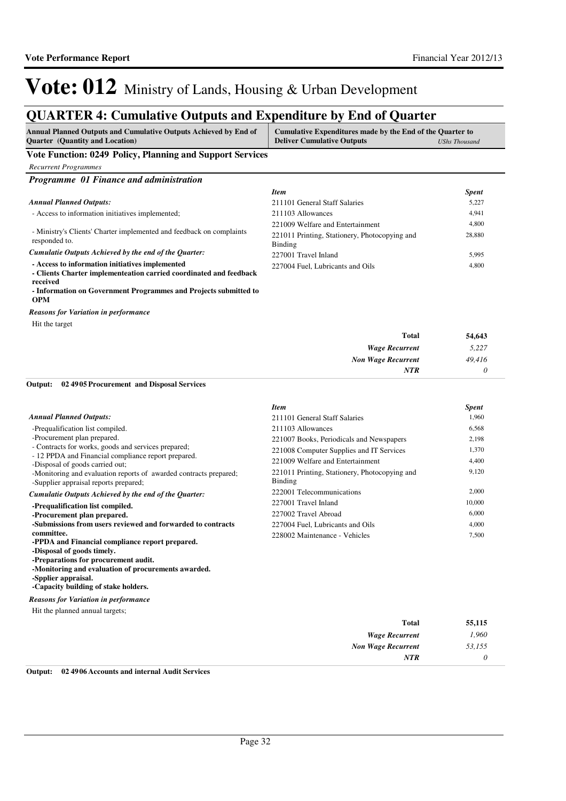## **QUARTER 4: Cumulative Outputs and Expenditure by End of Quarter**

| Annual Planned Outputs and Cumulative Outputs Achieved by End of<br><b>Quarter</b> (Quantity and Location)                        | Cumulative Expenditures made by the End of the Quarter to<br><b>Deliver Cumulative Outputs</b><br><b>UShs Thousand</b> |              |
|-----------------------------------------------------------------------------------------------------------------------------------|------------------------------------------------------------------------------------------------------------------------|--------------|
| Vote Function: 0249 Policy, Planning and Support Services                                                                         |                                                                                                                        |              |
| <b>Recurrent Programmes</b>                                                                                                       |                                                                                                                        |              |
| Programme 01 Finance and administration                                                                                           |                                                                                                                        |              |
|                                                                                                                                   | <b>Item</b>                                                                                                            | Spent        |
| <b>Annual Planned Outputs:</b>                                                                                                    | 211101 General Staff Salaries                                                                                          | 5,227        |
| - Access to information initiatives implemented;                                                                                  | 211103 Allowances                                                                                                      | 4,941        |
|                                                                                                                                   | 221009 Welfare and Entertainment                                                                                       | 4,800        |
| - Ministry's Clients' Charter implemented and feedback on complaints<br>responded to.                                             | 221011 Printing, Stationery, Photocopying and<br>Binding                                                               | 28,880       |
| Cumulatie Outputs Achieved by the end of the Quarter:                                                                             | 227001 Travel Inland                                                                                                   | 5,995        |
| - Access to information initiatives implemented<br>- Clients Charter implementeation carried coordinated and feedback<br>received | 227004 Fuel, Lubricants and Oils                                                                                       | 4,800        |
| - Information on Government Programmes and Projects submitted to<br><b>OPM</b>                                                    |                                                                                                                        |              |
| <b>Reasons for Variation in performance</b>                                                                                       |                                                                                                                        |              |
| Hit the target                                                                                                                    |                                                                                                                        |              |
|                                                                                                                                   | <b>Total</b>                                                                                                           | 54,643       |
|                                                                                                                                   | <b>Wage Recurrent</b>                                                                                                  | 5,227        |
|                                                                                                                                   | <b>Non Wage Recurrent</b>                                                                                              | 49,416       |
|                                                                                                                                   | <b>NTR</b>                                                                                                             | 0            |
| Output:<br>024905 Procurement and Disposal Services                                                                               |                                                                                                                        |              |
|                                                                                                                                   | <b>Item</b>                                                                                                            | <b>Spent</b> |
| <b>Annual Planned Outputs:</b>                                                                                                    | 211101 General Staff Salaries                                                                                          | 1,960        |
| -Prequalification list compiled.                                                                                                  | 211103 Allowances                                                                                                      | 6,568        |
| -Procurement plan prepared.                                                                                                       | 221007 Books, Periodicals and Newspapers                                                                               | 2,198        |
| - Contracts for works, goods and services prepared;<br>- 12 PPDA and Financial compliance report prepared.                        | 221008 Computer Supplies and IT Services                                                                               | 1,370        |
| -Disposal of goods carried out;                                                                                                   | 221009 Welfare and Entertainment                                                                                       | 4,400        |
| -Monitoring and evaluation reports of awarded contracts prepared;<br>-Supplier appraisal reports prepared;                        | 221011 Printing, Stationery, Photocopying and<br>Binding                                                               | 9,120        |
| Cumulatie Outputs Achieved by the end of the Quarter:                                                                             | 222001 Telecommunications                                                                                              | 2,000        |
| -Prequalification list compiled.                                                                                                  | 227001 Travel Inland                                                                                                   | 10,000       |
| -Procurement plan prepared.                                                                                                       | 227002 Travel Abroad                                                                                                   | 6,000        |
| -Submissions from users reviewed and forwarded to contracts                                                                       | 227004 Fuel, Lubricants and Oils                                                                                       | 4,000        |
| committee.<br>-PPDA and Financial compliance report prepared.                                                                     | 228002 Maintenance - Vehicles                                                                                          | 7,500        |
| -Disposal of goods timely.                                                                                                        |                                                                                                                        |              |
| -Preparations for procurement audit.                                                                                              |                                                                                                                        |              |
| -Monitoring and evaluation of procurements awarded.                                                                               |                                                                                                                        |              |
| -Spplier appraisal.<br>-Capacity building of stake holders.                                                                       |                                                                                                                        |              |
| <b>Reasons for Variation in performance</b>                                                                                       |                                                                                                                        |              |
| Hit the planned annual targets;                                                                                                   |                                                                                                                        |              |
|                                                                                                                                   | <b>Total</b>                                                                                                           | 55,115       |
|                                                                                                                                   | <b>Wage Recurrent</b>                                                                                                  | 1,960        |
|                                                                                                                                   |                                                                                                                        |              |

**Output: 02 4906 Accounts and internal Audit Services**

*Non Wage Recurrent*

*NTR*

*53,155 0*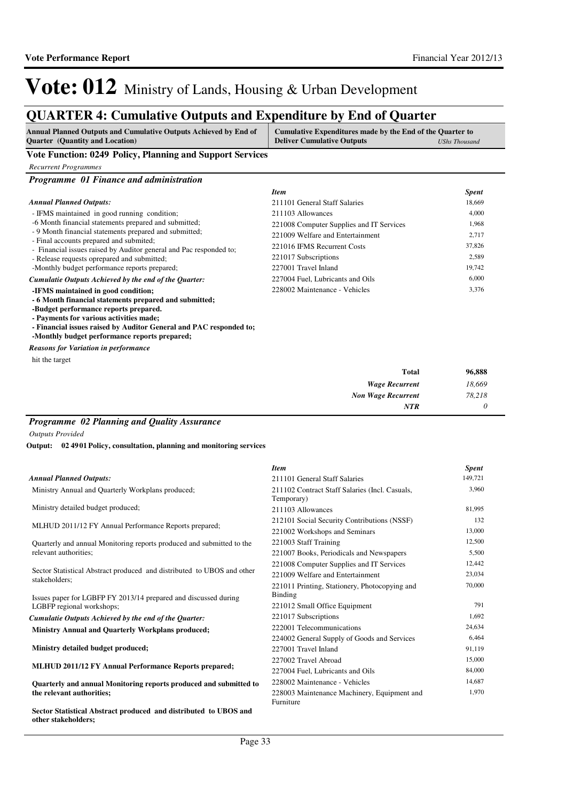### **QUARTER 4: Cumulative Outputs and Expenditure by End of Quarter**

| Annual Planned Outputs and Cumulative Outputs Achieved by End of<br><b>Quarter</b> (Quantity and Location)                                                                                                                                                                                               | Cumulative Expenditures made by the End of the Quarter to<br><b>Deliver Cumulative Outputs</b> | <b>UShs Thousand</b> |
|----------------------------------------------------------------------------------------------------------------------------------------------------------------------------------------------------------------------------------------------------------------------------------------------------------|------------------------------------------------------------------------------------------------|----------------------|
| Vote Function: 0249 Policy, Planning and Support Services                                                                                                                                                                                                                                                |                                                                                                |                      |
| <b>Recurrent Programmes</b>                                                                                                                                                                                                                                                                              |                                                                                                |                      |
| Programme 01 Finance and administration                                                                                                                                                                                                                                                                  |                                                                                                |                      |
|                                                                                                                                                                                                                                                                                                          | <b>Item</b>                                                                                    | <b>Spent</b>         |
| <b>Annual Planned Outputs:</b>                                                                                                                                                                                                                                                                           | 211101 General Staff Salaries                                                                  | 18,669               |
| - IFMS maintained in good running condition;                                                                                                                                                                                                                                                             | 211103 Allowances                                                                              | 4,000                |
| -6 Month financial statements prepared and submitted;                                                                                                                                                                                                                                                    | 221008 Computer Supplies and IT Services                                                       | 1,968                |
| - 9 Month financial statements prepared and submitted;<br>- Final accounts prepared and submited;<br>- Financial issues raised by Auditor general and Pac responded to;<br>- Release requests oprepared and submitted;<br>-Monthly budget performance reports prepared;                                  | 221009 Welfare and Entertainment                                                               | 2,717                |
|                                                                                                                                                                                                                                                                                                          | 221016 IFMS Recurrent Costs                                                                    | 37,826               |
|                                                                                                                                                                                                                                                                                                          | 221017 Subscriptions                                                                           | 2,589                |
|                                                                                                                                                                                                                                                                                                          | 227001 Travel Inland                                                                           | 19,742               |
| Cumulatie Outputs Achieved by the end of the Quarter:                                                                                                                                                                                                                                                    | 227004 Fuel, Lubricants and Oils                                                               | 6,000                |
| -IFMS maintained in good condition;<br>- 6 Month financial statements prepared and submitted;<br>-Budget performance reports prepared.<br>- Payments for various activities made;<br>- Financial issues raised by Auditor General and PAC responded to;<br>-Monthly budget performance reports prepared; | 228002 Maintenance - Vehicles                                                                  | 3,376                |
| <b>Reasons for Variation in performance</b>                                                                                                                                                                                                                                                              |                                                                                                |                      |
| hit the target                                                                                                                                                                                                                                                                                           |                                                                                                |                      |
|                                                                                                                                                                                                                                                                                                          | <b>Total</b>                                                                                   | 96,888               |

| Total                     | 96,888 |
|---------------------------|--------|
| <b>Wage Recurrent</b>     | 18,669 |
| <b>Non Wage Recurrent</b> | 78,218 |
| <b>NTR</b>                |        |

### *Programme 02 Planning and Quality Assurance*

*Outputs Provided*

**other stakeholders;**

**02 4901 Policy, consultation, planning and monitoring services Output:**

|                                                                                                | <b>Item</b>                                                  | <b>Spent</b> |
|------------------------------------------------------------------------------------------------|--------------------------------------------------------------|--------------|
| <b>Annual Planned Outputs:</b>                                                                 | 211101 General Staff Salaries                                | 149,721      |
| Ministry Annual and Quarterly Workplans produced;                                              | 211102 Contract Staff Salaries (Incl. Casuals,<br>Temporary) | 3,960        |
| Ministry detailed budget produced;                                                             | 211103 Allowances                                            | 81,995       |
| MLHUD 2011/12 FY Annual Performance Reports prepared;                                          | 212101 Social Security Contributions (NSSF)                  | 132          |
|                                                                                                | 221002 Workshops and Seminars                                | 13,000       |
| Quarterly and annual Monitoring reports produced and submitted to the                          | 221003 Staff Training                                        | 12,500       |
| relevant authorities;                                                                          | 221007 Books, Periodicals and Newspapers                     | 5,500        |
|                                                                                                | 221008 Computer Supplies and IT Services                     | 12,442       |
| Sector Statistical Abstract produced and distributed to UBOS and other<br>stakeholders;        | 221009 Welfare and Entertainment                             | 23,034       |
| Issues paper for LGBFP FY 2013/14 prepared and discussed during                                | 221011 Printing, Stationery, Photocopying and<br>Binding     | 70,000       |
| LGBFP regional workshops;                                                                      | 221012 Small Office Equipment                                | 791          |
| Cumulatie Outputs Achieved by the end of the Quarter:                                          | 221017 Subscriptions                                         | 1,692        |
| <b>Ministry Annual and Quarterly Workplans produced;</b>                                       | 222001 Telecommunications                                    | 24,634       |
|                                                                                                | 224002 General Supply of Goods and Services                  | 6,464        |
| Ministry detailed budget produced;                                                             | 227001 Travel Inland                                         | 91,119       |
|                                                                                                | 227002 Travel Abroad                                         | 15,000       |
| <b>MLHUD 2011/12 FY Annual Performance Reports prepared;</b>                                   | 227004 Fuel, Lubricants and Oils                             | 84,000       |
| Quarterly and annual Monitoring reports produced and submitted to<br>the relevant authorities; | 228002 Maintenance - Vehicles                                | 14.687       |
|                                                                                                | 228003 Maintenance Machinery, Equipment and<br>Furniture     | 1.970        |
| Sector Statistical Abstract produced and distributed to UBOS and                               |                                                              |              |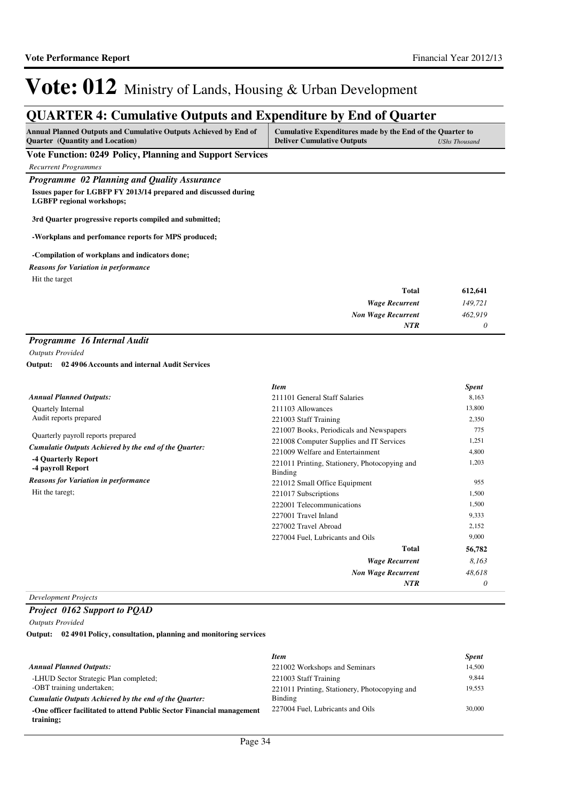### **QUARTER 4: Cumulative Outputs and Expenditure by End of Quarter**

| Annual Planned Outputs and Cumulative Outputs Achieved by End of<br>Quarter (Quantity and Location) | Cumulative Expenditures made by the End of the Quarter to<br><b>Deliver Cumulative Outputs</b> | <b>UShs Thousand</b> |
|-----------------------------------------------------------------------------------------------------|------------------------------------------------------------------------------------------------|----------------------|
| Vote Function: 0249 Policy, Planning and Support Services                                           |                                                                                                |                      |
| <b>Recurrent Programmes</b>                                                                         |                                                                                                |                      |
| Programme 02 Planning and Quality Assurance                                                         |                                                                                                |                      |
| Issues paper for LGBFP FY 2013/14 prepared and discussed during<br><b>LGBFP</b> regional workshops; |                                                                                                |                      |
| 3rd Quarter progressive reports compiled and submitted;                                             |                                                                                                |                      |
| -Workplans and perfomance reports for MPS produced;                                                 |                                                                                                |                      |
| -Compilation of workplans and indicators done;                                                      |                                                                                                |                      |
| <b>Reasons for Variation in performance</b>                                                         |                                                                                                |                      |
| Hit the target                                                                                      |                                                                                                |                      |
|                                                                                                     | <b>Total</b>                                                                                   | 612,641              |
|                                                                                                     | <b>Wage Recurrent</b>                                                                          | 149,721              |
|                                                                                                     | <b>Non Wage Recurrent</b>                                                                      | 462,919              |
|                                                                                                     | <b>NTR</b>                                                                                     | 0                    |
| Programme 16 Internal Audit                                                                         |                                                                                                |                      |
| <b>Outputs Provided</b>                                                                             |                                                                                                |                      |
| 02 49 06 Accounts and internal Audit Services<br>Output:                                            |                                                                                                |                      |
|                                                                                                     | <b>Item</b>                                                                                    | <b>Spent</b>         |
| <b>Annual Planned Outputs:</b>                                                                      | 211101 General Staff Salaries                                                                  | 8,163                |
| <b>Ouartely Internal</b>                                                                            | 211103 Allowances                                                                              | 13,800               |
| Audit reports prepared                                                                              | 221003 Staff Training                                                                          | 2,350                |

Quarterly payroll reports prepared **-4 Quarterly Report -4 payroll Report** *Cumulatie Outputs Achieved by the end of the Quarter:* Hit the taregt; *Reasons for Variation in performance*

| 211101 General Staff Salaries                 | 8,163  |
|-----------------------------------------------|--------|
| 211103 Allowances                             | 13,800 |
| 221003 Staff Training                         | 2,350  |
| 221007 Books, Periodicals and Newspapers      | 775    |
| 221008 Computer Supplies and IT Services      | 1,251  |
| 221009 Welfare and Entertainment              | 4,800  |
| 221011 Printing, Stationery, Photocopying and | 1,203  |
| Binding                                       |        |
| 221012 Small Office Equipment                 | 955    |
| 221017 Subscriptions                          | 1,500  |
| 222001 Telecommunications                     | 1,500  |
| 227001 Travel Inland                          | 9,333  |
| 227002 Travel Abroad                          | 2,152  |
| 227004 Fuel, Lubricants and Oils              | 9,000  |
| Total                                         | 56,782 |
| Wage Recurrent                                | 8,163  |
| <b>Non Wage Recurrent</b>                     | 48,618 |
| NTR                                           | 0      |
|                                               |        |

#### *Development Projects*

#### *Project 0162 Support to PQAD*

*Outputs Provided*

**02 4901 Policy, consultation, planning and monitoring services Output:**

|                                                                                    | <b>Item</b>                                   | <b>Spent</b> |
|------------------------------------------------------------------------------------|-----------------------------------------------|--------------|
| <b>Annual Planned Outputs:</b>                                                     | 221002 Workshops and Seminars                 | 14,500       |
| -LHUD Sector Strategic Plan completed;                                             | 221003 Staff Training                         | 9.844        |
| -OBT training undertaken;                                                          | 221011 Printing, Stationery, Photocopying and | 19,553       |
| Cumulatie Outputs Achieved by the end of the Ouarter:                              | <b>Binding</b>                                |              |
| -One officer facilitated to attend Public Sector Financial management<br>training; | 227004 Fuel. Lubricants and Oils              | 30,000       |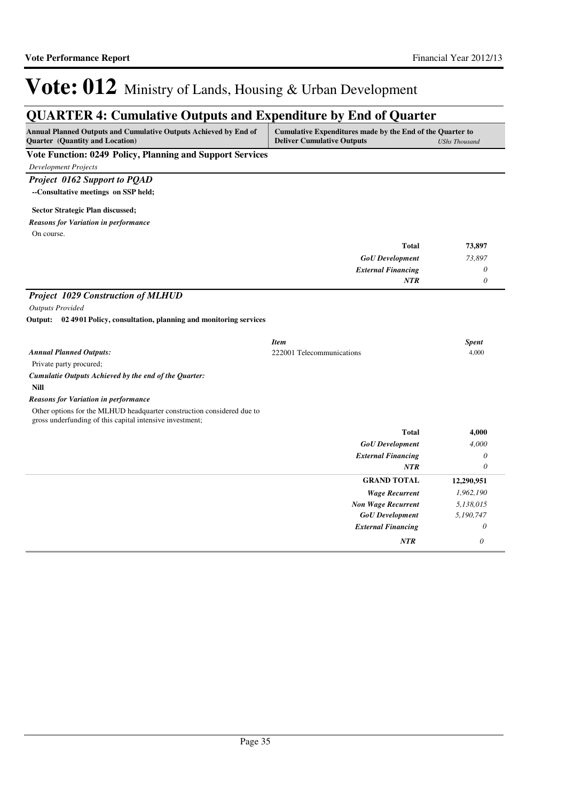## **QUARTER 4: Cumulative Outputs and Expenditure by End of Quarter**

| Annual Planned Outputs and Cumulative Outputs Achieved by End of<br><b>Quarter</b> (Quantity and Location)                         | Cumulative Expenditures made by the End of the Quarter to<br><b>Deliver Cumulative Outputs</b> | <b>UShs Thousand</b> |
|------------------------------------------------------------------------------------------------------------------------------------|------------------------------------------------------------------------------------------------|----------------------|
| Vote Function: 0249 Policy, Planning and Support Services                                                                          |                                                                                                |                      |
| Development Projects                                                                                                               |                                                                                                |                      |
| Project 0162 Support to PQAD                                                                                                       |                                                                                                |                      |
| --Consultative meetings on SSP held;                                                                                               |                                                                                                |                      |
|                                                                                                                                    |                                                                                                |                      |
| <b>Sector Strategic Plan discussed;</b>                                                                                            |                                                                                                |                      |
| <b>Reasons for Variation in performance</b>                                                                                        |                                                                                                |                      |
| On course.                                                                                                                         |                                                                                                |                      |
|                                                                                                                                    | <b>Total</b>                                                                                   | 73,897               |
|                                                                                                                                    | <b>GoU</b> Development<br><b>External Financing</b>                                            | 73,897<br>$\theta$   |
|                                                                                                                                    | <b>NTR</b>                                                                                     | $\theta$             |
|                                                                                                                                    |                                                                                                |                      |
| Project 1029 Construction of MLHUD                                                                                                 |                                                                                                |                      |
| <b>Outputs Provided</b>                                                                                                            |                                                                                                |                      |
| Output: 02 49 01 Policy, consultation, planning and monitoring services                                                            |                                                                                                |                      |
|                                                                                                                                    | <b>Item</b>                                                                                    | <b>Spent</b>         |
| <b>Annual Planned Outputs:</b>                                                                                                     | 222001 Telecommunications                                                                      | 4,000                |
| Private party procured;                                                                                                            |                                                                                                |                      |
| Cumulatie Outputs Achieved by the end of the Quarter:                                                                              |                                                                                                |                      |
| <b>Nill</b>                                                                                                                        |                                                                                                |                      |
| <b>Reasons for Variation in performance</b>                                                                                        |                                                                                                |                      |
| Other options for the MLHUD headquarter construction considered due to<br>gross underfunding of this capital intensive investment; |                                                                                                |                      |
|                                                                                                                                    | <b>Total</b>                                                                                   | 4,000                |
|                                                                                                                                    | <b>GoU</b> Development                                                                         | 4,000                |
|                                                                                                                                    | <b>External Financing</b>                                                                      | $\theta$             |
|                                                                                                                                    | <b>NTR</b>                                                                                     | $\theta$             |
|                                                                                                                                    | <b>GRAND TOTAL</b>                                                                             | 12,290,951           |
|                                                                                                                                    | <b>Wage Recurrent</b>                                                                          | 1,962,190            |
|                                                                                                                                    | <b>Non Wage Recurrent</b>                                                                      | 5,138,015            |
|                                                                                                                                    | <b>GoU</b> Development                                                                         | 5,190,747            |
|                                                                                                                                    | <b>External Financing</b>                                                                      | 0                    |
|                                                                                                                                    | <b>NTR</b>                                                                                     | 0                    |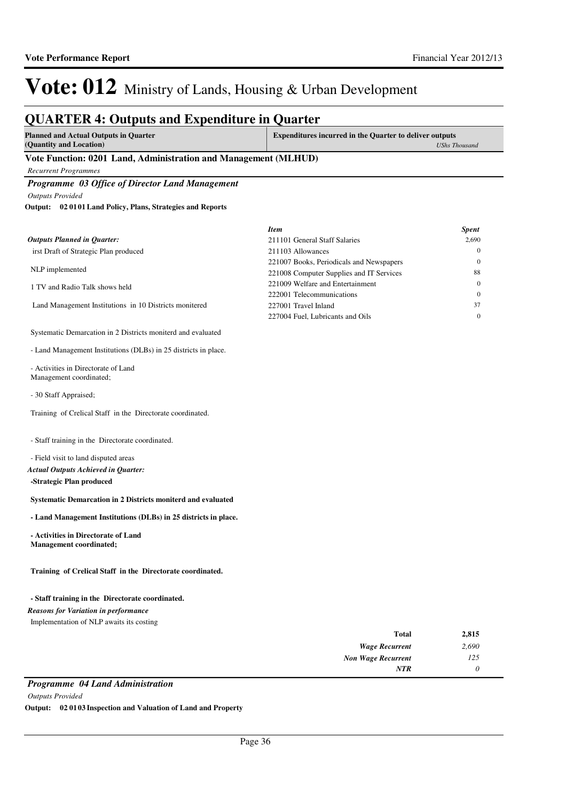*UShs Thousand*

# Vote: 012 Ministry of Lands, Housing & Urban Development

### **QUARTER 4: Outputs and Expenditure in Quarter**

**Planned and Actual Outputs in Quarter (Quantity and Location) Expenditures incurred in the Quarter to deliver outputs** 

#### **Vote Function: 0201 Land, Administration and Management (MLHUD)**

*Recurrent Programmes*

*Programme 03 Office of Director Land Management Outputs Provided*

**02 0101 Land Policy, Plans, Strategies and Reports Output:**

|                                                              | <b>Item</b>                              | <b>Spent</b> |
|--------------------------------------------------------------|------------------------------------------|--------------|
| <b>Outputs Planned in Quarter:</b>                           | 211101 General Staff Salaries            | 2.690        |
| irst Draft of Strategic Plan produced                        | 211103 Allowances                        | $\Omega$     |
|                                                              | 221007 Books, Periodicals and Newspapers | $\Omega$     |
| NLP implemented                                              | 221008 Computer Supplies and IT Services | 88           |
| 1 TV and Radio Talk shows held                               | 221009 Welfare and Entertainment         | $\Omega$     |
|                                                              | 222001 Telecommunications                | $\mathbf{0}$ |
| Land Management Institutions in 10 Districts monitered       | 227001 Travel Inland                     | 37           |
|                                                              | 227004 Fuel, Lubricants and Oils         | $\Omega$     |
| Systematic Demarcation in 2 Districts moniterd and evaluated |                                          |              |

- Land Management Institutions (DLBs) in 25 districts in place.

- Activities in Directorate of Land Management coordinated;

- 30 Staff Appraised;

Training of Crelical Staff in the Directorate coordinated.

- Staff training in the Directorate coordinated.

- Field visit to land disputed areas

#### *Actual Outputs Achieved in Quarter:*

**-Strategic Plan produced**

**Systematic Demarcation in 2 Districts moniterd and evaluated**

**- Land Management Institutions (DLBs) in 25 districts in place.**

**- Activities in Directorate of Land Management coordinated;**

**Training of Crelical Staff in the Directorate coordinated.**

#### **- Staff training in the Directorate coordinated.**

*Reasons for Variation in performance*

Implementation of NLP awaits its costing

| 2,815 | <b>Total</b>              |
|-------|---------------------------|
| 2,690 | <b>Wage Recurrent</b>     |
| 125   | <b>Non Wage Recurrent</b> |
| 0     | <b>NTR</b>                |
|       |                           |

### *Programme 04 Land Administration*

*Outputs Provided*

**Output: 02 0103 Inspection and Valuation of Land and Property**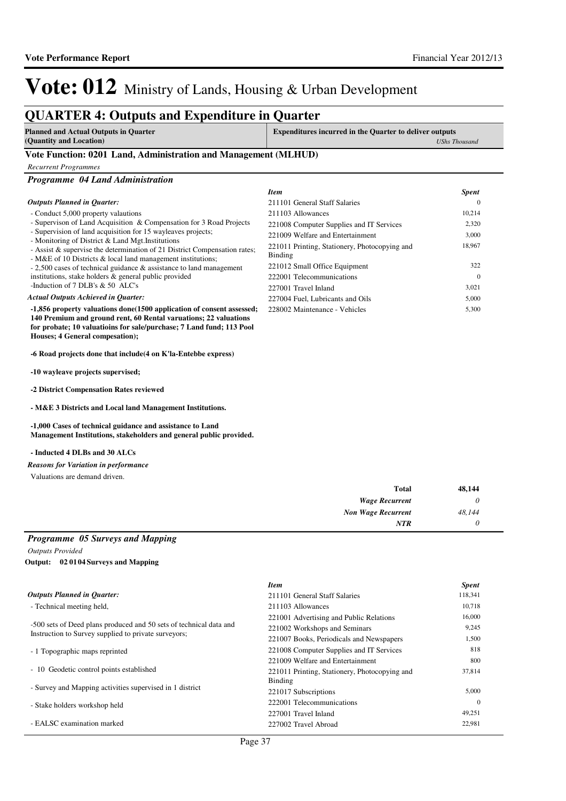### **QUARTER 4: Outputs and Expenditure in Quarter**

| <b>Planned and Actual Outputs in Quarter</b> | <b>Expenditures incurred in the Quarter to deliver outputs</b>      |
|----------------------------------------------|---------------------------------------------------------------------|
| (Quantity and Location)                      | UShs Thousand                                                       |
| .                                            | $\mathcal{L}$ and $\mathcal{L}$ and $\mathcal{L}$ and $\mathcal{L}$ |

#### **Vote Function: 0201 Land, Administration and Management (MLHUD)**

*Recurrent Programmes*

*Programme 04 Land Administration*

|                                                                                                                                                                                                                                                     | <b>Item</b>                                              | <b>Spent</b> |
|-----------------------------------------------------------------------------------------------------------------------------------------------------------------------------------------------------------------------------------------------------|----------------------------------------------------------|--------------|
| <b>Outputs Planned in Quarter:</b>                                                                                                                                                                                                                  | 211101 General Staff Salaries                            | $\Omega$     |
| - Conduct 5,000 property valautions                                                                                                                                                                                                                 | 211103 Allowances                                        | 10,214       |
| - Supervison of Land Acquisition & Compensation for 3 Road Projects                                                                                                                                                                                 | 221008 Computer Supplies and IT Services                 | 2,320        |
| - Supervision of land acquisition for 15 wayleaves projects;                                                                                                                                                                                        | 221009 Welfare and Entertainment                         | 3,000        |
| - Monitoring of District & Land Mgt. Institutions<br>- Assist & supervise the determination of 21 District Compensation rates;<br>- $M\&E$ of 10 Districts $\&$ local land management institutions;                                                 | 221011 Printing, Stationery, Photocopying and<br>Binding | 18,967       |
| $-2,500$ cases of technical guidance & assistance to land management                                                                                                                                                                                | 221012 Small Office Equipment                            | 322          |
| institutions, stake holders & general public provided                                                                                                                                                                                               | 222001 Telecommunications                                | $\theta$     |
| -Induction of $7$ DLB's $\&$ 50 ALC's                                                                                                                                                                                                               | 227001 Travel Inland                                     | 3,021        |
| <b>Actual Outputs Achieved in Quarter:</b>                                                                                                                                                                                                          | 227004 Fuel, Lubricants and Oils                         | 5,000        |
| -1,856 property valuations done(1500 application of consent assessed;<br>140 Premium and ground rent, 60 Rental varuations; 22 valuations<br>for probate; 10 valuations for sale/purchase; 7 Land fund; 113 Pool<br>Houses; 4 General compesation); | 228002 Maintenance - Vehicles                            | 5,300        |

**-6 Road projects done that include(4 on K'la-Entebbe express)**

**-10 wayleave projects supervised;**

**-2 District Compensation Rates reviewed**

**- M&E 3 Districts and Local land Management Institutions.**

**-1,000 Cases of technical guidance and assistance to Land Management Institutions, stakeholders and general public provided.**

#### **- Inducted 4 DLBs and 30 ALCs**

*Reasons for Variation in performance*

Valuations are demand driven.

|   | 48,144 | <b>Total</b>              |
|---|--------|---------------------------|
| υ |        | <b>Wage Recurrent</b>     |
|   | 48,144 | <b>Non Wage Recurrent</b> |
| υ |        | <b>NTR</b>                |

#### *Programme 05 Surveys and Mapping*

*Outputs Provided*

**02 0104 Surveys and Mapping Output:**

|                                                                    | <b>Item</b>                                   | <b>Spent</b> |
|--------------------------------------------------------------------|-----------------------------------------------|--------------|
| Outputs Planned in Ouarter:                                        | 211101 General Staff Salaries                 | 118,341      |
| - Technical meeting held,                                          | 211103 Allowances                             | 10,718       |
|                                                                    | 221001 Advertising and Public Relations       | 16,000       |
| -500 sets of Deed plans produced and 50 sets of technical data and | 221002 Workshops and Seminars                 | 9,245        |
| Instruction to Survey supplied to private surveyors;               | 221007 Books, Periodicals and Newspapers      | 1,500        |
| - 1 Topographic maps reprinted                                     | 221008 Computer Supplies and IT Services      | 818          |
|                                                                    | 221009 Welfare and Entertainment              | 800          |
| Geodetic control points established<br>$-10$                       | 221011 Printing, Stationery, Photocopying and | 37,814       |
|                                                                    | Binding                                       |              |
| - Survey and Mapping activities supervised in 1 district           | 221017 Subscriptions                          | 5,000        |
| - Stake holders workshop held                                      | 222001 Telecommunications                     | $\Omega$     |
|                                                                    | 227001 Travel Inland                          | 49,251       |
| - EALSC examination marked                                         | 227002 Travel Abroad                          | 22,981       |
|                                                                    |                                               |              |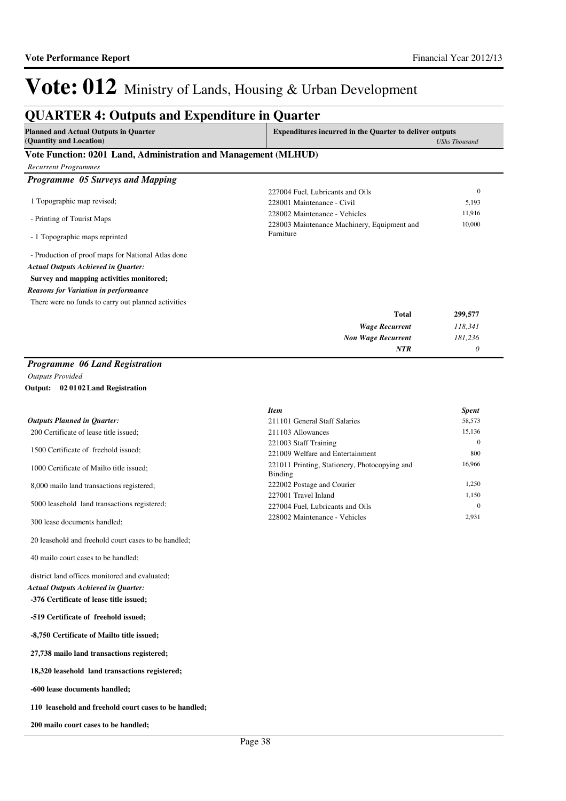#### **QUARTER 4: Outputs and Expenditure in Quarter Planned and Actual Outputs in Quarter (Quantity and Location) Expenditures incurred in the Quarter to deliver outputs**  *UShs Thousand* **Vote Function: 0201 Land, Administration and Management (MLHUD)** *Recurrent Programmes Programme 05 Surveys and Mapping* 1 Topographic map revised; - Printing of Tourist Maps - 1 Topographic maps reprinted - Production of proof maps for National Atlas done **Survey and mapping activities monitored;** *Wage Recurrent Non Wage Recurrent* **Total** *118,341 181,236 0* **299,577** *Actual Outputs Achieved in Quarter: NTR* There were no funds to carry out planned activities *Reasons for Variation in performance* 227004 Fuel, Lubricants and Oils 0 228001 Maintenance - Civil 5,193 228002 Maintenance - Vehicles 11,916 228003 Maintenance Machinery, Equipment and Furniture 10,000 *Programme 06 Land Registration Outputs Provided* 200 Certificate of lease title issued; 1500 Certificate of freehold issued; 1000 Certificate of Mailto title issued; 8,000 mailo land transactions registered; 5000 leasehold land transactions registered; 300 lease documents handled; 20 leasehold and freehold court cases to be handled; 40 mailo court cases to be handled; district land offices monitored and evaluated; **-376 Certificate of lease title issued; -519 Certificate of freehold issued; 02 0102 Land Registration Output:** *Actual Outputs Achieved in Quarter: Outputs Planned in Quarter: Item Spent* 211101 General Staff Salaries 58,573 211103 Allowances 15,136 221003 Staff Training 0 221009 Welfare and Entertainment 800 221011 Printing, Stationery, Photocopying and Binding 16,966 222002 Postage and Courier 1,250 227001 Travel Inland 1,150 227004 Fuel, Lubricants and Oils 0 228002 Maintenance - Vehicles 2,931

**-8,750 Certificate of Mailto title issued;**

**27,738 mailo land transactions registered;**

**18,320 leasehold land transactions registered;**

**-600 lease documents handled;**

**110 leasehold and freehold court cases to be handled;**

**200 mailo court cases to be handled;**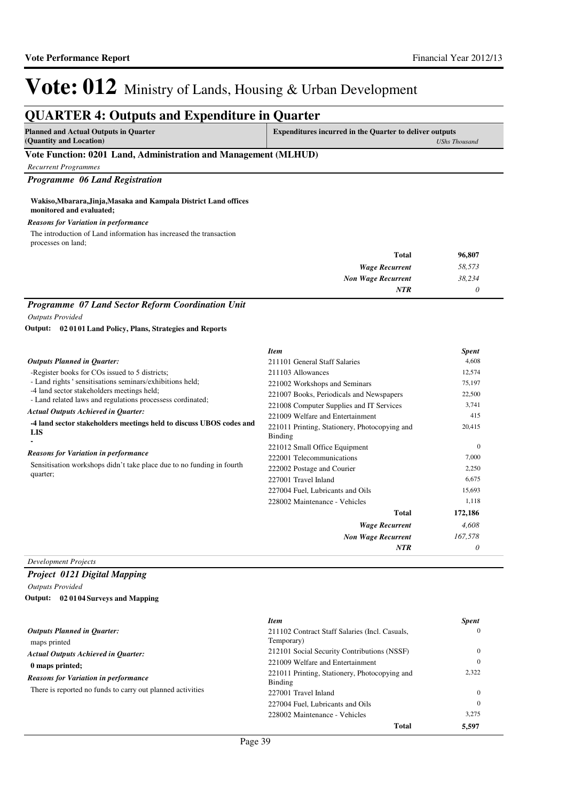### **QUARTER 4: Outputs and Expenditure in Quarter**

| <b>Planned and Actual Outputs in Quarter</b> | <b>Expenditures incurred in the Quarter to deliver outputs</b> |
|----------------------------------------------|----------------------------------------------------------------|
| (Quantity and Location)                      | <b>UShs Thousand</b>                                           |
|                                              |                                                                |

#### **Vote Function: 0201 Land, Administration and Management (MLHUD)**

*Recurrent Programmes*

#### *Programme 06 Land Registration*

#### **Wakiso,Mbarara,Jinja,Masaka and Kampala District Land offices monitored and evaluated;**

#### *Reasons for Variation in performance*

The introduction of Land information has increased the transaction processes on land;

| <b>Total</b>              | 96,807 |
|---------------------------|--------|
| <b>Wage Recurrent</b>     | 58,573 |
| <b>Non Wage Recurrent</b> | 38,234 |
| <b>NTR</b>                |        |

### *Programme 07 Land Sector Reform Coordination Unit*

*Outputs Provided*

**02 0101 Land Policy, Plans, Strategies and Reports Output:**

|                                                                                                                                                                                                                       | <b>Item</b>                                              | <b>Spent</b> |
|-----------------------------------------------------------------------------------------------------------------------------------------------------------------------------------------------------------------------|----------------------------------------------------------|--------------|
| <b>Outputs Planned in Quarter:</b>                                                                                                                                                                                    | 211101 General Staff Salaries                            | 4,608        |
| -Register books for COs issued to 5 districts;                                                                                                                                                                        | 211103 Allowances                                        | 12,574       |
| - Land rights ' sensitisations seminars/exhibitions held;                                                                                                                                                             | 221002 Workshops and Seminars                            | 75,197       |
| -4 land sector stakeholders meetings held;<br>- Land related laws and regulations processess cordinated;                                                                                                              | 221007 Books, Periodicals and Newspapers                 | 22,500       |
|                                                                                                                                                                                                                       | 221008 Computer Supplies and IT Services                 | 3,741        |
| <b>Actual Outputs Achieved in Quarter:</b>                                                                                                                                                                            | 221009 Welfare and Entertainment                         | 415          |
| -4 land sector stakeholders meetings held to discuss UBOS codes and<br><b>LIS</b><br><b>Reasons for Variation in performance</b><br>Sensitisation workshops didn't take place due to no funding in fourth<br>quarter; | 221011 Printing, Stationery, Photocopying and<br>Binding | 20,415       |
|                                                                                                                                                                                                                       | 221012 Small Office Equipment                            | $\Omega$     |
|                                                                                                                                                                                                                       | 222001 Telecommunications                                | 7,000        |
|                                                                                                                                                                                                                       | 222002 Postage and Courier                               | 2,250        |
|                                                                                                                                                                                                                       | 227001 Travel Inland                                     | 6,675        |
|                                                                                                                                                                                                                       | 227004 Fuel, Lubricants and Oils                         | 15,693       |
|                                                                                                                                                                                                                       | 228002 Maintenance - Vehicles                            | 1,118        |
|                                                                                                                                                                                                                       | Total                                                    | 172,186      |
|                                                                                                                                                                                                                       | <b>Wage Recurrent</b>                                    | 4,608        |
|                                                                                                                                                                                                                       | <b>Non Wage Recurrent</b>                                | 167,578      |
|                                                                                                                                                                                                                       | <b>NTR</b>                                               | 0            |

*Development Projects*

#### *Project 0121 Digital Mapping*

*Outputs Provided*

**02 0104 Surveys and Mapping Output:**

|                                                                                                           | <b>Item</b>                                              | <b>Spent</b> |
|-----------------------------------------------------------------------------------------------------------|----------------------------------------------------------|--------------|
| <b>Outputs Planned in Quarter:</b>                                                                        | 211102 Contract Staff Salaries (Incl. Casuals,           |              |
| maps printed                                                                                              | Temporary)                                               |              |
| <b>Actual Outputs Achieved in Quarter:</b>                                                                | 212101 Social Security Contributions (NSSF)              |              |
| 0 maps printed;                                                                                           | 221009 Welfare and Entertainment                         |              |
| <b>Reasons for Variation in performance</b><br>There is reported no funds to carry out planned activities | 221011 Printing, Stationery, Photocopying and<br>Binding | 2,322        |
|                                                                                                           | 227001 Travel Inland                                     |              |
|                                                                                                           | 227004 Fuel, Lubricants and Oils                         |              |
|                                                                                                           | 228002 Maintenance - Vehicles                            | 3.275        |
|                                                                                                           | Total                                                    | 5.597        |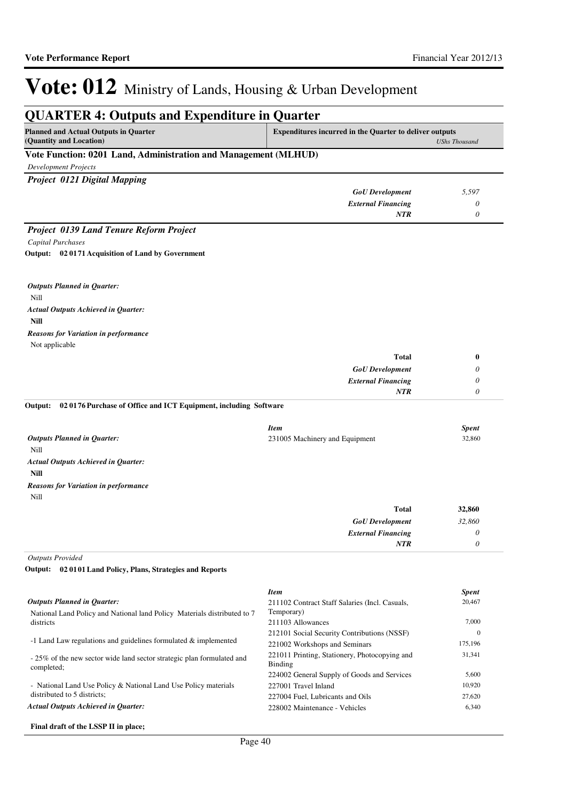| <b>QUARTER 4: Outputs and Expenditure in Quarter</b>                                                           |                                                                |                      |
|----------------------------------------------------------------------------------------------------------------|----------------------------------------------------------------|----------------------|
| <b>Planned and Actual Outputs in Quarter</b><br>(Quantity and Location)                                        | <b>Expenditures incurred in the Quarter to deliver outputs</b> | <b>UShs Thousand</b> |
| Vote Function: 0201 Land, Administration and Management (MLHUD)                                                |                                                                |                      |
| <b>Development Projects</b>                                                                                    |                                                                |                      |
| <b>Project 0121 Digital Mapping</b>                                                                            |                                                                |                      |
|                                                                                                                | <b>GoU</b> Development                                         | 5,597                |
|                                                                                                                | <b>External Financing</b>                                      | 0                    |
|                                                                                                                | <b>NTR</b>                                                     | $\theta$             |
| <b>Project 0139 Land Tenure Reform Project</b>                                                                 |                                                                |                      |
| <b>Capital Purchases</b>                                                                                       |                                                                |                      |
| Output: 02 0171 Acquisition of Land by Government                                                              |                                                                |                      |
| <b>Outputs Planned in Quarter:</b>                                                                             |                                                                |                      |
| Nill                                                                                                           |                                                                |                      |
| <b>Actual Outputs Achieved in Quarter:</b>                                                                     |                                                                |                      |
| <b>Nill</b>                                                                                                    |                                                                |                      |
| <b>Reasons for Variation in performance</b>                                                                    |                                                                |                      |
| Not applicable                                                                                                 |                                                                |                      |
|                                                                                                                | <b>Total</b>                                                   | $\bf{0}$             |
|                                                                                                                | <b>GoU</b> Development                                         | 0                    |
|                                                                                                                | <b>External Financing</b>                                      | 0                    |
|                                                                                                                | <b>NTR</b>                                                     | 0                    |
| 02 0176 Purchase of Office and ICT Equipment, including Software<br>Output:                                    |                                                                |                      |
|                                                                                                                | <b>Item</b>                                                    | <b>Spent</b>         |
| <b>Outputs Planned in Quarter:</b>                                                                             | 231005 Machinery and Equipment                                 | 32,860               |
| Nill                                                                                                           |                                                                |                      |
| Actual Outputs Achieved in Quarter:<br><b>Nill</b>                                                             |                                                                |                      |
| <b>Reasons for Variation in performance</b><br>Nill                                                            |                                                                |                      |
|                                                                                                                | Total                                                          | 32,860               |
|                                                                                                                | <b>GoU</b> Development                                         | 32,860               |
|                                                                                                                | <b>External Financing</b>                                      | U                    |
|                                                                                                                | NTR                                                            | $\theta$             |
| <b>Outputs Provided</b><br>Output: 02 0101 Land Policy, Plans, Strategies and Reports                          |                                                                |                      |
|                                                                                                                |                                                                |                      |
|                                                                                                                | <b>Item</b>                                                    | <b>Spent</b>         |
| <b>Outputs Planned in Quarter:</b><br>National Land Policy and National land Policy Materials distributed to 7 | 211102 Contract Staff Salaries (Incl. Casuals,<br>Temporary)   | 20,467               |
| districts                                                                                                      | 211103 Allowances                                              | 7,000                |
|                                                                                                                | 212101 Social Security Contributions (NSSF)                    | $\boldsymbol{0}$     |
| -1 Land Law regulations and guidelines formulated $&$ implemented                                              | 221002 Workshops and Seminars                                  | 175,196              |
| - 25% of the new sector wide land sector strategic plan formulated and<br>completed;                           | 221011 Printing, Stationery, Photocopying and<br>Binding       | 31,341               |
|                                                                                                                | 224002 General Supply of Goods and Services                    | 5,600                |
| - National Land Use Policy & National Land Use Policy materials<br>distributed to 5 districts;                 | 227001 Travel Inland                                           | 10,920               |
| <b>Actual Outputs Achieved in Quarter:</b>                                                                     | 227004 Fuel, Lubricants and Oils                               | 27,620<br>6,340      |
|                                                                                                                | 228002 Maintenance - Vehicles                                  |                      |

#### **Final draft of the LSSP II in place;**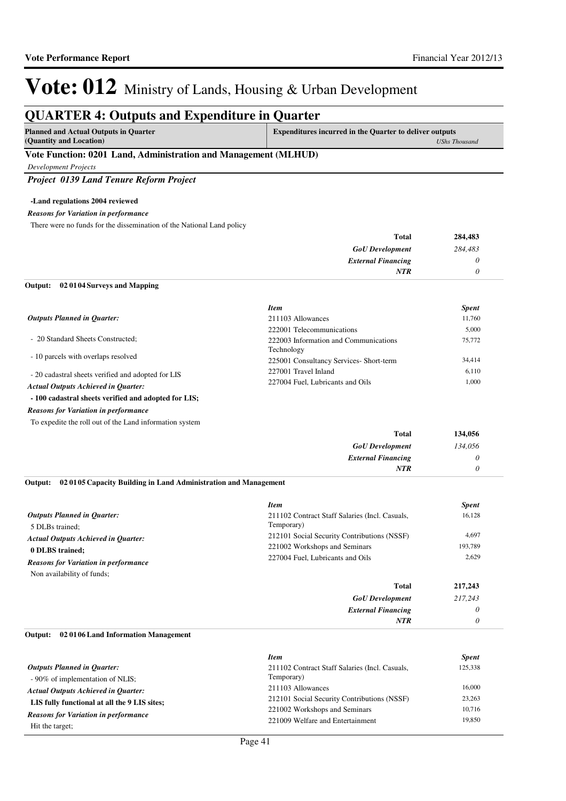### **QUARTER 4: Outputs and Expenditure in Quarter**

| <b>Planned and Actual Outputs in Quarter</b> | <b>Expenditures incurred in the Quarter to deliver outputs</b> |  |
|----------------------------------------------|----------------------------------------------------------------|--|
| (Quantity and Location)                      | UShs Thousand                                                  |  |

#### **Vote Function: 0201 Land, Administration and Management (MLHUD)**

*Development Projects*

*Project 0139 Land Tenure Reform Project*

#### **-Land regulations 2004 reviewed**

*Reasons for Variation in performance*

There were no funds for the dissemination of the National Land policy

| Total                     | 284,483 |
|---------------------------|---------|
| <b>GoU</b> Development    | 284,483 |
| <b>External Financing</b> |         |
| <b>NTR</b>                |         |

#### **02 0104 Surveys and Mapping Output:**

|                                                     | <b>Item</b>                             | <b>Spent</b> |
|-----------------------------------------------------|-----------------------------------------|--------------|
| <b>Outputs Planned in Ouarter:</b>                  | 211103 Allowances                       | 11,760       |
|                                                     | 222001 Telecommunications               | 5,000        |
| - 20 Standard Sheets Constructed:                   | 222003 Information and Communications   | 75,772       |
| - 10 parcels with overlaps resolved                 | Technology                              |              |
|                                                     | 225001 Consultancy Services- Short-term | 34,414       |
| - 20 cadastral sheets verified and adopted for LIS  | 227001 Travel Inland                    | 6,110        |
| <b>Actual Outputs Achieved in Ouarter:</b>          | 227004 Fuel, Lubricants and Oils        | 1.000        |
| -100 cadastral sheets verified and adopted for LIS; |                                         |              |

*Reasons for Variation in performance*

To expedite the roll out of the Land information system

| <b>Total</b>              | 134,056 |
|---------------------------|---------|
| <b>GoU</b> Development    | 134,056 |
| <b>External Financing</b> |         |
| <b>NTR</b>                |         |
|                           |         |

#### **02 0105 Capacity Building in Land Administration and Management Output:**

|                                             | <b>Item</b>                                    | <b>Spent</b> |
|---------------------------------------------|------------------------------------------------|--------------|
| <b>Outputs Planned in Ouarter:</b>          | 211102 Contract Staff Salaries (Incl. Casuals, | 16,128       |
| 5 DLBs trained:                             | Temporary)                                     |              |
| <b>Actual Outputs Achieved in Ouarter:</b>  | 212101 Social Security Contributions (NSSF)    | 4,697        |
| 0 DLBS trained;                             | 221002 Workshops and Seminars                  | 193,789      |
| <b>Reasons for Variation in performance</b> | 227004 Fuel, Lubricants and Oils               | 2,629        |
| Non availability of funds;                  |                                                |              |
|                                             | <b>Total</b>                                   | 217,243      |

| 217,243<br><b>GoU</b> Development |  |
|-----------------------------------|--|
| <b>External Financing</b>         |  |
| NTR                               |  |

#### **02 0106 Land Information Management Output:**

|                                              | <b>Item</b>                                    | <b>Spent</b> |
|----------------------------------------------|------------------------------------------------|--------------|
| <b>Outputs Planned in Ouarter:</b>           | 211102 Contract Staff Salaries (Incl. Casuals, | 125,338      |
| - 90% of implementation of NLIS;             | Temporary)                                     |              |
| <b>Actual Outputs Achieved in Ouarter:</b>   | 211103 Allowances                              | 16,000       |
| LIS fully functional at all the 9 LIS sites; | 212101 Social Security Contributions (NSSF)    | 23.263       |
| <b>Reasons for Variation in performance</b>  | 221002 Workshops and Seminars                  | 10.716       |
|                                              | 221009 Welfare and Entertainment               | 19.850       |
| Hit the target:                              |                                                |              |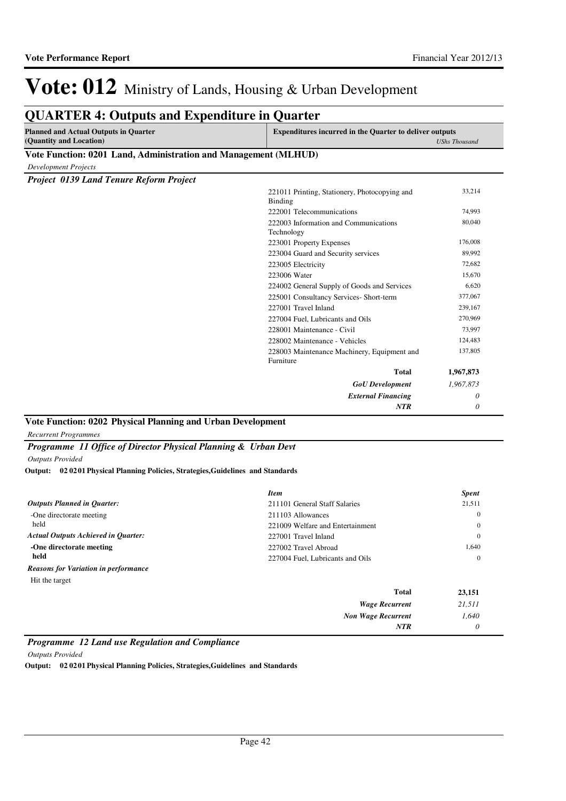#### **QUARTER 4: Outputs and Expenditure in Quarter Planned and Actual Outputs in Quarter (Quantity and Location) Expenditures incurred in the Quarter to deliver outputs**  *UShs Thousand* **Vote Function: 0201 Land, Administration and Management (MLHUD)** *Development Projects Project 0139 Land Tenure Reform Project GoU Development External Financing* **Total** *1,967,873 0 0* **1,967,873** *NTR* 221011 Printing, Stationery, Photocopying and Binding 33,214 222001 Telecommunications 74,993 222003 Information and Communications Technology 80,040 223001 Property Expenses 176,008 223004 Guard and Security services 89,992 223005 Electricity 72,682 223006 Water 15,670 224002 General Supply of Goods and Services 6,620 225001 Consultancy Services- Short-term 377,067 227001 Travel Inland 239,167 227004 Fuel, Lubricants and Oils 270,969 228001 Maintenance - Civil 73,997 228002 Maintenance - Vehicles 124,483 228003 Maintenance Machinery, Equipment and Furniture 137,805

#### **Vote Function: 0202 Physical Planning and Urban Development**

*Recurrent Programmes*

#### *Programme 11 Office of Director Physical Planning & Urban Devt*

*Outputs Provided*

#### **02 0201 Physical Planning Policies, Strategies,Guidelines and Standards Output:**

|                                             | <b>Item</b>                      | <b>Spent</b> |
|---------------------------------------------|----------------------------------|--------------|
| <b>Outputs Planned in Quarter:</b>          | 211101 General Staff Salaries    | 21,511       |
| -One directorate meeting                    | 211103 Allowances                | $\Omega$     |
| held                                        | 221009 Welfare and Entertainment | $\mathbf{0}$ |
| <b>Actual Outputs Achieved in Quarter:</b>  | 227001 Travel Inland             | $\mathbf{0}$ |
| -One directorate meeting                    | 227002 Travel Abroad             | 1,640        |
| held                                        | 227004 Fuel, Lubricants and Oils | $\Omega$     |
| <b>Reasons for Variation in performance</b> |                                  |              |
| Hit the target                              |                                  |              |
|                                             | Total                            | 23,151       |
|                                             | <b>Wage Recurrent</b>            | 21,511       |
|                                             | <b>Non Wage Recurrent</b>        | 1,640        |
|                                             | <b>NTR</b>                       | 0            |

#### *Programme 12 Land use Regulation and Compliance Outputs Provided*

**Output: 02 0201 Physical Planning Policies, Strategies,Guidelines and Standards**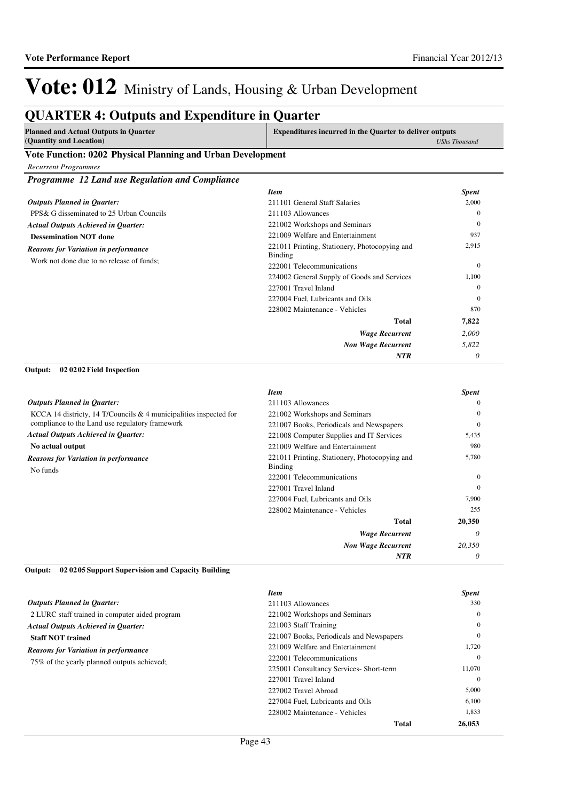## **QUARTER 4: Outputs and Expenditure in Quarter**

| Planned and Actual Outputs in Quarter |           |  |  |  | <b>Expenditures incurred in the Quarter to deliver outputs</b> |               |
|---------------------------------------|-----------|--|--|--|----------------------------------------------------------------|---------------|
| (Quantity and Location)               |           |  |  |  |                                                                | UShs Thousand |
| .                                     | $0.000$ m |  |  |  |                                                                |               |

#### **Vote Function: 0202 Physical Planning and Urban Development**

|  | <b>Recurrent Programmes</b> |
|--|-----------------------------|
|--|-----------------------------|

*Programme 12 Land use Regulation and Compliance*

|                                             | <b>Item</b>                                   | <b>Spent</b> |
|---------------------------------------------|-----------------------------------------------|--------------|
| <b>Outputs Planned in Quarter:</b>          | 211101 General Staff Salaries                 | 2,000        |
| PPS& G disseminated to 25 Urban Councils    | 211103 Allowances                             | $\Omega$     |
| <b>Actual Outputs Achieved in Quarter:</b>  | 221002 Workshops and Seminars                 | $\Omega$     |
| <b>Dessemination NOT done</b>               | 221009 Welfare and Entertainment              | 937          |
| <b>Reasons for Variation in performance</b> | 221011 Printing, Stationery, Photocopying and | 2,915        |
| Work not done due to no release of funds;   | Binding                                       |              |
|                                             | 222001 Telecommunications                     | $\mathbf{0}$ |
|                                             | 224002 General Supply of Goods and Services   | 1,100        |
|                                             | 227001 Travel Inland                          | $\Omega$     |
|                                             | 227004 Fuel, Lubricants and Oils              | $\Omega$     |
|                                             | 228002 Maintenance - Vehicles                 | 870          |
|                                             | <b>Total</b>                                  | 7,822        |
|                                             | <b>Wage Recurrent</b>                         | 2,000        |
|                                             | <b>Non Wage Recurrent</b>                     | 5,822        |
|                                             | <b>NTR</b>                                    | 0            |

#### **02 0202 Field Inspection Output:**

|                                                                     | <b>Item</b>                                   | <b>Spent</b> |
|---------------------------------------------------------------------|-----------------------------------------------|--------------|
| <b>Outputs Planned in Quarter:</b>                                  | 211103 Allowances                             | $\Omega$     |
| KCCA 14 districty, 14 T/Councils $& 4$ municipalities inspected for | 221002 Workshops and Seminars                 | $\Omega$     |
| compliance to the Land use regulatory framework                     | 221007 Books, Periodicals and Newspapers      | $\theta$     |
| <b>Actual Outputs Achieved in Quarter:</b>                          | 221008 Computer Supplies and IT Services      | 5,435        |
| No actual output                                                    | 221009 Welfare and Entertainment              | 980          |
| <b>Reasons for Variation in performance</b>                         | 221011 Printing, Stationery, Photocopying and | 5,780        |
| No funds                                                            | Binding                                       |              |
|                                                                     | 222001 Telecommunications                     | $\Omega$     |
|                                                                     | 227001 Travel Inland                          | $\Omega$     |
|                                                                     | 227004 Fuel, Lubricants and Oils              | 7,900        |
|                                                                     | 228002 Maintenance - Vehicles                 | 255          |
|                                                                     | <b>Total</b>                                  | 20,350       |
|                                                                     | <b>Wage Recurrent</b>                         | 0            |
|                                                                     | <b>Non Wage Recurrent</b>                     | 20,350       |
|                                                                     | <b>NTR</b>                                    | 0            |

#### **02 0205 Support Supervision and Capacity Building Output:**

|                                                | <b>Item</b>                              | <b>Spent</b> |
|------------------------------------------------|------------------------------------------|--------------|
| <b>Outputs Planned in Quarter:</b>             | 211103 Allowances                        | 330          |
| 2 LURC staff trained in computer aided program | 221002 Workshops and Seminars            | $\mathbf{0}$ |
| <b>Actual Outputs Achieved in Ouarter:</b>     | 221003 Staff Training                    | $\mathbf{0}$ |
| <b>Staff NOT trained</b>                       | 221007 Books, Periodicals and Newspapers | $\theta$     |
| <b>Reasons for Variation in performance</b>    | 221009 Welfare and Entertainment         | 1,720        |
|                                                | 222001 Telecommunications                | $\theta$     |
| 75% of the yearly planned outputs achieved;    | 225001 Consultancy Services- Short-term  | 11,070       |
|                                                | 227001 Travel Inland                     | $\theta$     |
|                                                | 227002 Travel Abroad                     | 5,000        |
|                                                | 227004 Fuel, Lubricants and Oils         | 6,100        |
|                                                | 228002 Maintenance - Vehicles            | 1,833        |
|                                                | Total                                    | 26,053       |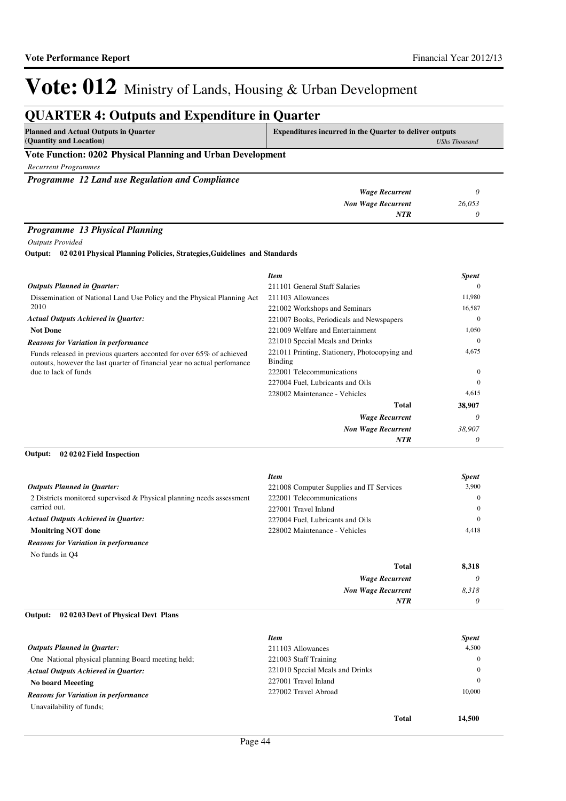## **QUARTER 4: Outputs and Expenditure in Quarter**

| <b>Planned and Actual Outputs in Quarter</b>                | <b>Expenditures incurred in the Quarter to deliver outputs</b> |               |  |
|-------------------------------------------------------------|----------------------------------------------------------------|---------------|--|
| (Quantity and Location)                                     |                                                                | UShs Thousand |  |
| Vote Function: 0202 Physical Planning and Urban Development |                                                                |               |  |
| <b>Recurrent Programmes</b>                                 |                                                                |               |  |
| <b>Programme 12 Land use Regulation and Compliance</b>      |                                                                |               |  |
|                                                             | <b>Wage Recurrent</b>                                          | $\theta$      |  |
|                                                             | <b>Non Wage Recurrent</b>                                      | 26,053        |  |
|                                                             | NTR                                                            | 0             |  |

### *Programme 13 Physical Planning*

*Outputs Provided*

**02 0201 Physical Planning Policies, Strategies,Guidelines and Standards Output:**

|                                                                                                                                                    | <b>Item</b>                                              | <b>Spent</b> |
|----------------------------------------------------------------------------------------------------------------------------------------------------|----------------------------------------------------------|--------------|
| <b>Outputs Planned in Quarter:</b>                                                                                                                 | 211101 General Staff Salaries                            | $\Omega$     |
| Dissemination of National Land Use Policy and the Physical Planning Act                                                                            | 211103 Allowances                                        | 11,980       |
| 2010                                                                                                                                               | 221002 Workshops and Seminars                            | 16,587       |
| <b>Actual Outputs Achieved in Quarter:</b>                                                                                                         | 221007 Books, Periodicals and Newspapers                 | $\Omega$     |
| <b>Not Done</b>                                                                                                                                    | 221009 Welfare and Entertainment                         | 1,050        |
| <b>Reasons for Variation in performance</b>                                                                                                        | 221010 Special Meals and Drinks                          | $\Omega$     |
| Funds released in previous quarters acconted for over 65% of achieved<br>outouts, however the last quarter of financial year no actual performance | 221011 Printing, Stationery, Photocopying and<br>Binding | 4,675        |
| due to lack of funds                                                                                                                               | 222001 Telecommunications                                | $\theta$     |
|                                                                                                                                                    | 227004 Fuel, Lubricants and Oils                         | $\Omega$     |
|                                                                                                                                                    | 228002 Maintenance - Vehicles                            | 4,615        |
|                                                                                                                                                    | Total                                                    | 38,907       |
|                                                                                                                                                    | <b>Wage Recurrent</b>                                    | 0            |
|                                                                                                                                                    | <b>Non Wage Recurrent</b>                                | 38,907       |
|                                                                                                                                                    | <b>NTR</b>                                               | 0            |

#### **02 0202 Field Inspection Output:**

|                                                                       | <b>Item</b>                              | <b>Spent</b> |
|-----------------------------------------------------------------------|------------------------------------------|--------------|
| <b>Outputs Planned in Ouarter:</b>                                    | 221008 Computer Supplies and IT Services | 3.900        |
| 2 Districts monitored supervised & Physical planning needs assessment | 222001 Telecommunications                | $\Omega$     |
| carried out.                                                          | 227001 Travel Inland                     | $\Omega$     |
| <b>Actual Outputs Achieved in Ouarter:</b>                            | 227004 Fuel, Lubricants and Oils         | $\Omega$     |
| <b>Monitring NOT done</b>                                             | 228002 Maintenance - Vehicles            | 4.418        |
| <b>Reasons for Variation in performance</b>                           |                                          |              |
| No funds in O4                                                        |                                          |              |

| 8,318 | <b>Total</b>              |
|-------|---------------------------|
|       | <b>Wage Recurrent</b>     |
| 8,318 | <b>Non Wage Recurrent</b> |
|       | <b>NTR</b>                |
|       |                           |

#### **02 0203 Devt of Physical Devt Plans Output:**

|                                                    | Item                            |       | <b>Spent</b> |
|----------------------------------------------------|---------------------------------|-------|--------------|
| <b>Outputs Planned in Ouarter:</b>                 | 211103 Allowances               |       | 4,500        |
| One National physical planning Board meeting held; | 221003 Staff Training           |       | 0            |
| <b>Actual Outputs Achieved in Ouarter:</b>         | 221010 Special Meals and Drinks |       |              |
| No board Meeeting                                  | 227001 Travel Inland            |       |              |
| <b>Reasons for Variation in performance</b>        | 227002 Travel Abroad            |       | 10.000       |
| Unavailability of funds;                           |                                 |       |              |
|                                                    |                                 | Total | 14.500       |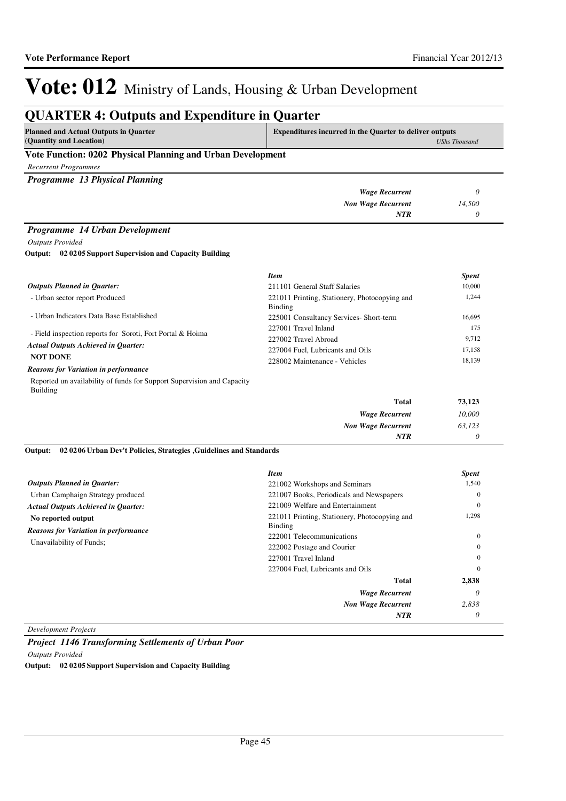## **QUARTER 4: Outputs and Expenditure in Quarter**

| <b>Planned and Actual Outputs in Quarter</b>                | <b>Expenditures incurred in the Quarter to deliver outputs</b> |  |  |  |
|-------------------------------------------------------------|----------------------------------------------------------------|--|--|--|
| (Quantity and Location)                                     | UShs Thousand                                                  |  |  |  |
| Vote Function: 0202 Physical Planning and Urban Development |                                                                |  |  |  |
| <b>Recurrent Programmes</b>                                 |                                                                |  |  |  |
| <b>Programme</b> 13 Physical Planning                       |                                                                |  |  |  |

| $\sim$ | ------<br>$\sim$ |                           |        |
|--------|------------------|---------------------------|--------|
|        |                  | NTR                       |        |
|        |                  | <b>Non Wage Recurrent</b> | 14,500 |
|        |                  | <b>Wage Recurrent</b>     |        |

#### *Programme 14 Urban Development*

*Outputs Provided*

#### **02 0205 Support Supervision and Capacity Building Output:**

|                                                            | <b>Item</b>                                              | <b>Spent</b> |
|------------------------------------------------------------|----------------------------------------------------------|--------------|
| <b>Outputs Planned in Quarter:</b>                         | 211101 General Staff Salaries                            | 10,000       |
| - Urban sector report Produced                             | 221011 Printing, Stationery, Photocopying and<br>Binding | 1.244        |
| - Urban Indicators Data Base Established                   | 225001 Consultancy Services- Short-term                  | 16,695       |
| - Field inspection reports for Soroti, Fort Portal & Hoima | 227001 Travel Inland                                     | 175          |
|                                                            | 227002 Travel Abroad                                     | 9.712        |
| <b>Actual Outputs Achieved in Ouarter:</b>                 | 227004 Fuel, Lubricants and Oils                         | 17.158       |
| <b>NOT DONE</b>                                            | 228002 Maintenance - Vehicles                            | 18.139       |
| <b>Reasons for Variation in performance</b>                |                                                          |              |

Reported un availability of funds for Support Supervision and Capacity Building

|        |                           | $\tilde{\phantom{a}}$ |
|--------|---------------------------|-----------------------|
| 73,123 | <b>Total</b>              |                       |
| 10,000 | <b>Wage Recurrent</b>     |                       |
| 63,123 | <b>Non Wage Recurrent</b> |                       |
| 0      | <b>NTR</b>                |                       |
|        |                           |                       |

**02 0206 Urban Dev't Policies, Strategies ,Guidelines and Standards Output:**

|                                             | <b>Item</b>                                   | <b>Spent</b> |
|---------------------------------------------|-----------------------------------------------|--------------|
| <b>Outputs Planned in Quarter:</b>          | 221002 Workshops and Seminars                 | 1,540        |
| Urban Camphaign Strategy produced           | 221007 Books, Periodicals and Newspapers      | $\Omega$     |
| <b>Actual Outputs Achieved in Quarter:</b>  | 221009 Welfare and Entertainment              | 0            |
| No reported output                          | 221011 Printing, Stationery, Photocopying and | 1,298        |
| <b>Reasons for Variation in performance</b> | Binding                                       |              |
|                                             | 222001 Telecommunications                     | $\mathbf{0}$ |
| Unavailability of Funds;                    | 222002 Postage and Courier                    | $\Omega$     |
|                                             | 227001 Travel Inland                          | $\Omega$     |
|                                             | 227004 Fuel, Lubricants and Oils              | $\mathbf{0}$ |
|                                             | <b>Total</b>                                  | 2,838        |
|                                             | <b>Wage Recurrent</b>                         | 0            |
|                                             | <b>Non Wage Recurrent</b>                     | 2,838        |
|                                             | <b>NTR</b>                                    | 0            |

*Development Projects*

*Project 1146 Transforming Settlements of Urban Poor Outputs Provided* **Output: 02 0205 Support Supervision and Capacity Building**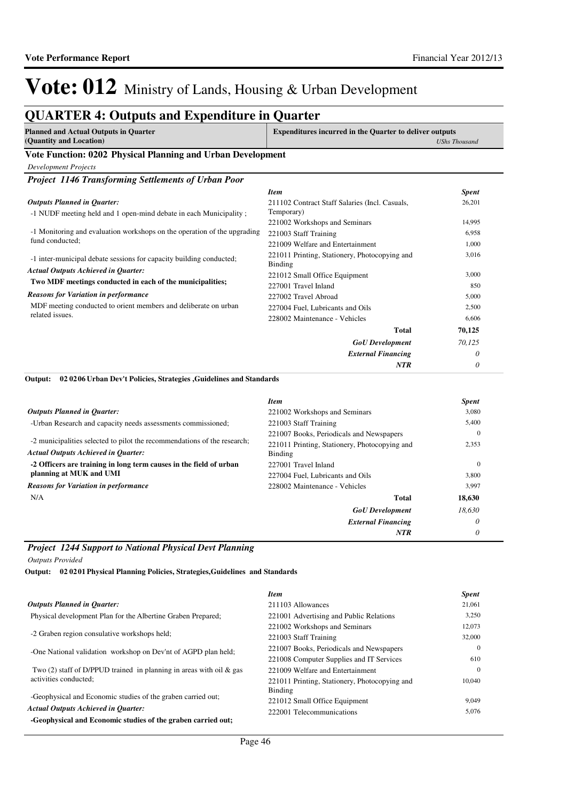### **QUARTER 4: Outputs and Expenditure in Quarter**

| <b>Planned and Actual Outputs in Quarter</b><br>(Quantity and Location) | <b>Expenditures incurred in the Quarter to deliver outputs</b><br><b>UShs Thousand</b> |
|-------------------------------------------------------------------------|----------------------------------------------------------------------------------------|
| Vote Function: 0202 Physical Planning and Urban Development             |                                                                                        |
| Development Projects                                                    |                                                                                        |

| <b>Project 1146 Transforming Settlements of Urban Poor</b>                         |                                                |              |
|------------------------------------------------------------------------------------|------------------------------------------------|--------------|
|                                                                                    | <b>Item</b>                                    | <b>Spent</b> |
| <b>Outputs Planned in Quarter:</b>                                                 | 211102 Contract Staff Salaries (Incl. Casuals, | 26,201       |
| -1 NUDF meeting held and 1 open-mind debate in each Municipality;                  | Temporary)                                     |              |
|                                                                                    | 221002 Workshops and Seminars                  | 14,995       |
| -1 Monitoring and evaluation workshops on the operation of the upgrading           | 221003 Staff Training                          | 6,958        |
| fund conducted;                                                                    | 221009 Welfare and Entertainment               | 1,000        |
| -1 inter-municipal debate sessions for capacity building conducted;                | 221011 Printing, Stationery, Photocopying and  | 3,016        |
| <b>Actual Outputs Achieved in Quarter:</b>                                         | <b>Binding</b>                                 |              |
|                                                                                    | 221012 Small Office Equipment                  | 3,000        |
| Two MDF meetings conducted in each of the municipalities;                          | 227001 Travel Inland                           | 850          |
| <b>Reasons for Variation in performance</b>                                        | 227002 Travel Abroad                           | 5,000        |
| MDF meeting conducted to orient members and deliberate on urban<br>related issues. | 227004 Fuel, Lubricants and Oils               | 2,500        |
|                                                                                    | 228002 Maintenance - Vehicles                  | 6,606        |
|                                                                                    | <b>Total</b>                                   | 70,125       |
|                                                                                    | <b>GoU</b> Development                         | 70,125       |
|                                                                                    | <b>External Financing</b>                      | 0            |
|                                                                                    | <b>NTR</b>                                     | 0            |

**02 0206 Urban Dev't Policies, Strategies ,Guidelines and Standards Output:**

|                                                                          | <b>Item</b>                                   | <b>Spent</b> |
|--------------------------------------------------------------------------|-----------------------------------------------|--------------|
| <b>Outputs Planned in Quarter:</b>                                       | 221002 Workshops and Seminars                 | 3,080        |
| -Urban Research and capacity needs assessments commissioned;             | 221003 Staff Training                         | 5,400        |
|                                                                          | 221007 Books, Periodicals and Newspapers      | $\Omega$     |
| -2 municipalities selected to pilot the recommendations of the research; | 221011 Printing, Stationery, Photocopying and | 2,353        |
| <b>Actual Outputs Achieved in Ouarter:</b>                               | Binding                                       |              |
| -2 Officers are training in long term causes in the field of urban       | 227001 Travel Inland                          | $\mathbf{0}$ |
| planning at MUK and UMI                                                  | 227004 Fuel, Lubricants and Oils              | 3,800        |
| <b>Reasons for Variation in performance</b>                              | 228002 Maintenance - Vehicles                 | 3,997        |
| N/A                                                                      | <b>Total</b>                                  | 18,630       |
|                                                                          | <b>GoU</b> Development                        | 18.630       |
|                                                                          | <b>External Financing</b>                     | 0            |
|                                                                          | <b>NTR</b>                                    |              |

#### *Project 1244 Support to National Physical Devt Planning*

*Outputs Provided*

**02 0201 Physical Planning Policies, Strategies,Guidelines and Standards Output:**

|                                                                        | <b>Item</b>                                   | <b>Spent</b> |
|------------------------------------------------------------------------|-----------------------------------------------|--------------|
| <b>Outputs Planned in Ouarter:</b>                                     | 211103 Allowances                             | 21.061       |
| Physical development Plan for the Albertine Graben Prepared;           | 221001 Advertising and Public Relations       | 3,250        |
|                                                                        | 221002 Workshops and Seminars                 | 12,073       |
| -2 Graben region consulative workshops held;                           | 221003 Staff Training                         | 32,000       |
| -One National validation workshop on Dev'nt of AGPD plan held;         | 221007 Books, Periodicals and Newspapers      | $\Omega$     |
|                                                                        | 221008 Computer Supplies and IT Services      | 610          |
| Two (2) staff of D/PPUD trained in planning in areas with oil $\&$ gas | 221009 Welfare and Entertainment              | $\Omega$     |
| activities conducted;                                                  | 221011 Printing, Stationery, Photocopying and | 10,040       |
|                                                                        | Binding                                       |              |
| -Geophysical and Economic studies of the graben carried out;           | 221012 Small Office Equipment                 | 9.049        |
| <b>Actual Outputs Achieved in Ouarter:</b>                             | 222001 Telecommunications                     | 5,076        |
| -Geophysical and Economic studies of the graben carried out;           |                                               |              |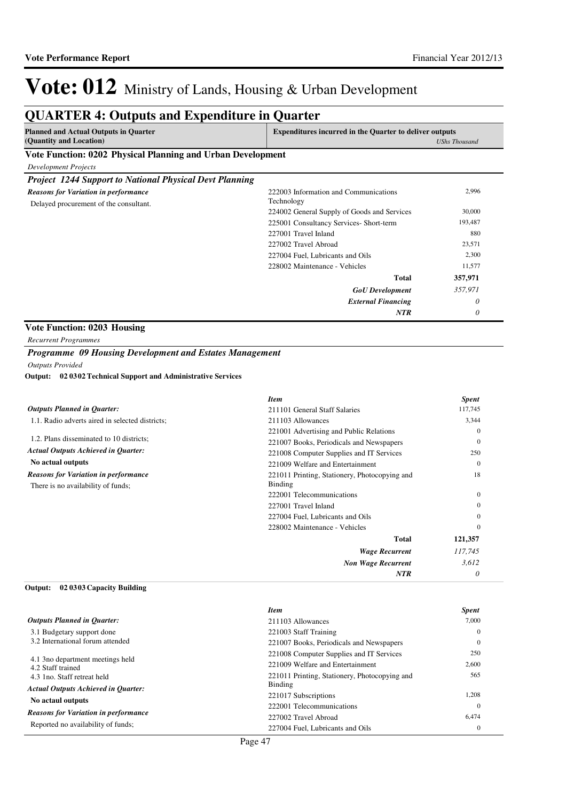## **QUARTER 4: Outputs and Expenditure in Quarter**

| <b>Planned and Actual Outputs in Quarter</b> | <b>Expenditures incurred in the Quarter to deliver outputs</b> |  |
|----------------------------------------------|----------------------------------------------------------------|--|
| (Quantity and Location)                      | <b>UShs Thousand</b>                                           |  |
| ___<br>--------<br>.                         |                                                                |  |

#### **Vote Function: 0202 Physical Planning and Urban Development**

| <b>Project 1244 Support to National Physical Devt Planning</b>                        |                                                     |         |
|---------------------------------------------------------------------------------------|-----------------------------------------------------|---------|
| <b>Reasons for Variation in performance</b><br>Delayed procurement of the consultant. | 222003 Information and Communications<br>Technology | 2.996   |
|                                                                                       | 224002 General Supply of Goods and Services         | 30,000  |
|                                                                                       | 225001 Consultancy Services- Short-term             | 193,487 |
|                                                                                       | 227001 Travel Inland                                | 880     |
|                                                                                       | 227002 Travel Abroad                                | 23,571  |
|                                                                                       | 227004 Fuel, Lubricants and Oils                    | 2,300   |
|                                                                                       | 228002 Maintenance - Vehicles                       | 11,577  |
|                                                                                       | <b>Total</b>                                        | 357,971 |
|                                                                                       | <b>GoU</b> Development                              | 357.971 |
|                                                                                       | <b>External Financing</b>                           | 0       |
|                                                                                       | <b>NTR</b>                                          | 0       |

#### **Vote Function: 0203 Housing**

*Recurrent Programmes*

### *Programme 09 Housing Development and Estates Management*

*Outputs Provided*

**02 0302 Technical Support and Administrative Services Output:**

|                                                 | <b>Item</b>                                   | <b>Spent</b> |
|-------------------------------------------------|-----------------------------------------------|--------------|
| <b>Outputs Planned in Quarter:</b>              | 211101 General Staff Salaries                 | 117,745      |
| 1.1. Radio adverts aired in selected districts; | 211103 Allowances                             | 3,344        |
|                                                 | 221001 Advertising and Public Relations       | $\Omega$     |
| 1.2. Plans disseminated to 10 districts;        | 221007 Books, Periodicals and Newspapers      | $\mathbf{0}$ |
| <b>Actual Outputs Achieved in Quarter:</b>      | 221008 Computer Supplies and IT Services      | 250          |
| No actual outputs                               | 221009 Welfare and Entertainment              | $\Omega$     |
| <b>Reasons for Variation in performance</b>     | 221011 Printing, Stationery, Photocopying and | 18           |
| There is no availability of funds;              | Binding                                       |              |
|                                                 | 222001 Telecommunications                     | $\Omega$     |
|                                                 | 227001 Travel Inland                          | $\Omega$     |
|                                                 | 227004 Fuel, Lubricants and Oils              | 0            |
|                                                 | 228002 Maintenance - Vehicles                 | $\Omega$     |
|                                                 | <b>Total</b>                                  | 121,357      |
|                                                 | <b>Wage Recurrent</b>                         | 117,745      |
|                                                 | <b>Non Wage Recurrent</b>                     | 3,612        |
|                                                 | <b>NTR</b>                                    | 0            |

#### **02 0303 Capacity Building Output:**

|                                                       | <b>Item</b>                                   | <b>Spent</b> |
|-------------------------------------------------------|-----------------------------------------------|--------------|
| <b>Outputs Planned in Ouarter:</b>                    | 211103 Allowances                             | 7,000        |
| 3.1 Budgetary support done                            | 221003 Staff Training                         | $\Omega$     |
| 3.2 International forum attended                      | 221007 Books, Periodicals and Newspapers      | $\Omega$     |
|                                                       | 221008 Computer Supplies and IT Services      | 250          |
| 4.1 3no department meetings held<br>4.2 Staff trained | 221009 Welfare and Entertainment              | 2,600        |
| 4.3 1 no. Staff retreat held                          | 221011 Printing, Stationery, Photocopying and | 565          |
| <b>Actual Outputs Achieved in Quarter:</b>            | Binding                                       |              |
| No actaul outputs                                     | 221017 Subscriptions                          | 1,208        |
|                                                       | 222001 Telecommunications                     | $\Omega$     |
| <b>Reasons for Variation in performance</b>           | 227002 Travel Abroad                          | 6.474        |
| Reported no availability of funds;                    | 227004 Fuel. Lubricants and Oils              |              |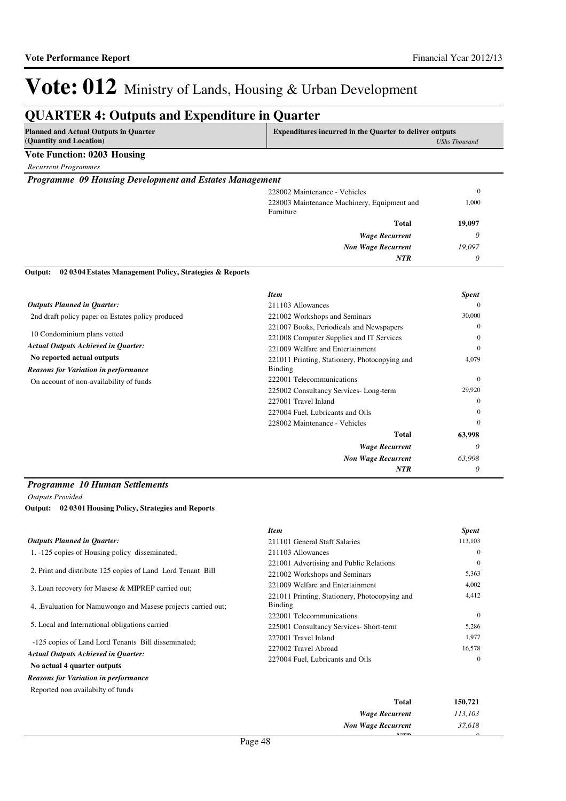*0 19,097 0*

**19,097**

*Wage Recurrent Non Wage Recurrent*

**Total**

*NTR*

# Vote: 012 Ministry of Lands, Housing & Urban Development

## **QUARTER 4: Outputs and Expenditure in Quarter**

| <b>Planned and Actual Outputs in Quarter</b><br>(Quantity and Location) | <b>Expenditures incurred in the Quarter to deliver outputs</b> | UShs Thousand |
|-------------------------------------------------------------------------|----------------------------------------------------------------|---------------|
| Vote Function: 0203 Housing                                             |                                                                |               |
| <b>Recurrent Programmes</b>                                             |                                                                |               |
| Programme 09 Housing Development and Estates Management                 |                                                                |               |
|                                                                         | 228002 Maintenance - Vehicles                                  |               |
|                                                                         | 228003 Maintenance Machinery, Equipment and<br>Furniture       | 1,000         |

#### **02 0304 Estates Management Policy, Strategies & Reports Output:**

|                                                   | <b>Item</b>                                   | <b>Spent</b> |
|---------------------------------------------------|-----------------------------------------------|--------------|
| <b>Outputs Planned in Quarter:</b>                | 211103 Allowances                             | $\Omega$     |
| 2nd draft policy paper on Estates policy produced | 221002 Workshops and Seminars                 | 30,000       |
|                                                   | 221007 Books, Periodicals and Newspapers      | $\Omega$     |
| 10 Condominium plans vetted                       | 221008 Computer Supplies and IT Services      |              |
| <b>Actual Outputs Achieved in Quarter:</b>        | 221009 Welfare and Entertainment              | $\Omega$     |
| No reported actual outputs                        | 221011 Printing, Stationery, Photocopying and | 4,079        |
| <b>Reasons for Variation in performance</b>       | Binding                                       |              |
| On account of non-availability of funds           | 222001 Telecommunications                     | $\mathbf{0}$ |
|                                                   | 225002 Consultancy Services - Long-term       | 29,920       |
|                                                   | 227001 Travel Inland                          |              |
|                                                   | 227004 Fuel, Lubricants and Oils              | $\Omega$     |
|                                                   | 228002 Maintenance - Vehicles                 | $\Omega$     |
|                                                   | <b>Total</b>                                  | 63,998       |
|                                                   | <b>Wage Recurrent</b>                         | 0            |
|                                                   | <b>Non Wage Recurrent</b>                     | 63,998       |
|                                                   | <b>NTR</b>                                    | 0            |

#### *Programme 10 Human Settlements*

*Outputs Provided*

**02 0301 Housing Policy, Strategies and Reports Output:**

|                                                              | <b>Item</b>                                   | <b>Spent</b> |
|--------------------------------------------------------------|-----------------------------------------------|--------------|
| <b>Outputs Planned in Quarter:</b>                           | 211101 General Staff Salaries                 | 113,103      |
| 1. -125 copies of Housing policy disseminated;               | 211103 Allowances                             | $\mathbf{0}$ |
|                                                              | 221001 Advertising and Public Relations       | $\Omega$     |
| 2. Print and distribute 125 copies of Land Lord Tenant Bill  | 221002 Workshops and Seminars                 | 5,363        |
| 3. Loan recovery for Masese & MIPREP carried out;            | 221009 Welfare and Entertainment              | 4,002        |
|                                                              | 221011 Printing, Stationery, Photocopying and | 4,412        |
| 4. Evaluation for Namuwongo and Masese projects carried out; | Binding                                       |              |
|                                                              | 222001 Telecommunications                     | $\mathbf{0}$ |
| 5. Local and International obligations carried               | 225001 Consultancy Services- Short-term       | 5,286        |
| -125 copies of Land Lord Tenants Bill disseminated;          | 227001 Travel Inland                          | 1,977        |
|                                                              | 227002 Travel Abroad                          | 16,578       |
| <b>Actual Outputs Achieved in Quarter:</b>                   | 227004 Fuel, Lubricants and Oils              | $\Omega$     |
| No actual 4 quarter outputs                                  |                                               |              |
| <b>Reasons for Variation in performance</b>                  |                                               |              |

| Reported non availabilty of funds |  |
|-----------------------------------|--|
|                                   |  |

| Total                     | 150,721 |
|---------------------------|---------|
| Wage Recurrent            | 113.103 |
| <b>Non Wage Recurrent</b> | 37.618  |

*NTR*

*0*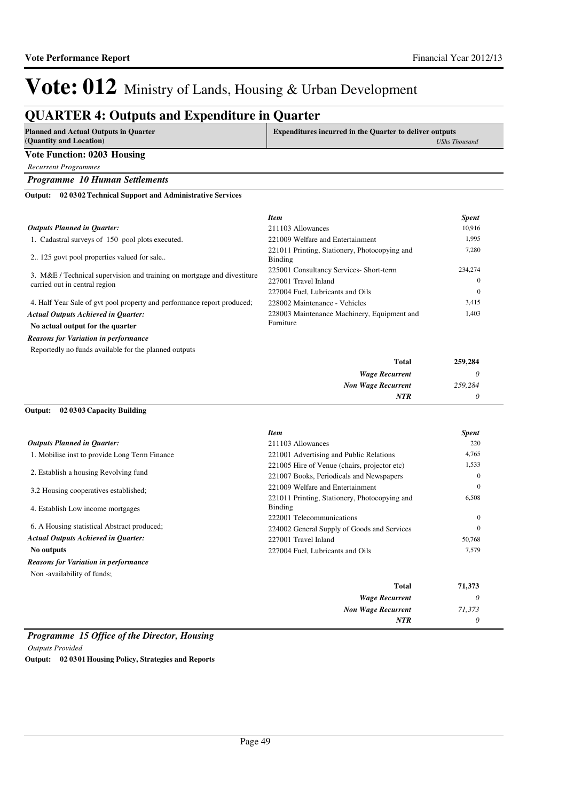*0*

*NTR*

# Vote: 012 Ministry of Lands, Housing & Urban Development

### **QUARTER 4: Outputs and Expenditure in Quarter**

| <b>Planned and Actual Outputs in Quarter</b><br>(Quantity and Location) | <b>Expenditures incurred in the Quarter to deliver outputs</b><br>UShs Thousand |
|-------------------------------------------------------------------------|---------------------------------------------------------------------------------|
| Vote Function: 0203 Housing                                             |                                                                                 |
| <b>Recurrent Programmes</b>                                             |                                                                                 |
| <b>Programme 10 Human Settlements</b>                                   |                                                                                 |

**02 0302 Technical Support and Administrative Services Output:**

|                                                                                                          | <b>Item</b>                                                     | <b>Spent</b> |
|----------------------------------------------------------------------------------------------------------|-----------------------------------------------------------------|--------------|
| <b>Outputs Planned in Quarter:</b>                                                                       | 211103 Allowances                                               | 10,916       |
| 1. Cadastral surveys of 150 pool plots executed.                                                         | 221009 Welfare and Entertainment                                | 1,995        |
| 2125 govt pool properties valued for sale                                                                | 221011 Printing, Stationery, Photocopying and<br><b>Binding</b> | 7,280        |
|                                                                                                          | 225001 Consultancy Services- Short-term                         | 234,274      |
| 3. M&E / Technical supervision and training on mortgage and divestiture<br>carried out in central region | 227001 Travel Inland                                            | $\theta$     |
|                                                                                                          | 227004 Fuel, Lubricants and Oils                                | $\mathbf{0}$ |
| 4. Half Year Sale of gvt pool property and performance report produced;                                  | 228002 Maintenance - Vehicles                                   | 3,415        |
| <b>Actual Outputs Achieved in Ouarter:</b>                                                               | 228003 Maintenance Machinery, Equipment and                     | 1,403        |
| No actual output for the quarter                                                                         | Furniture                                                       |              |
| <b>Reasons for Variation in performance</b>                                                              |                                                                 |              |
| Reportedly no funds available for the planned outputs                                                    |                                                                 |              |
|                                                                                                          | <b>Total</b>                                                    | 259,284      |
|                                                                                                          | <b>Wage Recurrent</b>                                           | 0            |

| 259,284 | Total                     |
|---------|---------------------------|
| 0       | <b>Wage Recurrent</b>     |
| 259,284 | <b>Non Wage Recurrent</b> |
|         | <b>NTR</b>                |
|         |                           |

#### **02 0303 Capacity Building Output:**

|                                               | <b>Item</b>                                   | <b>Spent</b> |
|-----------------------------------------------|-----------------------------------------------|--------------|
| <b>Outputs Planned in Quarter:</b>            | 211103 Allowances                             | 220          |
| 1. Mobilise inst to provide Long Term Finance | 221001 Advertising and Public Relations       | 4,765        |
|                                               | 221005 Hire of Venue (chairs, projector etc)  | 1,533        |
| 2. Establish a housing Revolving fund         | 221007 Books, Periodicals and Newspapers      | $\mathbf{0}$ |
| 3.2 Housing cooperatives established;         | 221009 Welfare and Entertainment              | $\mathbf{0}$ |
|                                               | 221011 Printing, Stationery, Photocopying and | 6,508        |
| 4. Establish Low income mortgages             | Binding                                       |              |
|                                               | 222001 Telecommunications                     | $\mathbf{0}$ |
| 6. A Housing statistical Abstract produced;   | 224002 General Supply of Goods and Services   | $\mathbf{0}$ |
| <b>Actual Outputs Achieved in Quarter:</b>    | 227001 Travel Inland                          | 50,768       |
| No outputs                                    | 227004 Fuel, Lubricants and Oils              | 7,579        |
| <b>Reasons for Variation in performance</b>   |                                               |              |
| Non-availability of funds;                    |                                               |              |
|                                               | Total                                         | 71,373       |
|                                               | <b>Wage Recurrent</b>                         | 0            |
|                                               | Non Wage Recurrent                            | 71,373       |

### *Programme 15 Office of the Director, Housing Outputs Provided*

**Output: 02 0301 Housing Policy, Strategies and Reports**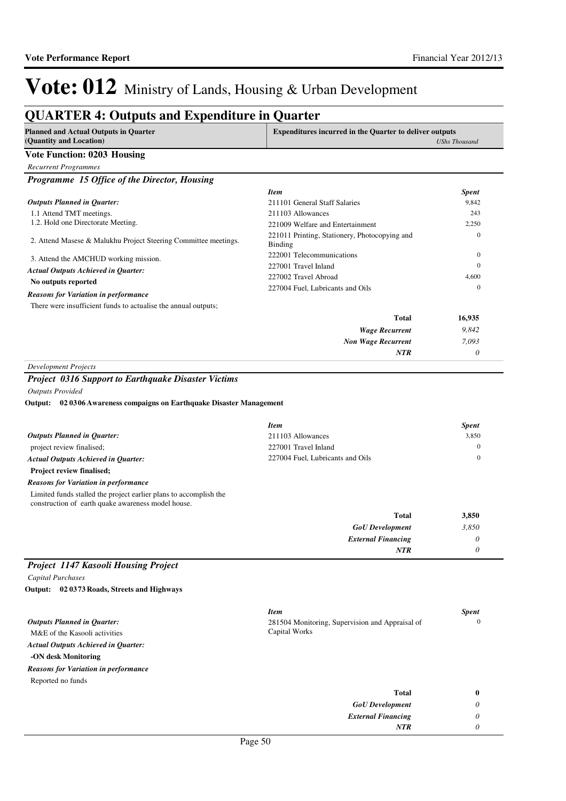## **QUARTER 4: Outputs and Expenditure in Quarter**

| <b>Planned and Actual Outputs in Quarter</b><br>(Quantity and Location)                                                 | <b>Expenditures incurred in the Quarter to deliver outputs</b><br><b>UShs Thousand</b> |              |
|-------------------------------------------------------------------------------------------------------------------------|----------------------------------------------------------------------------------------|--------------|
| <b>Vote Function: 0203 Housing</b>                                                                                      |                                                                                        |              |
| <b>Recurrent Programmes</b>                                                                                             |                                                                                        |              |
| Programme 15 Office of the Director, Housing                                                                            |                                                                                        |              |
|                                                                                                                         | <b>Item</b>                                                                            | <b>Spent</b> |
| <b>Outputs Planned in Quarter:</b>                                                                                      | 211101 General Staff Salaries                                                          | 9,842        |
| 1.1 Attend TMT meetings.                                                                                                | 211103 Allowances                                                                      | 243          |
| 1.2. Hold one Directorate Meeting.                                                                                      | 221009 Welfare and Entertainment                                                       | 2,250        |
| 2. Attend Masese & Malukhu Project Steering Committee meetings.                                                         | 221011 Printing, Stationery, Photocopying and<br><b>Binding</b>                        | $\Omega$     |
| 3. Attend the AMCHUD working mission.                                                                                   | 222001 Telecommunications                                                              | $\mathbf{0}$ |
| Actual Outputs Achieved in Quarter:                                                                                     | 227001 Travel Inland                                                                   | $\mathbf{0}$ |
| No outputs reported                                                                                                     | 227002 Travel Abroad                                                                   | 4,600        |
|                                                                                                                         | 227004 Fuel, Lubricants and Oils                                                       | $\theta$     |
| <b>Reasons for Variation in performance</b>                                                                             |                                                                                        |              |
| There were insufficient funds to actualise the annual outputs;                                                          |                                                                                        |              |
|                                                                                                                         | <b>Total</b>                                                                           | 16,935       |
|                                                                                                                         | <b>Wage Recurrent</b>                                                                  | 9,842        |
|                                                                                                                         | <b>Non Wage Recurrent</b>                                                              | 7,093        |
|                                                                                                                         | <b>NTR</b>                                                                             | $\theta$     |
| <b>Development Projects</b>                                                                                             |                                                                                        |              |
| <b>Project 0316 Support to Earthquake Disaster Victims</b>                                                              |                                                                                        |              |
| <b>Outputs Provided</b>                                                                                                 |                                                                                        |              |
| 02 0306 Awareness compaigns on Earthquake Disaster Management<br>Output:                                                |                                                                                        |              |
|                                                                                                                         |                                                                                        |              |
|                                                                                                                         | <b>Item</b>                                                                            | <b>Spent</b> |
| <b>Outputs Planned in Quarter:</b>                                                                                      | 211103 Allowances                                                                      | 3,850        |
| project review finalised;                                                                                               | 227001 Travel Inland                                                                   | $\mathbf{0}$ |
| <b>Actual Outputs Achieved in Quarter:</b>                                                                              | 227004 Fuel, Lubricants and Oils                                                       | $\Omega$     |
| Project review finalised;                                                                                               |                                                                                        |              |
| <b>Reasons for Variation in performance</b>                                                                             |                                                                                        |              |
| Limited funds stalled the project earlier plans to accomplish the<br>construction of earth quake awareness model house. |                                                                                        |              |
|                                                                                                                         | <b>Total</b>                                                                           | 3,850        |
|                                                                                                                         | <b>GoU</b> Development                                                                 | 3.850        |
|                                                                                                                         | <b>External Financing</b>                                                              | 0            |
|                                                                                                                         | <b>NTR</b>                                                                             | 0            |

#### *Project 1147 Kasooli Housing Project*

*Capital Purchases*

**02 0373 Roads, Streets and Highways Output:**

M&E of the Kasooli activities **-ON desk Monitoring** *Actual Outputs Achieved in Quarter: Outputs Planned in Quarter:* Reported no funds *Reasons for Variation in performance*

| <b>Item</b>                                     | <b>Spent</b> |
|-------------------------------------------------|--------------|
| 281504 Monitoring, Supervision and Appraisal of |              |
| Capital Works                                   |              |

| Total                     | o        |
|---------------------------|----------|
| <b>GoU</b> Development    | $\theta$ |
| <b>External Financing</b> | 0        |
| NTR                       | $\theta$ |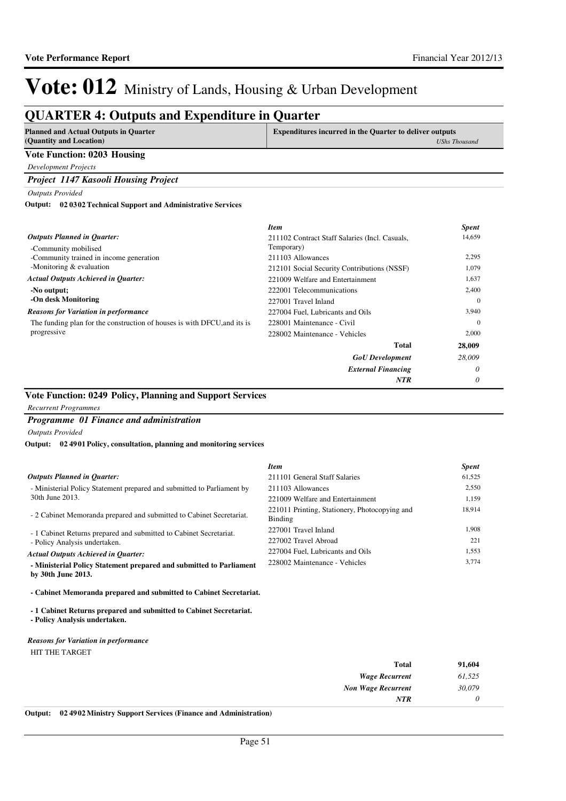### **QUARTER 4: Outputs and Expenditure in Quarter**

| <b>Expenditures incurred in the Quarter to deliver outputs</b><br>UShs Thousand |
|---------------------------------------------------------------------------------|
|                                                                                 |
|                                                                                 |
|                                                                                 |
|                                                                                 |

*Outputs Provided*

**02 0302 Technical Support and Administrative Services Output:**

|                                                                          | <b>Item</b>                                    | <b>Spent</b> |
|--------------------------------------------------------------------------|------------------------------------------------|--------------|
| <b>Outputs Planned in Quarter:</b>                                       | 211102 Contract Staff Salaries (Incl. Casuals, | 14,659       |
| -Community mobilised                                                     | Temporary)                                     |              |
| -Community trained in income generation                                  | 211103 Allowances                              | 2,295        |
| -Monitoring $&$ evaluation                                               | 212101 Social Security Contributions (NSSF)    | 1,079        |
| <b>Actual Outputs Achieved in Ouarter:</b>                               | 221009 Welfare and Entertainment               | 1,637        |
| -No output;                                                              | 222001 Telecommunications                      | 2,400        |
| -On desk Monitoring                                                      | 227001 Travel Inland                           | $\Omega$     |
| <b>Reasons for Variation in performance</b>                              | 227004 Fuel, Lubricants and Oils               | 3,940        |
| The funding plan for the construction of houses is with DFCU, and its is | 228001 Maintenance - Civil                     | $\Omega$     |
| progressive                                                              | 228002 Maintenance - Vehicles                  | 2,000        |
|                                                                          | Total                                          | 28,009       |
|                                                                          | <b>GoU</b> Development                         | 28,009       |
|                                                                          | <b>External Financing</b>                      | 0            |
|                                                                          | <b>NTR</b>                                     | 0            |

### **Vote Function: 0249 Policy, Planning and Support Services**

*Recurrent Programmes*

#### *Programme 01 Finance and administration*

*Outputs Provided*

**02 4901 Policy, consultation, planning and monitoring services Output:**

|                                                                                           | <b>Item</b>                                              | <b>Spent</b> |
|-------------------------------------------------------------------------------------------|----------------------------------------------------------|--------------|
| <b>Outputs Planned in Ouarter:</b>                                                        | 211101 General Staff Salaries                            | 61,525       |
| - Ministerial Policy Statement prepared and submitted to Parliament by                    | 211103 Allowances                                        | 2,550        |
| 30th June 2013.                                                                           | 221009 Welfare and Entertainment                         | 1.159        |
| - 2 Cabinet Memoranda prepared and submitted to Cabinet Secretariat.                      | 221011 Printing, Stationery, Photocopying and<br>Binding | 18.914       |
| - 1 Cabinet Returns prepared and submitted to Cabinet Secretariat.                        | 227001 Travel Inland                                     | 1.908        |
| - Policy Analysis undertaken.                                                             | 227002 Travel Abroad                                     | 221          |
| <b>Actual Outputs Achieved in Ouarter:</b>                                                | 227004 Fuel, Lubricants and Oils                         | 1,553        |
| - Ministerial Policy Statement prepared and submitted to Parliament<br>by 30th June 2013. | 228002 Maintenance - Vehicles                            | 3.774        |

**- Cabinet Memoranda prepared and submitted to Cabinet Secretariat.**

**- 1 Cabinet Returns prepared and submitted to Cabinet Secretariat.**

**- Policy Analysis undertaken.**

#### *Reasons for Variation in performance*

HIT THE TARGET

| 91,604 | <b>Total</b>              |
|--------|---------------------------|
| 61,525 | <b>Wage Recurrent</b>     |
| 30,079 | <b>Non Wage Recurrent</b> |
|        | <b>NTR</b>                |
|        |                           |

**Output: 02 4902 Ministry Support Services (Finance and Administration)**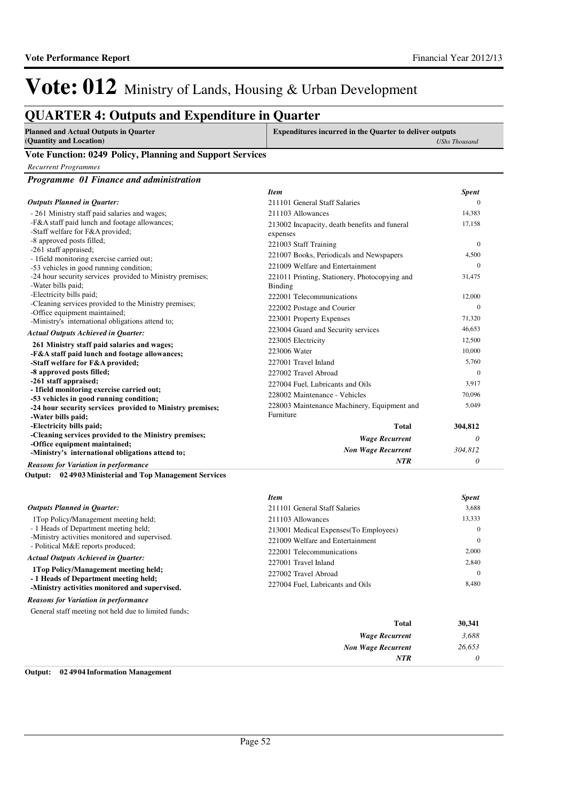## **QUARTER 4: Outputs and Expenditure in Quarter**

| Planned and Actual Outputs in Ouarter                     | <b>Expenditures incurred in the Quarter to deliver outputs</b> |  |
|-----------------------------------------------------------|----------------------------------------------------------------|--|
| (Quantity and Location)                                   | UShs Thousand                                                  |  |
| Vote Function: 0249 Policy, Planning and Support Services |                                                                |  |

#### *Recurrent Programmes*

*Programme 01 Finance and administration*

|                                                                                                      | <b>Item</b>                                   | <b>Spent</b> |
|------------------------------------------------------------------------------------------------------|-----------------------------------------------|--------------|
| <b>Outputs Planned in Quarter:</b>                                                                   | 211101 General Staff Salaries                 | $\Omega$     |
| - 261 Ministry staff paid salaries and wages;                                                        | 211103 Allowances                             | 14,383       |
| -F&A staff paid lunch and footage allowances;                                                        | 213002 Incapacity, death benefits and funeral | 17.158       |
| -Staff welfare for F&A provided;                                                                     | expenses                                      |              |
| -8 approved posts filled;<br>-261 staff appraised;                                                   | 221003 Staff Training                         | $\mathbf{0}$ |
| - 1 field monitoring exercise carried out;                                                           | 221007 Books, Periodicals and Newspapers      | 4,500        |
| -53 vehicles in good running condition;                                                              | 221009 Welfare and Entertainment              | $\mathbf{0}$ |
| -24 hour security services provided to Ministry premises;                                            | 221011 Printing, Stationery, Photocopying and | 31.475       |
| -Water bills paid;                                                                                   | Binding                                       |              |
| -Electricity bills paid;                                                                             | 222001 Telecommunications                     | 12,000       |
| -Cleaning services provided to the Ministry premises;<br>-Office equipment maintained;               | 222002 Postage and Courier                    | $\Omega$     |
| -Ministry's international obligations attend to:                                                     | 223001 Property Expenses                      | 71,320       |
| <b>Actual Outputs Achieved in Quarter:</b>                                                           | 223004 Guard and Security services            | 46,653       |
|                                                                                                      | 223005 Electricity                            | 12,500       |
| 261 Ministry staff paid salaries and wages;<br>-F&A staff paid lunch and footage allowances;         | 223006 Water                                  | 10,000       |
| -Staff welfare for F&A provided;                                                                     | 227001 Travel Inland                          | 5,760        |
| -8 approved posts filled;                                                                            | 227002 Travel Abroad                          | $\Omega$     |
| -261 staff appraised;                                                                                | 227004 Fuel, Lubricants and Oils              | 3,917        |
| - 1field monitoring exercise carried out;                                                            | 228002 Maintenance - Vehicles                 | 70,096       |
| -53 vehicles in good running condition;<br>-24 hour security services provided to Ministry premises; | 228003 Maintenance Machinery, Equipment and   | 5,049        |
| -Water bills paid;                                                                                   | Furniture                                     |              |
| -Electricity bills paid;                                                                             | <b>Total</b>                                  | 304,812      |
| -Cleaning services provided to the Ministry premises;                                                | <b>Wage Recurrent</b>                         | $\theta$     |
| -Office equipment maintained;                                                                        |                                               |              |
| -Ministry's international obligations attend to;                                                     | <b>Non Wage Recurrent</b>                     | 304,812      |
| <b>Reasons for Variation in performance</b><br>$\sim$ $\sim$                                         | <b>NTR</b>                                    | 0            |

**02 4903 Ministerial and Top Management Services Output:**

|                                                                                      | <b>Item</b>                                  | <b>Spent</b> |
|--------------------------------------------------------------------------------------|----------------------------------------------|--------------|
| <b>Outputs Planned in Quarter:</b>                                                   | 211101 General Staff Salaries                | 3,688        |
| 1 Top Policy/Management meeting held;                                                | 211103 Allowances                            | 13,333       |
| - 1 Heads of Department meeting held;                                                | 213001 Medical Expenses (To Employees)       | $\Omega$     |
| -Ministry activities monitored and supervised.<br>- Political M&E reports produced;  | 221009 Welfare and Entertainment             | $\theta$     |
|                                                                                      | 222001 Telecommunications                    | 2,000        |
| <b>Actual Outputs Achieved in Ouarter:</b>                                           | 227001 Travel Inland<br>227002 Travel Abroad | 2,840        |
| <b>1Top Policy/Management meeting held;</b><br>- 1 Heads of Department meeting held; |                                              | $\Omega$     |
| -Ministry activities monitored and supervised.                                       | 227004 Fuel, Lubricants and Oils             | 8,480        |
| <b>Reasons for Variation in performance</b>                                          |                                              |              |
| General staff meeting not held due to limited funds;                                 |                                              |              |
|                                                                                      | <b>Total</b>                                 | 30,341       |
|                                                                                      | <b>Wage Recurrent</b>                        | 3.688        |

*Non Wage Recurrent*

*NTR*

*26,653 0*

#### **Output: 02 4904 Information Management**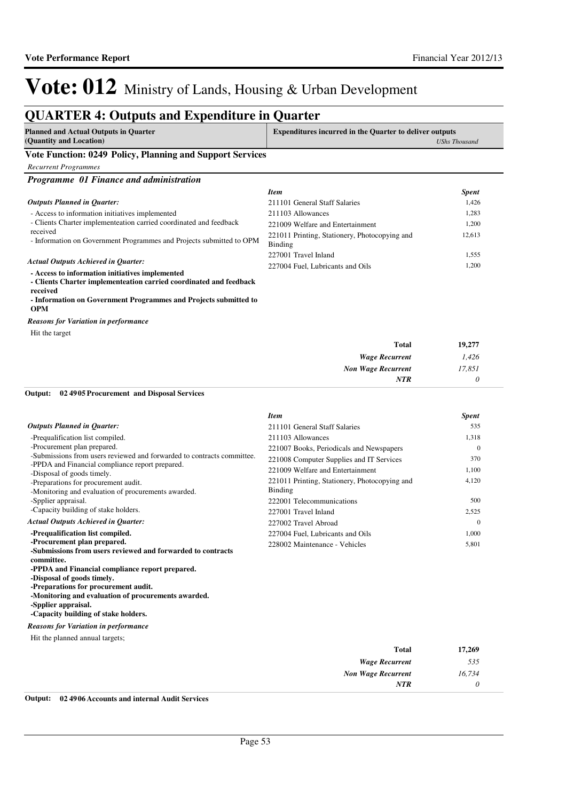## **QUARTER 4: Outputs and Expenditure in Quarter**

| <b>Planned and Actual Outputs in Quarter</b>              | <b>Expenditures incurred in the Quarter to deliver outputs</b> |  |
|-----------------------------------------------------------|----------------------------------------------------------------|--|
| (Quantity and Location)                                   | UShs Thousand                                                  |  |
| Vote Function: 0249 Policy, Planning and Support Services |                                                                |  |

#### *Recurrent Programmes*

| <b>Programme</b> 01 Finance and administration                                   |                                                          |              |
|----------------------------------------------------------------------------------|----------------------------------------------------------|--------------|
|                                                                                  | <b>Item</b>                                              | <b>Spent</b> |
| <b>Outputs Planned in Ouarter:</b>                                               | 211101 General Staff Salaries                            | 1,426        |
| - Access to information initiatives implemented                                  | 211103 Allowances                                        | 1,283        |
| - Clients Charter implementeation carried coordinated and feedback               | 221009 Welfare and Entertainment                         | 1,200        |
| received<br>- Information on Government Programmes and Projects submitted to OPM | 221011 Printing, Stationery, Photocopying and<br>Binding | 12,613       |
|                                                                                  | 227001 Travel Inland                                     | 1,555        |
| <b>Actual Outputs Achieved in Ouarter:</b>                                       | 227004 Fuel, Lubricants and Oils                         | 1,200        |
| - Access to information initiatives implemented                                  |                                                          |              |
| - Clients Charter implementeation carried coordinated and feedback<br>received   |                                                          |              |
| - Information on Government Programmes and Projects submitted to<br><b>OPM</b>   |                                                          |              |
| <b>Reasons for Variation in performance</b>                                      |                                                          |              |

Hit the target

| <b>Total</b>              | 19,277 |
|---------------------------|--------|
| <b>Wage Recurrent</b>     | 1,426  |
| <b>Non Wage Recurrent</b> | 17,851 |
| <b>NTR</b>                |        |

**02 4905 Procurement and Disposal Services Output:**

|                                                                                                                                                                                                                                                                                                                                                         | <b>Item</b>                                              | <b>Spent</b> |
|---------------------------------------------------------------------------------------------------------------------------------------------------------------------------------------------------------------------------------------------------------------------------------------------------------------------------------------------------------|----------------------------------------------------------|--------------|
| <b>Outputs Planned in Quarter:</b>                                                                                                                                                                                                                                                                                                                      | 211101 General Staff Salaries                            | 535          |
| -Prequalification list compiled.                                                                                                                                                                                                                                                                                                                        | 211103 Allowances                                        | 1,318        |
| -Procurement plan prepared.                                                                                                                                                                                                                                                                                                                             | 221007 Books, Periodicals and Newspapers                 | $\Omega$     |
| -Submissions from users reviewed and forwarded to contracts committee.                                                                                                                                                                                                                                                                                  | 221008 Computer Supplies and IT Services                 | 370          |
| -PPDA and Financial compliance report prepared.<br>-Disposal of goods timely.                                                                                                                                                                                                                                                                           | 221009 Welfare and Entertainment                         | 1,100        |
| -Preparations for procurement audit.<br>-Monitoring and evaluation of procurements awarded.                                                                                                                                                                                                                                                             | 221011 Printing, Stationery, Photocopying and<br>Binding | 4,120        |
| -Spplier appraisal.                                                                                                                                                                                                                                                                                                                                     | 222001 Telecommunications                                | 500          |
| -Capacity building of stake holders.                                                                                                                                                                                                                                                                                                                    | 227001 Travel Inland                                     | 2,525        |
| <b>Actual Outputs Achieved in Quarter:</b>                                                                                                                                                                                                                                                                                                              | 227002 Travel Abroad                                     | $\Omega$     |
| -Prequalification list compiled.                                                                                                                                                                                                                                                                                                                        | 227004 Fuel, Lubricants and Oils                         | 1,000        |
| -Procurement plan prepared.<br>-Submissions from users reviewed and forwarded to contracts<br>committee.<br>-PPDA and Financial compliance report prepared.<br>-Disposal of goods timely.<br>-Preparations for procurement audit.<br>-Monitoring and evaluation of procurements awarded.<br>-Spplier appraisal.<br>-Capacity building of stake holders. | 228002 Maintenance - Vehicles                            | 5,801        |

#### *Reasons for Variation in performance*

Hit the planned annual targets;

| 17,269 | Total                     |
|--------|---------------------------|
| 535    | <b>Wage Recurrent</b>     |
| 16,734 | <b>Non Wage Recurrent</b> |
|        | NTR                       |
|        |                           |

**Output: 02 4906 Accounts and internal Audit Services**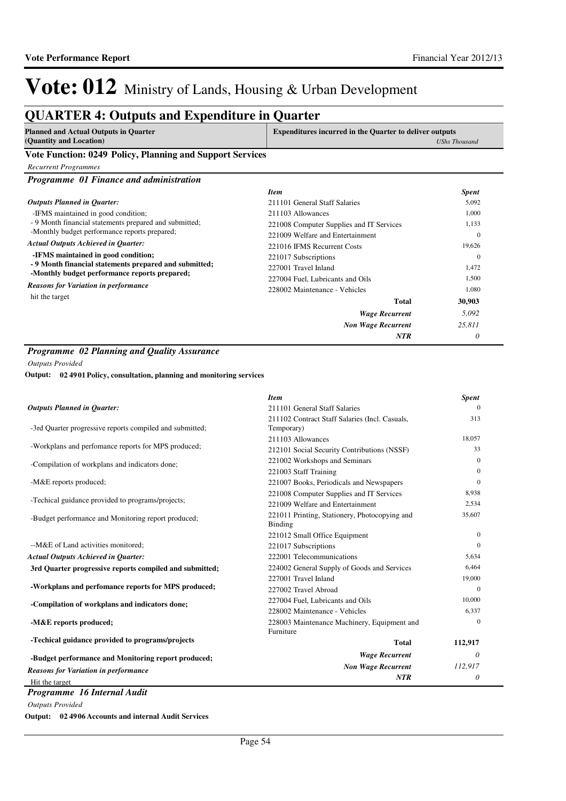## **QUARTER 4: Outputs and Expenditure in Quarter**

| <b>Planned and Actual Outputs in Quarter</b> | <b>Expenditures incurred in the Quarter to deliver outputs</b> |
|----------------------------------------------|----------------------------------------------------------------|
| (Quantity and Location)                      | <b>UShs Thousand</b>                                           |

#### **Vote Function: 0249 Policy, Planning and Support Services**

#### *Recurrent Programmes*

*Programme 01 Finance and administration*

|                                                                                                         | <b>Item</b>                              | <b>Spent</b> |
|---------------------------------------------------------------------------------------------------------|------------------------------------------|--------------|
| <b>Outputs Planned in Ouarter:</b>                                                                      | 211101 General Staff Salaries            | 5,092        |
| -IFMS maintained in good condition;                                                                     | 211103 Allowances                        | 1,000        |
| - 9 Month financial statements prepared and submitted;                                                  | 221008 Computer Supplies and IT Services | 1,133        |
| -Monthly budget performance reports prepared;                                                           | 221009 Welfare and Entertainment         | $\mathbf{0}$ |
| <b>Actual Outputs Achieved in Ouarter:</b>                                                              | 221016 IFMS Recurrent Costs              | 19,626       |
| -IFMS maintained in good condition;                                                                     | 221017 Subscriptions                     | $\theta$     |
| - 9 Month financial statements prepared and submitted;<br>-Monthly budget performance reports prepared; | 227001 Travel Inland                     | 1,472        |
|                                                                                                         | 227004 Fuel, Lubricants and Oils         | 1,500        |
| <b>Reasons for Variation in performance</b>                                                             | 228002 Maintenance - Vehicles            | 1,080        |
| hit the target                                                                                          | Total                                    | 30,903       |
|                                                                                                         | <b>Wage Recurrent</b>                    | 5,092        |
|                                                                                                         | <b>Non Wage Recurrent</b>                | 25.811       |
|                                                                                                         | <b>NTR</b>                               | 0            |

### *Programme 02 Planning and Quality Assurance*

*Outputs Provided*

**02 4901 Policy, consultation, planning and monitoring services Output:**

|                                                                                                    | <b>Item</b>                                                  | <b>Spent</b> |
|----------------------------------------------------------------------------------------------------|--------------------------------------------------------------|--------------|
| <b>Outputs Planned in Quarter:</b>                                                                 | 211101 General Staff Salaries                                | $\theta$     |
| -3rd Quarter progressive reports compiled and submitted;                                           | 211102 Contract Staff Salaries (Incl. Casuals,<br>Temporary) | 313          |
|                                                                                                    | 211103 Allowances                                            | 18.057       |
| -Workplans and perfomance reports for MPS produced;<br>212101 Social Security Contributions (NSSF) |                                                              | 33           |
| -Compilation of workplans and indicators done;                                                     | 221002 Workshops and Seminars                                | $\theta$     |
|                                                                                                    | 221003 Staff Training                                        | 0            |
| -M&E reports produced;                                                                             | 221007 Books, Periodicals and Newspapers                     | $\Omega$     |
|                                                                                                    | 221008 Computer Supplies and IT Services                     | 8,938        |
| -Techical guidance provided to programs/projects;                                                  | 221009 Welfare and Entertainment                             | 2,534        |
| -Budget performance and Monitoring report produced;                                                | 221011 Printing, Stationery, Photocopying and<br>Binding     |              |
|                                                                                                    | 221012 Small Office Equipment                                | $\mathbf{0}$ |
| --M&E of Land activities monitored;                                                                | 221017 Subscriptions                                         | $\Omega$     |
| <b>Actual Outputs Achieved in Quarter:</b>                                                         | 222001 Telecommunications                                    |              |
| 3rd Quarter progressive reports compiled and submitted;                                            | 224002 General Supply of Goods and Services                  | 6,464        |
|                                                                                                    | 227001 Travel Inland                                         | 19,000       |
| -Workplans and perfomance reports for MPS produced;                                                | 227002 Travel Abroad                                         | $\Omega$     |
| -Compilation of workplans and indicators done;                                                     | 227004 Fuel, Lubricants and Oils                             | 10.000       |
|                                                                                                    | 228002 Maintenance - Vehicles                                | 6,337        |
| -M&E reports produced;                                                                             | 228003 Maintenance Machinery, Equipment and<br>Furniture     | $\Omega$     |
| -Techical guidance provided to programs/projects                                                   | <b>Total</b>                                                 | 112,917      |
| -Budget performance and Monitoring report produced;                                                | <b>Wage Recurrent</b>                                        | 0            |
| Reasons for Variation in performance                                                               | <b>Non Wage Recurrent</b>                                    | 112,917      |
| Hit the target                                                                                     | <b>NTR</b>                                                   | 0            |
| Programme 16 Internal Audit                                                                        |                                                              |              |

#### *Outputs Provided*

**Output: 02 4906 Accounts and internal Audit Services**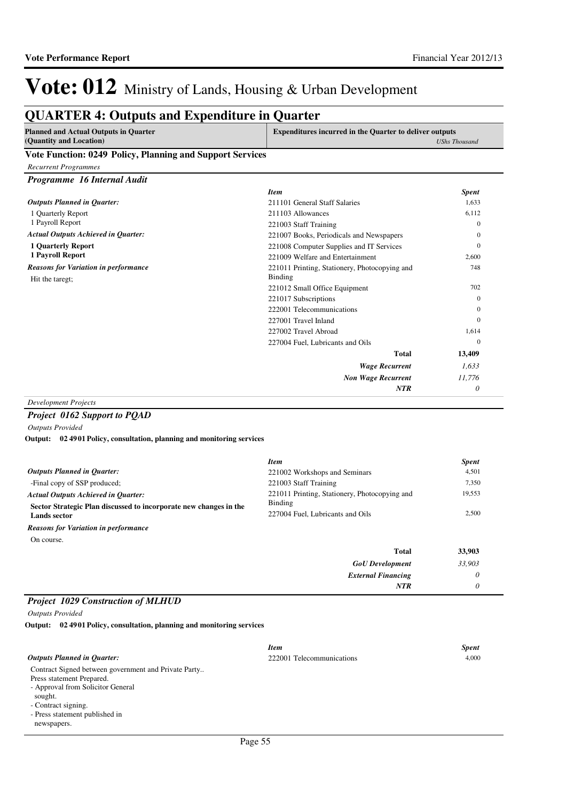# Vote: 012 Ministry of Lands, Housing & Urban Development

## **QUARTER 4: Outputs and Expenditure in Quarter**

| Planned and Actual Outputs in Quarter | <b>Expenditures incurred in the Quarter to deliver outputs</b> |
|---------------------------------------|----------------------------------------------------------------|
| (Quantity and Location)               | <b>UShs Thousand</b>                                           |
| -- - -<br>$\sim$                      |                                                                |

#### **Vote Function: 0249 Policy, Planning and Support Services**

| Programme 16 Internal Audit                 |                                               |              |
|---------------------------------------------|-----------------------------------------------|--------------|
|                                             | <b>Item</b>                                   | <b>Spent</b> |
| <b>Outputs Planned in Quarter:</b>          | 211101 General Staff Salaries                 | 1,633        |
| 1 Quarterly Report                          | 211103 Allowances                             | 6,112        |
| 1 Payroll Report                            | 221003 Staff Training                         | $\Omega$     |
| <b>Actual Outputs Achieved in Quarter:</b>  | 221007 Books, Periodicals and Newspapers      | $\mathbf{0}$ |
| <b>1 Quarterly Report</b>                   | 221008 Computer Supplies and IT Services      | $\Omega$     |
| 1 Payroll Report                            | 221009 Welfare and Entertainment              | 2,600        |
| <b>Reasons for Variation in performance</b> | 221011 Printing, Stationery, Photocopying and | 748          |
| Hit the taregt;                             | <b>Binding</b>                                |              |
|                                             | 221012 Small Office Equipment                 | 702          |
|                                             | 221017 Subscriptions                          | $\Omega$     |
|                                             | 222001 Telecommunications                     | $\mathbf{0}$ |
|                                             | 227001 Travel Inland                          | $\Omega$     |
|                                             | 227002 Travel Abroad                          | 1,614        |
|                                             | 227004 Fuel, Lubricants and Oils              | $\Omega$     |
|                                             | <b>Total</b>                                  | 13,409       |
|                                             | <b>Wage Recurrent</b>                         | 1,633        |
|                                             | <b>Non Wage Recurrent</b>                     | 11,776       |
|                                             | <b>NTR</b>                                    | 0            |

*Development Projects*

### *Project 0162 Support to PQAD*

*Outputs Provided*

**02 4901 Policy, consultation, planning and monitoring services Output:**

|                                                                                                                 | <b>Item</b>                                              | <b>Spent</b> |
|-----------------------------------------------------------------------------------------------------------------|----------------------------------------------------------|--------------|
| <b>Outputs Planned in Quarter:</b>                                                                              | 221002 Workshops and Seminars                            | 4,501        |
| -Final copy of SSP produced;                                                                                    | 221003 Staff Training                                    | 7,350        |
| <b>Actual Outputs Achieved in Quarter:</b><br>Sector Strategic Plan discussed to incorporate new changes in the | 221011 Printing, Stationery, Photocopying and<br>Binding | 19,553       |
| <b>Lands sector</b>                                                                                             | 227004 Fuel, Lubricants and Oils                         | 2,500        |
| <b>Reasons for Variation in performance</b>                                                                     |                                                          |              |
| On course.                                                                                                      |                                                          |              |
|                                                                                                                 | <b>Total</b>                                             | 33,903       |
|                                                                                                                 | <b>GoU</b> Development                                   | 33,903       |
|                                                                                                                 | <b>External Financing</b>                                | 0            |
|                                                                                                                 | <b>NTR</b>                                               |              |

#### *Project 1029 Construction of MLHUD*

*Outputs Provided*

**02 4901 Policy, consultation, planning and monitoring services Output:**

|                                                      | <b>Item</b>               | <b>Spent</b> |
|------------------------------------------------------|---------------------------|--------------|
| <b>Outputs Planned in Ouarter:</b>                   | 222001 Telecommunications | 4,000        |
| Contract Signed between government and Private Party |                           |              |
| Press statement Prepared.                            |                           |              |
| - Approval from Solicitor General                    |                           |              |
| sought.                                              |                           |              |
| - Contract signing.                                  |                           |              |
| - Press statement published in                       |                           |              |
| newspapers.                                          |                           |              |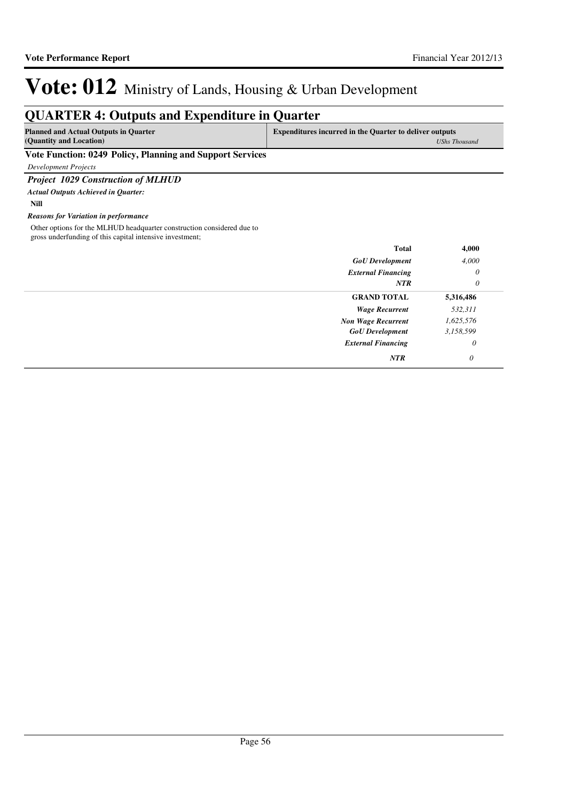### **QUARTER 4: Outputs and Expenditure in Quarter**

| <b>Planned and Actual Outputs in Quarter</b>              | <b>Expenditures incurred in the Quarter to deliver outputs</b> |
|-----------------------------------------------------------|----------------------------------------------------------------|
| (Quantity and Location)                                   | <b>UShs Thousand</b>                                           |
| Vote Function: 0249 Policy, Planning and Support Services |                                                                |

*Development Projects*

#### *Project 1029 Construction of MLHUD*

*Actual Outputs Achieved in Quarter:*

#### **Nill**

*Reasons for Variation in performance*

Other options for the MLHUD headquarter construction considered due to gross underfunding of this capital intensive investment;

| <b>Total</b>              | 4,000     |
|---------------------------|-----------|
| <b>GoU</b> Development    | 4,000     |
| <b>External Financing</b> | $\theta$  |
| <b>NTR</b>                | 0         |
| <b>GRAND TOTAL</b>        | 5,316,486 |
| <b>Wage Recurrent</b>     | 532,311   |
| <b>Non Wage Recurrent</b> | 1,625,576 |
| <b>GoU</b> Development    | 3,158,599 |
| <b>External Financing</b> | $\theta$  |
| <b>NTR</b>                | $\theta$  |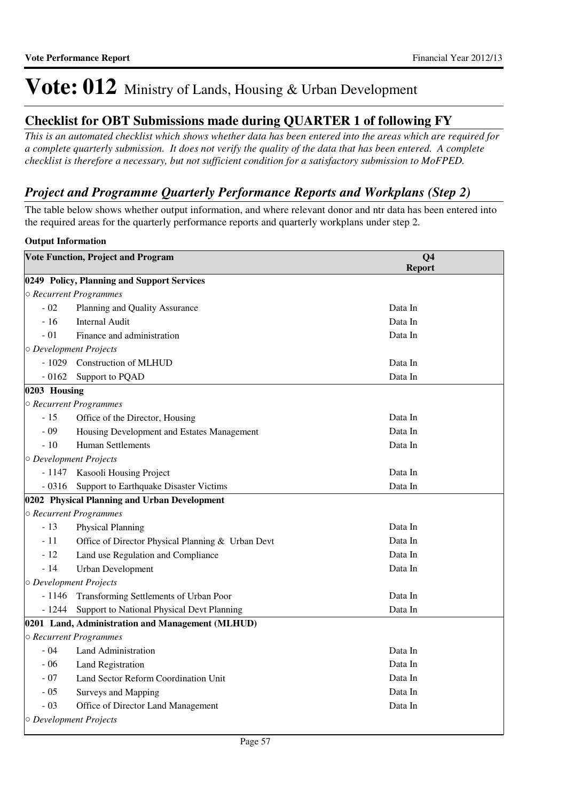### **Checklist for OBT Submissions made during QUARTER 1 of following FY**

*This is an automated checklist which shows whether data has been entered into the areas which are required for a complete quarterly submission. It does not verify the quality of the data that has been entered. A complete checklist is therefore a necessary, but not sufficient condition for a satisfactory submission to MoFPED.*

### *Project and Programme Quarterly Performance Reports and Workplans (Step 2)*

The table below shows whether output information, and where relevant donor and ntr data has been entered into the required areas for the quarterly performance reports and quarterly workplans under step 2.

#### **Output Information**

|                        | <b>Vote Function, Project and Program</b>         | Q <sub>4</sub> |
|------------------------|---------------------------------------------------|----------------|
|                        |                                                   | <b>Report</b>  |
|                        | 0249 Policy, Planning and Support Services        |                |
|                        | ○ Recurrent Programmes                            |                |
| $-02$                  | Planning and Quality Assurance                    | Data In        |
| $-16$                  | <b>Internal Audit</b>                             | Data In        |
| $-01$                  | Finance and administration                        | Data In        |
| O Development Projects |                                                   |                |
|                        | - 1029 Construction of MLHUD                      | Data In        |
| $-0162$                | Support to PQAD                                   | Data In        |
| 0203 Housing           |                                                   |                |
|                        | ○ Recurrent Programmes                            |                |
| $-15$                  | Office of the Director, Housing                   | Data In        |
| $-09$                  | Housing Development and Estates Management        | Data In        |
| $-10$                  | <b>Human Settlements</b>                          | Data In        |
| O Development Projects |                                                   |                |
|                        | - 1147 Kasooli Housing Project                    | Data In        |
| $-0316$                | Support to Earthquake Disaster Victims            | Data In        |
|                        | 0202 Physical Planning and Urban Development      |                |
|                        | ○ Recurrent Programmes                            |                |
| $-13$                  | Physical Planning                                 | Data In        |
| $-11$                  | Office of Director Physical Planning & Urban Devt | Data In        |
| $-12$                  | Land use Regulation and Compliance                | Data In        |
| $-14$                  | <b>Urban Development</b>                          | Data In        |
| O Development Projects |                                                   |                |
| - 1146                 | Transforming Settlements of Urban Poor            | Data In        |
| - 1244                 | Support to National Physical Devt Planning        | Data In        |
|                        | 0201 Land, Administration and Management (MLHUD)  |                |
|                        | ○ Recurrent Programmes                            |                |
| $-04$                  | Land Administration                               | Data In        |
| $-06$                  | Land Registration                                 | Data In        |
| $-07$                  | Land Sector Reform Coordination Unit              | Data In        |
| $-05$                  | <b>Surveys and Mapping</b>                        | Data In        |
| $-03$                  | Office of Director Land Management                | Data In        |
| O Development Projects |                                                   |                |